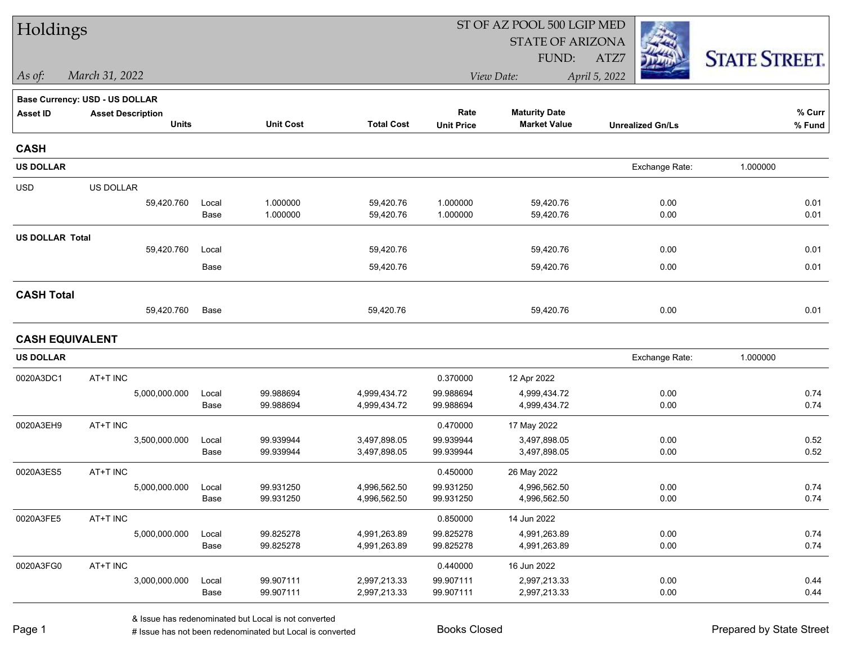| Holdings               |                                       |               |                        |                              | ST OF AZ POOL 500 LGIP MED |                              |                         |                      |  |  |
|------------------------|---------------------------------------|---------------|------------------------|------------------------------|----------------------------|------------------------------|-------------------------|----------------------|--|--|
|                        |                                       |               |                        |                              |                            | <b>STATE OF ARIZONA</b>      |                         |                      |  |  |
|                        |                                       |               |                        |                              |                            | FUND:                        | ATZ7                    | <b>STATE STREET.</b> |  |  |
| As of:                 | March 31, 2022                        |               |                        |                              |                            | View Date:                   | April 5, 2022           |                      |  |  |
|                        | <b>Base Currency: USD - US DOLLAR</b> |               |                        |                              |                            |                              |                         |                      |  |  |
| <b>Asset ID</b>        | <b>Asset Description</b>              |               |                        |                              | Rate                       | <b>Maturity Date</b>         |                         | % Curr               |  |  |
|                        | <b>Units</b>                          |               | <b>Unit Cost</b>       | <b>Total Cost</b>            | <b>Unit Price</b>          | <b>Market Value</b>          | <b>Unrealized Gn/Ls</b> | % Fund               |  |  |
| <b>CASH</b>            |                                       |               |                        |                              |                            |                              |                         |                      |  |  |
| <b>US DOLLAR</b>       |                                       |               |                        |                              |                            |                              | Exchange Rate:          | 1.000000             |  |  |
| <b>USD</b>             | US DOLLAR                             |               |                        |                              |                            |                              |                         |                      |  |  |
|                        | 59,420.760                            | Local         | 1.000000               | 59,420.76                    | 1.000000                   | 59,420.76                    | 0.00                    | 0.01                 |  |  |
|                        |                                       | Base          | 1.000000               | 59,420.76                    | 1.000000                   | 59,420.76                    | 0.00                    | 0.01                 |  |  |
| <b>US DOLLAR Total</b> |                                       |               |                        |                              |                            |                              |                         |                      |  |  |
|                        | 59,420.760                            | Local         |                        | 59,420.76                    |                            | 59,420.76                    | 0.00                    | 0.01                 |  |  |
|                        |                                       | Base          |                        | 59,420.76                    |                            | 59,420.76                    | 0.00                    | 0.01                 |  |  |
| <b>CASH Total</b>      |                                       |               |                        |                              |                            |                              |                         |                      |  |  |
|                        | 59,420.760                            | Base          |                        | 59,420.76                    |                            | 59,420.76                    | 0.00                    | 0.01                 |  |  |
| <b>CASH EQUIVALENT</b> |                                       |               |                        |                              |                            |                              |                         |                      |  |  |
| <b>US DOLLAR</b>       |                                       |               |                        |                              |                            |                              | Exchange Rate:          | 1.000000             |  |  |
| 0020A3DC1              | AT+T INC                              |               |                        |                              | 0.370000                   | 12 Apr 2022                  |                         |                      |  |  |
|                        | 5,000,000.000                         | Local         | 99.988694              | 4,999,434.72                 | 99.988694                  | 4,999,434.72                 | 0.00                    | 0.74                 |  |  |
|                        |                                       | Base          | 99.988694              | 4,999,434.72                 | 99.988694                  | 4,999,434.72                 | 0.00                    | 0.74                 |  |  |
| 0020A3EH9              | AT+T INC                              |               |                        |                              | 0.470000                   | 17 May 2022                  |                         |                      |  |  |
|                        | 3,500,000.000                         | Local         | 99.939944              | 3,497,898.05                 | 99.939944                  | 3,497,898.05                 | 0.00                    | 0.52                 |  |  |
|                        |                                       | Base          | 99.939944              | 3,497,898.05                 | 99.939944                  | 3,497,898.05                 | 0.00                    | 0.52                 |  |  |
| 0020A3ES5              | AT+T INC                              |               |                        |                              | 0.450000                   | 26 May 2022                  |                         |                      |  |  |
|                        | 5,000,000.000                         | Local         | 99.931250              | 4,996,562.50                 | 99.931250                  | 4,996,562.50                 | 0.00                    | 0.74                 |  |  |
|                        |                                       | Base          | 99.931250              | 4,996,562.50                 | 99.931250                  | 4,996,562.50                 | 0.00                    | 0.74                 |  |  |
| 0020A3FE5              | AT+T INC                              |               |                        |                              | 0.850000                   | 14 Jun 2022                  |                         |                      |  |  |
|                        | 5,000,000.000                         | Local<br>Base | 99.825278<br>99.825278 | 4,991,263.89<br>4,991,263.89 | 99.825278<br>99.825278     | 4,991,263.89<br>4,991,263.89 | 0.00<br>0.00            | 0.74<br>0.74         |  |  |
|                        |                                       |               |                        |                              |                            |                              |                         |                      |  |  |
| 0020A3FG0              | AT+T INC                              |               |                        |                              | 0.440000                   | 16 Jun 2022                  |                         |                      |  |  |
|                        | 3,000,000.000                         | Local<br>Base | 99.907111<br>99.907111 | 2,997,213.33<br>2,997,213.33 | 99.907111<br>99.907111     | 2,997,213.33<br>2,997,213.33 | 0.00<br>0.00            | 0.44<br>0.44         |  |  |
|                        |                                       |               |                        |                              |                            |                              |                         |                      |  |  |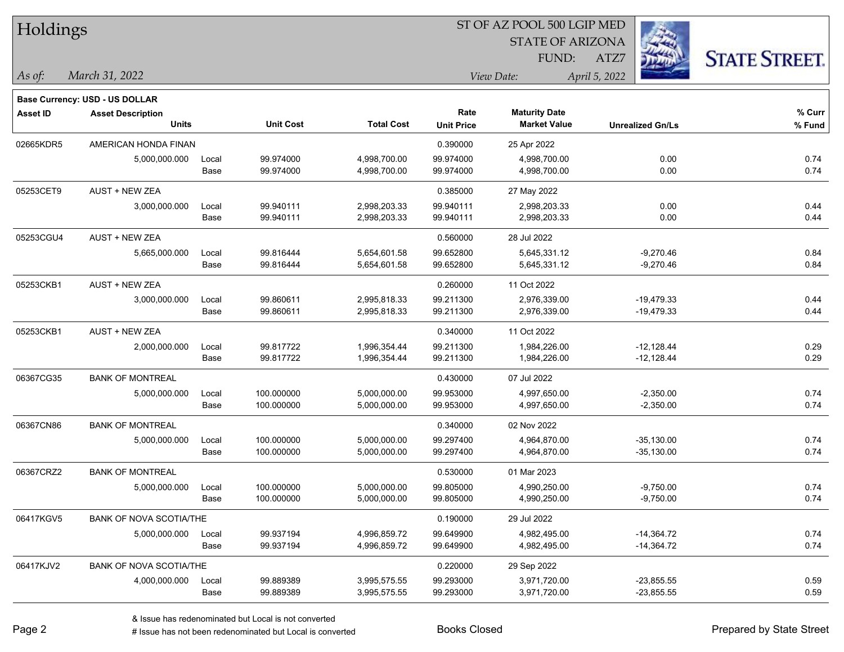| Holdings        |                                |       |                  |                   | ST OF AZ POOL 500 LGIP MED |                         |                         |                      |  |
|-----------------|--------------------------------|-------|------------------|-------------------|----------------------------|-------------------------|-------------------------|----------------------|--|
|                 |                                |       |                  |                   |                            | <b>STATE OF ARIZONA</b> |                         |                      |  |
|                 |                                |       |                  |                   |                            | FUND:                   | ATZ7                    | <b>STATE STREET.</b> |  |
| As of:          | March 31, 2022                 |       |                  |                   |                            | View Date:              | April 5, 2022           |                      |  |
|                 | Base Currency: USD - US DOLLAR |       |                  |                   |                            |                         |                         |                      |  |
| <b>Asset ID</b> | <b>Asset Description</b>       |       |                  |                   | Rate                       | <b>Maturity Date</b>    |                         | % Curr               |  |
|                 | <b>Units</b>                   |       | <b>Unit Cost</b> | <b>Total Cost</b> | <b>Unit Price</b>          | <b>Market Value</b>     | <b>Unrealized Gn/Ls</b> | % Fund               |  |
| 02665KDR5       | AMERICAN HONDA FINAN           |       |                  |                   | 0.390000                   | 25 Apr 2022             |                         |                      |  |
|                 | 5,000,000.000                  | Local | 99.974000        | 4,998,700.00      | 99.974000                  | 4,998,700.00            | 0.00                    | 0.74                 |  |
|                 |                                | Base  | 99.974000        | 4,998,700.00      | 99.974000                  | 4,998,700.00            | 0.00                    | 0.74                 |  |
| 05253CET9       | AUST + NEW ZEA                 |       |                  |                   | 0.385000                   | 27 May 2022             |                         |                      |  |
|                 | 3,000,000.000                  | Local | 99.940111        | 2,998,203.33      | 99.940111                  | 2,998,203.33            | 0.00                    | 0.44                 |  |
|                 |                                | Base  | 99.940111        | 2,998,203.33      | 99.940111                  | 2,998,203.33            | 0.00                    | 0.44                 |  |
| 05253CGU4       | <b>AUST + NEW ZEA</b>          |       |                  |                   | 0.560000                   | 28 Jul 2022             |                         |                      |  |
|                 | 5,665,000.000                  | Local | 99.816444        | 5,654,601.58      | 99.652800                  | 5,645,331.12            | $-9,270.46$             | 0.84                 |  |
|                 |                                | Base  | 99.816444        | 5,654,601.58      | 99.652800                  | 5,645,331.12            | $-9,270.46$             | 0.84                 |  |
| 05253CKB1       | AUST + NEW ZEA                 |       |                  |                   | 0.260000                   | 11 Oct 2022             |                         |                      |  |
|                 | 3,000,000.000                  | Local | 99.860611        | 2,995,818.33      | 99.211300                  | 2,976,339.00            | $-19,479.33$            | 0.44                 |  |
|                 |                                | Base  | 99.860611        | 2,995,818.33      | 99.211300                  | 2,976,339.00            | $-19,479.33$            | 0.44                 |  |
| 05253CKB1       | AUST + NEW ZEA                 |       |                  |                   | 0.340000                   | 11 Oct 2022             |                         |                      |  |
|                 | 2,000,000.000                  | Local | 99.817722        | 1,996,354.44      | 99.211300                  | 1,984,226.00            | $-12,128.44$            | 0.29                 |  |
|                 |                                | Base  | 99.817722        | 1,996,354.44      | 99.211300                  | 1,984,226.00            | $-12,128.44$            | 0.29                 |  |
| 06367CG35       | <b>BANK OF MONTREAL</b>        |       |                  |                   | 0.430000                   | 07 Jul 2022             |                         |                      |  |
|                 | 5,000,000.000                  | Local | 100.000000       | 5,000,000.00      | 99.953000                  | 4,997,650.00            | $-2,350.00$             | 0.74                 |  |
|                 |                                | Base  | 100.000000       | 5,000,000.00      | 99.953000                  | 4,997,650.00            | $-2,350.00$             | 0.74                 |  |
| 06367CN86       | <b>BANK OF MONTREAL</b>        |       |                  |                   | 0.340000                   | 02 Nov 2022             |                         |                      |  |
|                 | 5,000,000.000                  | Local | 100.000000       | 5,000,000.00      | 99.297400                  | 4,964,870.00            | $-35,130.00$            | 0.74                 |  |
|                 |                                | Base  | 100.000000       | 5,000,000.00      | 99.297400                  | 4,964,870.00            | $-35,130.00$            | 0.74                 |  |
| 06367CRZ2       | <b>BANK OF MONTREAL</b>        |       |                  |                   | 0.530000                   | 01 Mar 2023             |                         |                      |  |
|                 | 5,000,000.000                  | Local | 100.000000       | 5,000,000.00      | 99.805000                  | 4,990,250.00            | $-9,750.00$             | 0.74                 |  |
|                 |                                | Base  | 100.000000       | 5,000,000.00      | 99.805000                  | 4,990,250.00            | $-9,750.00$             | 0.74                 |  |
| 06417KGV5       | <b>BANK OF NOVA SCOTIA/THE</b> |       |                  |                   | 0.190000                   | 29 Jul 2022             |                         |                      |  |
|                 | 5,000,000.000                  | Local | 99.937194        | 4,996,859.72      | 99.649900                  | 4,982,495.00            | $-14,364.72$            | 0.74                 |  |
|                 |                                | Base  | 99.937194        | 4,996,859.72      | 99.649900                  | 4,982,495.00            | $-14,364.72$            | 0.74                 |  |
| 06417KJV2       | BANK OF NOVA SCOTIA/THE        |       |                  |                   | 0.220000                   | 29 Sep 2022             |                         |                      |  |
|                 | 4,000,000.000                  | Local | 99.889389        | 3,995,575.55      | 99.293000                  | 3,971,720.00            | $-23,855.55$            | 0.59                 |  |
|                 |                                | Base  | 99.889389        | 3,995,575.55      | 99.293000                  | 3,971,720.00            | $-23,855.55$            | 0.59                 |  |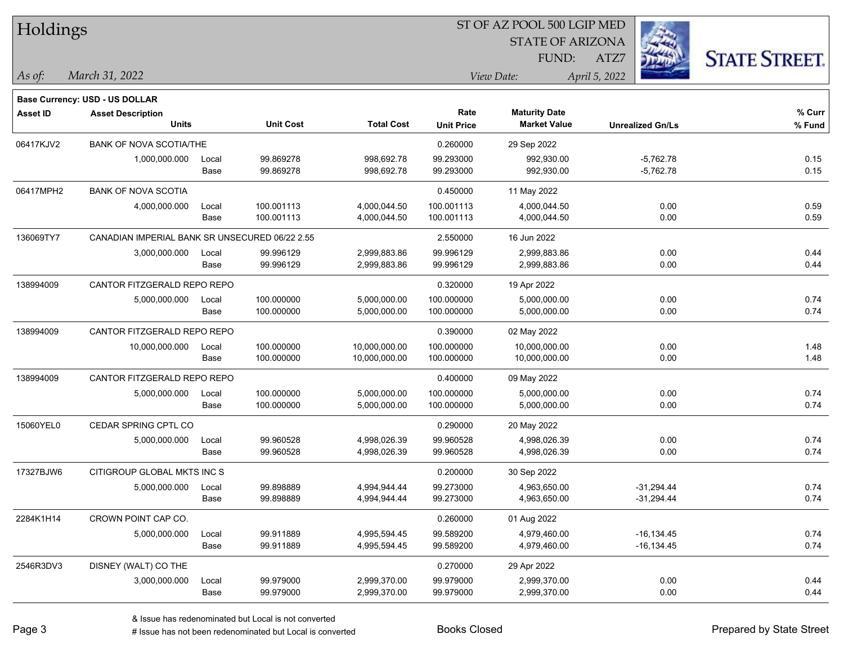| Holdings  |                                                |       |                  |                   |                   | 51 OF AZ POOL 500 LGIP MED |                         |                      |
|-----------|------------------------------------------------|-------|------------------|-------------------|-------------------|----------------------------|-------------------------|----------------------|
|           |                                                |       |                  |                   |                   | <b>STATE OF ARIZONA</b>    |                         |                      |
|           |                                                |       |                  |                   |                   | FUND:                      | ATZ7                    | <b>STATE STREET.</b> |
| As of:    | March 31, 2022                                 |       |                  |                   |                   | View Date:                 | April 5, 2022           |                      |
|           | <b>Base Currency: USD - US DOLLAR</b>          |       |                  |                   |                   |                            |                         |                      |
| Asset ID  | <b>Asset Description</b>                       |       |                  |                   | Rate              | <b>Maturity Date</b>       |                         | $%$ Curr             |
|           | <b>Units</b>                                   |       | <b>Unit Cost</b> | <b>Total Cost</b> | <b>Unit Price</b> | <b>Market Value</b>        | <b>Unrealized Gn/Ls</b> | $%$ Fund             |
| 06417KJV2 | <b>BANK OF NOVA SCOTIA/THE</b>                 |       |                  |                   | 0.260000          | 29 Sep 2022                |                         |                      |
|           | 1,000,000.000                                  | Local | 99.869278        | 998,692.78        | 99.293000         | 992,930.00                 | $-5,762.78$             | 0.15                 |
|           |                                                | Base  | 99.869278        | 998,692.78        | 99.293000         | 992,930.00                 | $-5,762.78$             | 0.15                 |
| 06417MPH2 | <b>BANK OF NOVA SCOTIA</b>                     |       |                  |                   | 0.450000          | 11 May 2022                |                         |                      |
|           | 4,000,000.000                                  | Local | 100.001113       | 4,000,044.50      | 100.001113        | 4,000,044.50               | 0.00                    | 0.59                 |
|           |                                                | Base  | 100.001113       | 4,000,044.50      | 100.001113        | 4,000,044.50               | 0.00                    | 0.59                 |
| 136069TY7 | CANADIAN IMPERIAL BANK SR UNSECURED 06/22 2.55 |       |                  |                   | 2.550000          | 16 Jun 2022                |                         |                      |
|           | 3,000,000.000                                  | Local | 99.996129        | 2,999,883.86      | 99.996129         | 2,999,883.86               | 0.00                    | 0.44                 |
|           |                                                | Base  | 99.996129        | 2,999,883.86      | 99.996129         | 2,999,883.86               | 0.00                    | 0.44                 |
| 138994009 | CANTOR FITZGERALD REPO REPO                    |       |                  |                   | 0.320000          | 19 Apr 2022                |                         |                      |
|           | 5,000,000.000                                  | Local | 100.000000       | 5,000,000.00      | 100.000000        | 5,000,000.00               | 0.00                    | 0.74                 |
|           |                                                | Base  | 100.000000       | 5,000,000.00      | 100.000000        | 5,000,000.00               | 0.00                    | 0.74                 |
| 138994009 | CANTOR FITZGERALD REPO REPO                    |       |                  |                   | 0.390000          | 02 May 2022                |                         |                      |
|           | 10,000,000.000                                 | Local | 100.000000       | 10,000,000.00     | 100.000000        | 10,000,000.00              | 0.00                    | 1.48                 |
|           |                                                | Base  | 100.000000       | 10,000,000.00     | 100.000000        | 10,000,000.00              | 0.00                    | 1.48                 |
| 138994009 | CANTOR FITZGERALD REPO REPO                    |       |                  |                   | 0.400000          | 09 May 2022                |                         |                      |
|           | 5,000,000.000                                  | Local | 100.000000       | 5,000,000.00      | 100.000000        | 5,000,000.00               | 0.00                    | 0.74                 |
|           |                                                | Base  | 100.000000       | 5,000,000.00      | 100.000000        | 5,000,000.00               | 0.00                    | 0.74                 |
| 15060YEL0 | CEDAR SPRING CPTL CO                           |       |                  |                   | 0.290000          | 20 May 2022                |                         |                      |
|           | 5,000,000.000                                  | Local | 99.960528        | 4,998,026.39      | 99.960528         | 4,998,026.39               | 0.00                    | 0.74                 |
|           |                                                | Base  | 99.960528        | 4,998,026.39      | 99.960528         | 4,998,026.39               | 0.00                    | 0.74                 |
| 17327BJW6 | CITIGROUP GLOBAL MKTS INC S                    |       |                  |                   | 0.200000          | 30 Sep 2022                |                         |                      |
|           | 5,000,000.000                                  | Local | 99.898889        | 4,994,944.44      | 99.273000         | 4,963,650.00               | $-31,294.44$            | 0.74                 |
|           |                                                | Base  | 99.898889        | 4,994,944.44      | 99.273000         | 4,963,650.00               | $-31,294.44$            | 0.74                 |
| 2284K1H14 | CROWN POINT CAP CO.                            |       |                  |                   | 0.260000          | 01 Aug 2022                |                         |                      |
|           | 5,000,000.000                                  | Local | 99.911889        | 4,995,594.45      | 99.589200         | 4,979,460.00               | $-16, 134.45$           | 0.74                 |
|           |                                                | Base  | 99.911889        | 4,995,594.45      | 99.589200         | 4,979,460.00               | $-16, 134.45$           | 0.74                 |
| 2546R3DV3 | DISNEY (WALT) CO THE                           |       |                  |                   | 0.270000          | 29 Apr 2022                |                         |                      |
|           | 3,000,000.000                                  | Local | 99.979000        | 2,999,370.00      | 99.979000         | 2,999,370.00               | 0.00                    | 0.44                 |
|           |                                                | Base  | 99.979000        | 2,999,370.00      | 99.979000         | 2,999,370.00               | 0.00                    | 0.44                 |

 $\overline{B}$   $\overline{B}$   $\overline{B}$   $\overline{B}$   $\overline{C}$   $\overline{D}$   $\overline{D}$   $\overline{D}$   $\overline{D}$   $\overline{D}$   $\overline{D}$   $\overline{D}$   $\overline{D}$   $\overline{D}$   $\overline{D}$   $\overline{D}$   $\overline{D}$   $\overline{D}$   $\overline{D}$   $\overline{D}$   $\overline{D}$   $\overline{D}$   $\overline{D}$   $\overline{D}$   $\overline{$ 

# Issue has not been redenominated but Local is converted Books Closed Prepared by State Street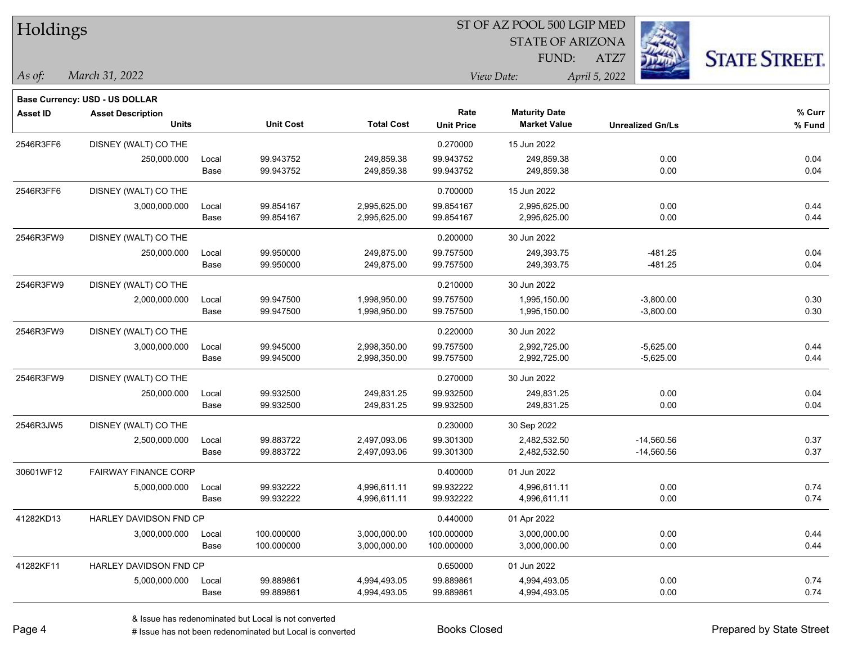| Holdings        |                                          |               |                        |                              | ST OF AZ POOL 500 LGIP MED |                                             |                         |                      |  |  |
|-----------------|------------------------------------------|---------------|------------------------|------------------------------|----------------------------|---------------------------------------------|-------------------------|----------------------|--|--|
|                 |                                          |               |                        |                              |                            | <b>STATE OF ARIZONA</b>                     |                         |                      |  |  |
|                 |                                          |               |                        |                              |                            | FUND:                                       | ATZ7                    | <b>STATE STREET.</b> |  |  |
| As of:          | March 31, 2022                           |               |                        |                              |                            | View Date:                                  | April 5, 2022           |                      |  |  |
|                 |                                          |               |                        |                              |                            |                                             |                         |                      |  |  |
|                 | Base Currency: USD - US DOLLAR           |               |                        |                              |                            |                                             |                         |                      |  |  |
| <b>Asset ID</b> | <b>Asset Description</b><br><b>Units</b> |               | <b>Unit Cost</b>       | <b>Total Cost</b>            | Rate<br><b>Unit Price</b>  | <b>Maturity Date</b><br><b>Market Value</b> | <b>Unrealized Gn/Ls</b> | % Curr<br>% Fund     |  |  |
|                 |                                          |               |                        |                              |                            |                                             |                         |                      |  |  |
| 2546R3FF6       | DISNEY (WALT) CO THE                     |               |                        |                              | 0.270000                   | 15 Jun 2022                                 |                         |                      |  |  |
|                 | 250,000.000                              | Local<br>Base | 99.943752<br>99.943752 | 249.859.38<br>249,859.38     | 99.943752<br>99.943752     | 249,859.38<br>249,859.38                    | 0.00<br>0.00            | 0.04<br>0.04         |  |  |
|                 |                                          |               |                        |                              |                            |                                             |                         |                      |  |  |
| 2546R3FF6       | DISNEY (WALT) CO THE                     |               |                        |                              | 0.700000                   | 15 Jun 2022                                 |                         |                      |  |  |
|                 | 3,000,000.000                            | Local<br>Base | 99.854167<br>99.854167 | 2,995,625.00<br>2,995,625.00 | 99.854167<br>99.854167     | 2,995,625.00<br>2,995,625.00                | 0.00<br>0.00            | 0.44<br>0.44         |  |  |
|                 |                                          |               |                        |                              |                            |                                             |                         |                      |  |  |
| 2546R3FW9       | DISNEY (WALT) CO THE                     |               |                        |                              | 0.200000                   | 30 Jun 2022                                 |                         |                      |  |  |
|                 | 250,000.000                              | Local<br>Base | 99.950000<br>99.950000 | 249,875.00<br>249,875.00     | 99.757500<br>99.757500     | 249,393.75<br>249,393.75                    | $-481.25$<br>$-481.25$  | 0.04<br>0.04         |  |  |
|                 |                                          |               |                        |                              |                            |                                             |                         |                      |  |  |
| 2546R3FW9       | DISNEY (WALT) CO THE                     |               |                        |                              | 0.210000                   | 30 Jun 2022                                 |                         |                      |  |  |
|                 | 2,000,000.000                            | Local         | 99.947500<br>99.947500 | 1,998,950.00                 | 99.757500<br>99.757500     | 1,995,150.00<br>1,995,150.00                | $-3,800.00$             | 0.30<br>0.30         |  |  |
|                 |                                          | Base          |                        | 1,998,950.00                 |                            |                                             | $-3,800.00$             |                      |  |  |
| 2546R3FW9       | DISNEY (WALT) CO THE                     |               |                        |                              | 0.220000                   | 30 Jun 2022                                 |                         |                      |  |  |
|                 | 3,000,000.000                            | Local         | 99.945000              | 2,998,350.00                 | 99.757500                  | 2,992,725.00                                | $-5,625.00$             | 0.44                 |  |  |
|                 |                                          | Base          | 99.945000              | 2,998,350.00                 | 99.757500                  | 2,992,725.00                                | $-5,625.00$             | 0.44                 |  |  |
| 2546R3FW9       | DISNEY (WALT) CO THE                     |               |                        |                              | 0.270000                   | 30 Jun 2022                                 |                         |                      |  |  |
|                 | 250,000.000                              | Local         | 99.932500              | 249,831.25                   | 99.932500                  | 249,831.25                                  | 0.00                    | 0.04                 |  |  |
|                 |                                          | Base          | 99.932500              | 249,831.25                   | 99.932500                  | 249,831.25                                  | 0.00                    | 0.04                 |  |  |
| 2546R3JW5       | DISNEY (WALT) CO THE                     |               |                        |                              | 0.230000                   | 30 Sep 2022                                 |                         |                      |  |  |
|                 | 2,500,000.000                            | Local         | 99.883722              | 2,497,093.06                 | 99.301300                  | 2,482,532.50                                | $-14,560.56$            | 0.37                 |  |  |
|                 |                                          | Base          | 99.883722              | 2,497,093.06                 | 99.301300                  | 2,482,532.50                                | $-14,560.56$            | 0.37                 |  |  |
| 30601WF12       | <b>FAIRWAY FINANCE CORP</b>              |               |                        |                              | 0.400000                   | 01 Jun 2022                                 |                         |                      |  |  |
|                 | 5,000,000.000                            | Local         | 99.932222              | 4,996,611.11                 | 99.932222                  | 4,996,611.11                                | 0.00                    | 0.74                 |  |  |
|                 |                                          | Base          | 99.932222              | 4,996,611.11                 | 99.932222                  | 4,996,611.11                                | 0.00                    | 0.74                 |  |  |
| 41282KD13       | HARLEY DAVIDSON FND CP                   |               |                        |                              | 0.440000                   | 01 Apr 2022                                 |                         |                      |  |  |
|                 | 3,000,000.000                            | Local         | 100.000000             | 3,000,000.00                 | 100.000000                 | 3,000,000.00                                | 0.00                    | 0.44                 |  |  |
|                 |                                          | Base          | 100.000000             | 3,000,000.00                 | 100.000000                 | 3,000,000.00                                | 0.00                    | 0.44                 |  |  |
| 41282KF11       | HARLEY DAVIDSON FND CP                   |               |                        |                              | 0.650000                   | 01 Jun 2022                                 |                         |                      |  |  |
|                 | 5,000,000.000                            | Local         | 99.889861              | 4,994,493.05                 | 99.889861                  | 4,994,493.05                                | 0.00                    | 0.74                 |  |  |
|                 |                                          | Base          | 99.889861              | 4,994,493.05                 | 99.889861                  | 4,994,493.05                                | 0.00                    | 0.74                 |  |  |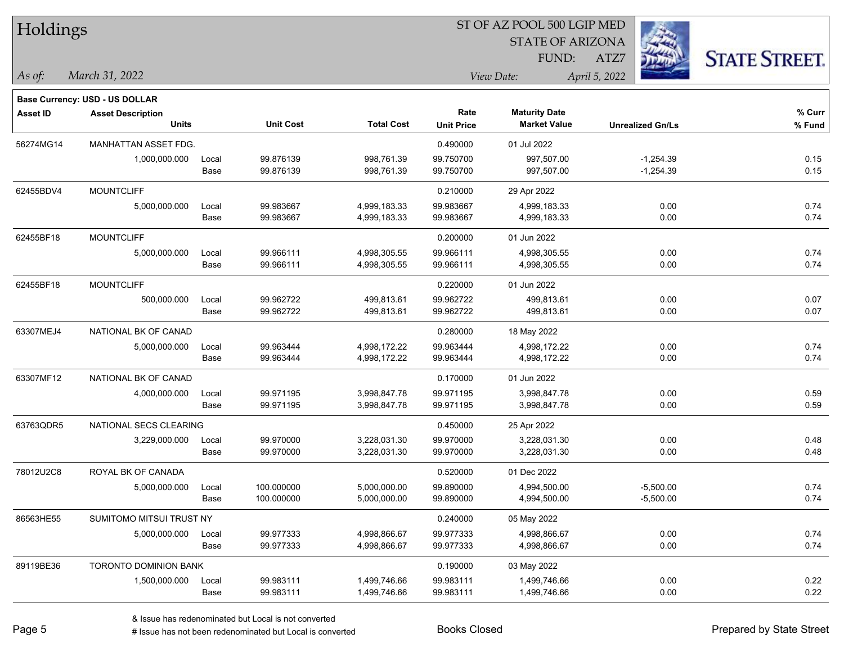| Holdings        |                                       |       |                  |                   |                   | 51 OF AZ POOL 500 LGIP MED |                         |                     |
|-----------------|---------------------------------------|-------|------------------|-------------------|-------------------|----------------------------|-------------------------|---------------------|
|                 |                                       |       |                  |                   |                   | <b>STATE OF ARIZONA</b>    |                         |                     |
|                 |                                       |       |                  |                   |                   | FUND:                      | ATZ7                    | <b>STATE STREET</b> |
| As of:          | March 31, 2022                        |       |                  |                   |                   | View Date:                 | April 5, 2022           |                     |
|                 |                                       |       |                  |                   |                   |                            |                         |                     |
|                 | <b>Base Currency: USD - US DOLLAR</b> |       |                  |                   |                   |                            |                         |                     |
| <b>Asset ID</b> | <b>Asset Description</b>              |       | <b>Unit Cost</b> | <b>Total Cost</b> | Rate              | <b>Maturity Date</b>       |                         | $%$ Curr            |
|                 | <b>Units</b>                          |       |                  |                   | <b>Unit Price</b> | <b>Market Value</b>        | <b>Unrealized Gn/Ls</b> | % Fund              |
| 56274MG14       | MANHATTAN ASSET FDG.                  |       |                  |                   | 0.490000          | 01 Jul 2022                |                         |                     |
|                 | 1,000,000.000                         | Local | 99.876139        | 998,761.39        | 99.750700         | 997,507.00                 | $-1,254.39$             | 0.15                |
|                 |                                       | Base  | 99.876139        | 998,761.39        | 99.750700         | 997,507.00                 | $-1,254.39$             | 0.15                |
| 62455BDV4       | <b>MOUNTCLIFF</b>                     |       |                  |                   | 0.210000          | 29 Apr 2022                |                         |                     |
|                 | 5,000,000.000                         | Local | 99.983667        | 4,999,183.33      | 99.983667         | 4,999,183.33               | 0.00                    | 0.74                |
|                 |                                       | Base  | 99.983667        | 4,999,183.33      | 99.983667         | 4,999,183.33               | 0.00                    | 0.74                |
| 62455BF18       | <b>MOUNTCLIFF</b>                     |       |                  |                   | 0.200000          | 01 Jun 2022                |                         |                     |
|                 | 5,000,000.000                         | Local | 99.966111        | 4,998,305.55      | 99.966111         | 4,998,305.55               | 0.00                    | 0.74                |
|                 |                                       | Base  | 99.966111        | 4,998,305.55      | 99.966111         | 4,998,305.55               | 0.00                    | 0.74                |
| 62455BF18       | <b>MOUNTCLIFF</b>                     |       |                  |                   | 0.220000          | 01 Jun 2022                |                         |                     |
|                 | 500,000.000                           | Local | 99.962722        | 499,813.61        | 99.962722         | 499,813.61                 | 0.00                    | 0.07                |
|                 |                                       | Base  | 99.962722        | 499,813.61        | 99.962722         | 499,813.61                 | 0.00                    | 0.07                |
| 63307MEJ4       | NATIONAL BK OF CANAD                  |       |                  |                   | 0.280000          | 18 May 2022                |                         |                     |
|                 | 5,000,000.000                         | Local | 99.963444        | 4,998,172.22      | 99.963444         | 4,998,172.22               | 0.00                    | 0.74                |
|                 |                                       | Base  | 99.963444        | 4,998,172.22      | 99.963444         | 4,998,172.22               | 0.00                    | 0.74                |
| 63307MF12       | NATIONAL BK OF CANAD                  |       |                  |                   | 0.170000          | 01 Jun 2022                |                         |                     |
|                 | 4,000,000.000                         | Local | 99.971195        | 3,998,847.78      | 99.971195         | 3,998,847.78               | 0.00                    | 0.59                |
|                 |                                       | Base  | 99.971195        | 3,998,847.78      | 99.971195         | 3,998,847.78               | 0.00                    | 0.59                |
| 63763QDR5       | NATIONAL SECS CLEARING                |       |                  |                   | 0.450000          | 25 Apr 2022                |                         |                     |
|                 | 3,229,000.000                         | Local | 99.970000        | 3,228,031.30      | 99.970000         | 3,228,031.30               | 0.00                    | 0.48                |
|                 |                                       | Base  | 99.970000        | 3,228,031.30      | 99.970000         | 3,228,031.30               | 0.00                    | 0.48                |
| 78012U2C8       | ROYAL BK OF CANADA                    |       |                  |                   | 0.520000          | 01 Dec 2022                |                         |                     |
|                 | 5,000,000.000                         | Local | 100.000000       | 5,000,000.00      | 99.890000         | 4,994,500.00               | $-5,500.00$             | 0.74                |
|                 |                                       | Base  | 100.000000       | 5,000,000.00      | 99.890000         | 4,994,500.00               | $-5,500.00$             | 0.74                |
| 86563HE55       | SUMITOMO MITSUI TRUST NY              |       |                  |                   | 0.240000          | 05 May 2022                |                         |                     |
|                 | 5,000,000.000                         | Local | 99.977333        | 4,998,866.67      | 99.977333         | 4,998,866.67               | 0.00                    | 0.74                |
|                 |                                       | Base  | 99.977333        | 4,998,866.67      | 99.977333         | 4,998,866.67               | 0.00                    | 0.74                |
| 89119BE36       | TORONTO DOMINION BANK                 |       |                  |                   | 0.190000          | 03 May 2022                |                         |                     |
|                 | 1,500,000.000                         | Local | 99.983111        | 1,499,746.66      | 99.983111         | 1,499,746.66               | 0.00                    | 0.22                |
|                 |                                       | Base  | 99.983111        | 1,499,746.66      | 99.983111         | 1,499,746.66               | 0.00                    | 0.22                |

 $\overline{\text{SP } \overline{\text{SP } \text{O}}$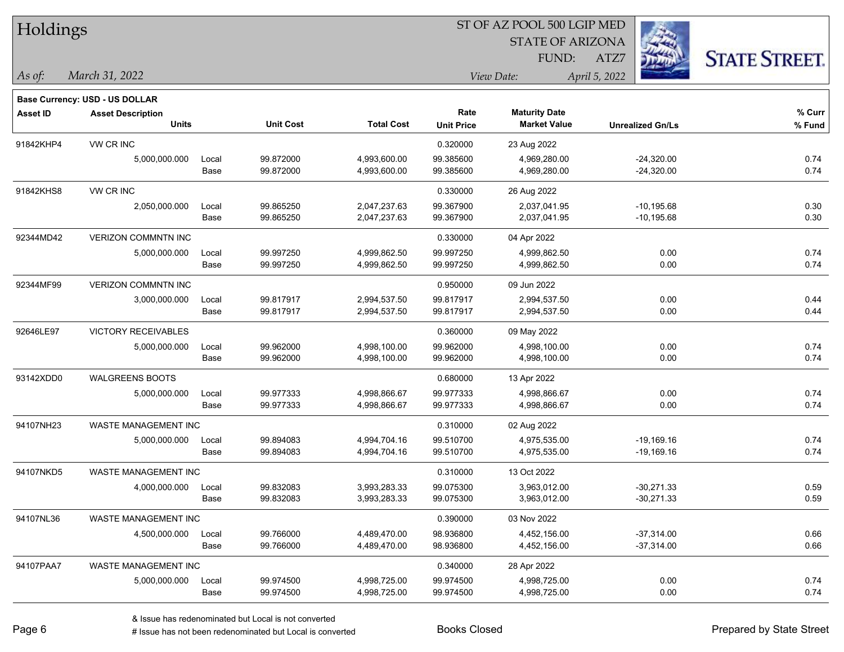| Holdings        |                                |       |                  |                   | ST OF AZ POOL 500 LGIP MED |                         |                         |                      |  |  |
|-----------------|--------------------------------|-------|------------------|-------------------|----------------------------|-------------------------|-------------------------|----------------------|--|--|
|                 |                                |       |                  |                   |                            | <b>STATE OF ARIZONA</b> |                         |                      |  |  |
|                 |                                |       |                  |                   |                            | FUND:                   | ATZ7                    | <b>STATE STREET.</b> |  |  |
| As of:          | March 31, 2022                 |       |                  |                   |                            | View Date:              | April 5, 2022           |                      |  |  |
|                 | Base Currency: USD - US DOLLAR |       |                  |                   |                            |                         |                         |                      |  |  |
| <b>Asset ID</b> | <b>Asset Description</b>       |       |                  |                   | Rate                       | <b>Maturity Date</b>    |                         | % Curr               |  |  |
|                 | <b>Units</b>                   |       | <b>Unit Cost</b> | <b>Total Cost</b> | <b>Unit Price</b>          | <b>Market Value</b>     | <b>Unrealized Gn/Ls</b> | % Fund               |  |  |
| 91842KHP4       | VW CR INC                      |       |                  |                   | 0.320000                   | 23 Aug 2022             |                         |                      |  |  |
|                 | 5,000,000.000                  | Local | 99.872000        | 4,993,600.00      | 99.385600                  | 4,969,280.00            | $-24,320.00$            | 0.74                 |  |  |
|                 |                                | Base  | 99.872000        | 4,993,600.00      | 99.385600                  | 4,969,280.00            | $-24,320.00$            | 0.74                 |  |  |
| 91842KHS8       | VW CR INC                      |       |                  |                   | 0.330000                   | 26 Aug 2022             |                         |                      |  |  |
|                 | 2,050,000.000                  | Local | 99.865250        | 2,047,237.63      | 99.367900                  | 2,037,041.95            | $-10,195.68$            | 0.30                 |  |  |
|                 |                                | Base  | 99.865250        | 2,047,237.63      | 99.367900                  | 2,037,041.95            | $-10, 195.68$           | 0.30                 |  |  |
| 92344MD42       | VERIZON COMMNTN INC            |       |                  |                   | 0.330000                   | 04 Apr 2022             |                         |                      |  |  |
|                 | 5,000,000.000                  | Local | 99.997250        | 4,999,862.50      | 99.997250                  | 4,999,862.50            | 0.00                    | 0.74                 |  |  |
|                 |                                | Base  | 99.997250        | 4,999,862.50      | 99.997250                  | 4,999,862.50            | 0.00                    | 0.74                 |  |  |
| 92344MF99       | <b>VERIZON COMMNTN INC</b>     |       |                  |                   | 0.950000                   | 09 Jun 2022             |                         |                      |  |  |
|                 | 3,000,000.000                  | Local | 99.817917        | 2,994,537.50      | 99.817917                  | 2,994,537.50            | 0.00                    | 0.44                 |  |  |
|                 |                                | Base  | 99.817917        | 2,994,537.50      | 99.817917                  | 2,994,537.50            | 0.00                    | 0.44                 |  |  |
| 92646LE97       | VICTORY RECEIVABLES            |       |                  |                   | 0.360000                   | 09 May 2022             |                         |                      |  |  |
|                 | 5,000,000.000                  | Local | 99.962000        | 4,998,100.00      | 99.962000                  | 4,998,100.00            | 0.00                    | 0.74                 |  |  |
|                 |                                | Base  | 99.962000        | 4,998,100.00      | 99.962000                  | 4,998,100.00            | 0.00                    | 0.74                 |  |  |
| 93142XDD0       | <b>WALGREENS BOOTS</b>         |       |                  |                   | 0.680000                   | 13 Apr 2022             |                         |                      |  |  |
|                 | 5,000,000.000                  | Local | 99.977333        | 4,998,866.67      | 99.977333                  | 4,998,866.67            | 0.00                    | 0.74                 |  |  |
|                 |                                | Base  | 99.977333        | 4,998,866.67      | 99.977333                  | 4,998,866.67            | 0.00                    | 0.74                 |  |  |
| 94107NH23       | WASTE MANAGEMENT INC           |       |                  |                   | 0.310000                   | 02 Aug 2022             |                         |                      |  |  |
|                 | 5,000,000.000                  | Local | 99.894083        | 4,994,704.16      | 99.510700                  | 4,975,535.00            | $-19,169.16$            | 0.74                 |  |  |
|                 |                                | Base  | 99.894083        | 4,994,704.16      | 99.510700                  | 4,975,535.00            | $-19,169.16$            | 0.74                 |  |  |
| 94107NKD5       | WASTE MANAGEMENT INC           |       |                  |                   | 0.310000                   | 13 Oct 2022             |                         |                      |  |  |
|                 | 4,000,000.000                  | Local | 99.832083        | 3,993,283.33      | 99.075300                  | 3,963,012.00            | $-30,271.33$            | 0.59                 |  |  |
|                 |                                | Base  | 99.832083        | 3,993,283.33      | 99.075300                  | 3,963,012.00            | $-30,271.33$            | 0.59                 |  |  |
| 94107NL36       | WASTE MANAGEMENT INC           |       |                  |                   | 0.390000                   | 03 Nov 2022             |                         |                      |  |  |
|                 | 4,500,000.000                  | Local | 99.766000        | 4,489,470.00      | 98.936800                  | 4,452,156.00            | $-37,314.00$            | 0.66                 |  |  |
|                 |                                | Base  | 99.766000        | 4,489,470.00      | 98.936800                  | 4,452,156.00            | $-37,314.00$            | 0.66                 |  |  |
| 94107PAA7       | WASTE MANAGEMENT INC           |       |                  |                   | 0.340000                   | 28 Apr 2022             |                         |                      |  |  |
|                 | 5,000,000.000                  | Local | 99.974500        | 4,998,725.00      | 99.974500                  | 4,998,725.00            | 0.00                    | 0.74                 |  |  |
|                 |                                | Base  | 99.974500        | 4,998,725.00      | 99.974500                  | 4,998,725.00            | 0.00                    | 0.74                 |  |  |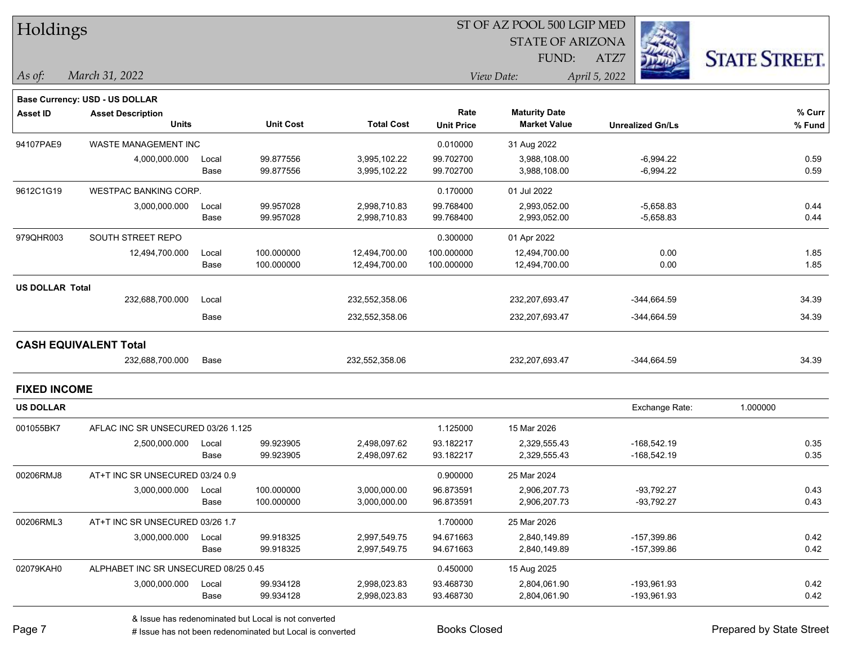| Holdings               |                                       |       |                  |                   |                   | ST OF AZ POOL 500 LGIP MED |                         |                      |
|------------------------|---------------------------------------|-------|------------------|-------------------|-------------------|----------------------------|-------------------------|----------------------|
|                        |                                       |       |                  |                   |                   | <b>STATE OF ARIZONA</b>    |                         |                      |
|                        |                                       |       |                  |                   |                   | FUND:                      | ATZ7                    | <b>STATE STREET.</b> |
| As of:                 | March 31, 2022                        |       |                  |                   |                   | View Date:                 | April 5, 2022           |                      |
|                        | <b>Base Currency: USD - US DOLLAR</b> |       |                  |                   |                   |                            |                         |                      |
| <b>Asset ID</b>        | <b>Asset Description</b>              |       |                  |                   | Rate              | <b>Maturity Date</b>       |                         | $%$ Curr             |
|                        | <b>Units</b>                          |       | <b>Unit Cost</b> | <b>Total Cost</b> | <b>Unit Price</b> | <b>Market Value</b>        | <b>Unrealized Gn/Ls</b> | % Fund               |
| 94107PAE9              | WASTE MANAGEMENT INC                  |       |                  |                   | 0.010000          | 31 Aug 2022                |                         |                      |
|                        | 4,000,000.000                         | Local | 99.877556        | 3,995,102.22      | 99.702700         | 3,988,108.00               | $-6,994.22$             | 0.59                 |
|                        |                                       | Base  | 99.877556        | 3,995,102.22      | 99.702700         | 3,988,108.00               | $-6,994.22$             | 0.59                 |
| 9612C1G19              | <b>WESTPAC BANKING CORP.</b>          |       |                  |                   | 0.170000          | 01 Jul 2022                |                         |                      |
|                        | 3,000,000.000                         | Local | 99.957028        | 2,998,710.83      | 99.768400         | 2,993,052.00               | $-5,658.83$             | 0.44                 |
|                        |                                       | Base  | 99.957028        | 2,998,710.83      | 99.768400         | 2,993,052.00               | $-5,658.83$             | 0.44                 |
| 979QHR003              | SOUTH STREET REPO                     |       |                  |                   | 0.300000          | 01 Apr 2022                |                         |                      |
|                        | 12,494,700.000                        | Local | 100.000000       | 12,494,700.00     | 100.000000        | 12,494,700.00              | 0.00                    | 1.85                 |
|                        |                                       | Base  | 100.000000       | 12,494,700.00     | 100.000000        | 12,494,700.00              | 0.00                    | 1.85                 |
| <b>US DOLLAR Total</b> |                                       |       |                  |                   |                   |                            |                         |                      |
|                        | 232,688,700.000                       | Local |                  | 232,552,358.06    |                   | 232,207,693.47             | $-344,664.59$           | 34.39                |
|                        |                                       | Base  |                  | 232,552,358.06    |                   | 232,207,693.47             | $-344,664.59$           | 34.39                |
|                        | <b>CASH EQUIVALENT Total</b>          |       |                  |                   |                   |                            |                         |                      |
|                        | 232,688,700.000                       | Base  |                  | 232,552,358.06    |                   | 232,207,693.47             | $-344,664.59$           | 34.39                |
| <b>FIXED INCOME</b>    |                                       |       |                  |                   |                   |                            |                         |                      |
| <b>US DOLLAR</b>       |                                       |       |                  |                   |                   |                            | Exchange Rate:          | 1.000000             |
| 001055BK7              | AFLAC INC SR UNSECURED 03/26 1.125    |       |                  |                   | 1.125000          | 15 Mar 2026                |                         |                      |
|                        | 2,500,000.000                         | Local | 99.923905        | 2,498,097.62      | 93.182217         | 2,329,555.43               | $-168,542.19$           | 0.35                 |
|                        |                                       | Base  | 99.923905        | 2,498,097.62      | 93.182217         | 2,329,555.43               | $-168,542.19$           | 0.35                 |
| 00206RMJ8              | AT+T INC SR UNSECURED 03/24 0.9       |       |                  |                   | 0.900000          | 25 Mar 2024                |                         |                      |
|                        | 3,000,000.000                         | Local | 100.000000       | 3,000,000.00      | 96.873591         | 2,906,207.73               | $-93,792.27$            | 0.43                 |
|                        |                                       | Base  | 100.000000       | 3,000,000.00      | 96.873591         | 2,906,207.73               | $-93,792.27$            | 0.43                 |
| 00206RML3              | AT+T INC SR UNSECURED 03/26 1.7       |       |                  |                   | 1.700000          | 25 Mar 2026                |                         |                      |
|                        | 3,000,000.000                         | Local | 99.918325        | 2,997,549.75      | 94.671663         | 2,840,149.89               | -157,399.86             | 0.42                 |
|                        |                                       | Base  | 99.918325        | 2,997,549.75      | 94.671663         | 2,840,149.89               | -157,399.86             | 0.42                 |
| 02079KAH0              | ALPHABET INC SR UNSECURED 08/25 0.45  |       |                  |                   | 0.450000          | 15 Aug 2025                |                         |                      |
|                        | 3,000,000.000                         | Local | 99.934128        | 2,998,023.83      | 93.468730         | 2,804,061.90               | -193,961.93             | 0.42                 |
|                        |                                       | Base  | 99.934128        | 2,998,023.83      | 93.468730         | 2,804,061.90               | -193,961.93             | 0.42                 |
|                        |                                       |       |                  |                   |                   |                            |                         |                      |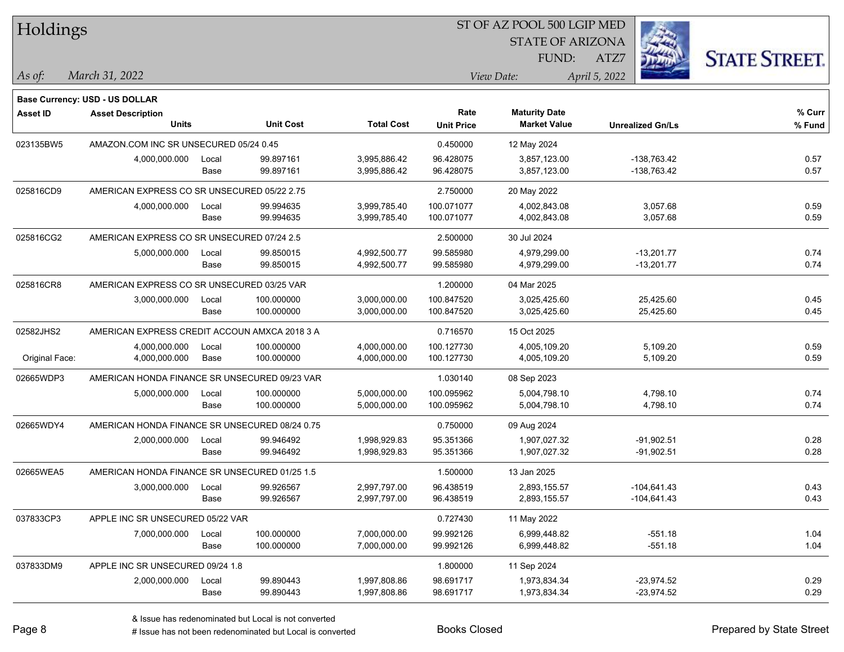| Holdings        |                                                |       |                  |                   |                   | ST OF AZ POOL 500 LGIP MED |                         |                      |
|-----------------|------------------------------------------------|-------|------------------|-------------------|-------------------|----------------------------|-------------------------|----------------------|
|                 |                                                |       |                  |                   |                   | <b>STATE OF ARIZONA</b>    |                         |                      |
|                 |                                                |       |                  |                   |                   | FUND:                      | ATZ7                    | <b>STATE STREET.</b> |
| As of:          | March 31, 2022                                 |       |                  |                   |                   | View Date:                 | April 5, 2022           |                      |
|                 |                                                |       |                  |                   |                   |                            |                         |                      |
|                 | <b>Base Currency: USD - US DOLLAR</b>          |       |                  |                   |                   |                            |                         |                      |
| <b>Asset ID</b> | <b>Asset Description</b>                       |       |                  |                   | Rate              | <b>Maturity Date</b>       |                         | % Curr               |
|                 | <b>Units</b>                                   |       | <b>Unit Cost</b> | <b>Total Cost</b> | <b>Unit Price</b> | <b>Market Value</b>        | <b>Unrealized Gn/Ls</b> | % Fund               |
| 023135BW5       | AMAZON.COM INC SR UNSECURED 05/24 0.45         |       |                  |                   | 0.450000          | 12 May 2024                |                         |                      |
|                 | 4,000,000.000                                  | Local | 99.897161        | 3,995,886.42      | 96.428075         | 3,857,123.00               | -138,763.42             | 0.57                 |
|                 |                                                | Base  | 99.897161        | 3,995,886.42      | 96.428075         | 3,857,123.00               | -138,763.42             | 0.57                 |
| 025816CD9       | AMERICAN EXPRESS CO SR UNSECURED 05/22 2.75    |       |                  |                   | 2.750000          | 20 May 2022                |                         |                      |
|                 | 4,000,000.000                                  | Local | 99.994635        | 3,999,785.40      | 100.071077        | 4,002,843.08               | 3,057.68                | 0.59                 |
|                 |                                                | Base  | 99.994635        | 3,999,785.40      | 100.071077        | 4,002,843.08               | 3,057.68                | 0.59                 |
| 025816CG2       | AMERICAN EXPRESS CO SR UNSECURED 07/24 2.5     |       |                  |                   | 2.500000          | 30 Jul 2024                |                         |                      |
|                 | 5,000,000.000                                  | Local | 99.850015        | 4,992,500.77      | 99.585980         | 4,979,299.00               | $-13,201.77$            | 0.74                 |
|                 |                                                | Base  | 99.850015        | 4,992,500.77      | 99.585980         | 4,979,299.00               | $-13,201.77$            | 0.74                 |
| 025816CR8       | AMERICAN EXPRESS CO SR UNSECURED 03/25 VAR     |       |                  |                   | 1.200000          | 04 Mar 2025                |                         |                      |
|                 | 3,000,000.000                                  | Local | 100.000000       | 3,000,000.00      | 100.847520        | 3,025,425.60               | 25,425.60               | 0.45                 |
|                 |                                                | Base  | 100.000000       | 3,000,000.00      | 100.847520        | 3,025,425.60               | 25,425.60               | 0.45                 |
| 02582JHS2       | AMERICAN EXPRESS CREDIT ACCOUN AMXCA 2018 3 A  |       |                  |                   | 0.716570          | 15 Oct 2025                |                         |                      |
|                 | 4,000,000.000                                  | Local | 100.000000       | 4,000,000.00      | 100.127730        | 4,005,109.20               | 5,109.20                | 0.59                 |
| Original Face:  | 4,000,000.000                                  | Base  | 100.000000       | 4,000,000.00      | 100.127730        | 4,005,109.20               | 5,109.20                | 0.59                 |
| 02665WDP3       | AMERICAN HONDA FINANCE SR UNSECURED 09/23 VAR  |       |                  |                   | 1.030140          | 08 Sep 2023                |                         |                      |
|                 | 5,000,000.000                                  | Local | 100.000000       | 5,000,000.00      | 100.095962        | 5,004,798.10               | 4,798.10                | 0.74                 |
|                 |                                                | Base  | 100.000000       | 5,000,000.00      | 100.095962        | 5,004,798.10               | 4,798.10                | 0.74                 |
| 02665WDY4       | AMERICAN HONDA FINANCE SR UNSECURED 08/24 0.75 |       |                  |                   | 0.750000          | 09 Aug 2024                |                         |                      |
|                 | 2,000,000.000                                  | Local | 99.946492        | 1,998,929.83      | 95.351366         | 1,907,027.32               | $-91,902.51$            | 0.28                 |
|                 |                                                | Base  | 99.946492        | 1,998,929.83      | 95.351366         | 1,907,027.32               | $-91,902.51$            | 0.28                 |
| 02665WEA5       | AMERICAN HONDA FINANCE SR UNSECURED 01/25 1.5  |       |                  |                   | 1.500000          | 13 Jan 2025                |                         |                      |
|                 | 3,000,000.000                                  | Local | 99.926567        | 2,997,797.00      | 96.438519         | 2,893,155.57               | $-104,641.43$           | 0.43                 |
|                 |                                                | Base  | 99.926567        | 2,997,797.00      | 96.438519         | 2,893,155.57               | $-104,641.43$           | 0.43                 |
| 037833CP3       | APPLE INC SR UNSECURED 05/22 VAR               |       |                  |                   | 0.727430          | 11 May 2022                |                         |                      |
|                 | 7,000,000.000                                  | Local | 100.000000       | 7,000,000.00      | 99.992126         | 6,999,448.82               | $-551.18$               | 1.04                 |
|                 |                                                | Base  | 100.000000       | 7,000,000.00      | 99.992126         | 6,999,448.82               | $-551.18$               | 1.04                 |
| 037833DM9       | APPLE INC SR UNSECURED 09/24 1.8               |       |                  |                   | 1.800000          | 11 Sep 2024                |                         |                      |
|                 | 2,000,000.000                                  | Local | 99.890443        | 1,997,808.86      | 98.691717         | 1,973,834.34               | $-23,974.52$            | 0.29                 |
|                 |                                                | Base  | 99.890443        | 1,997,808.86      | 98.691717         | 1,973,834.34               | -23,974.52              | 0.29                 |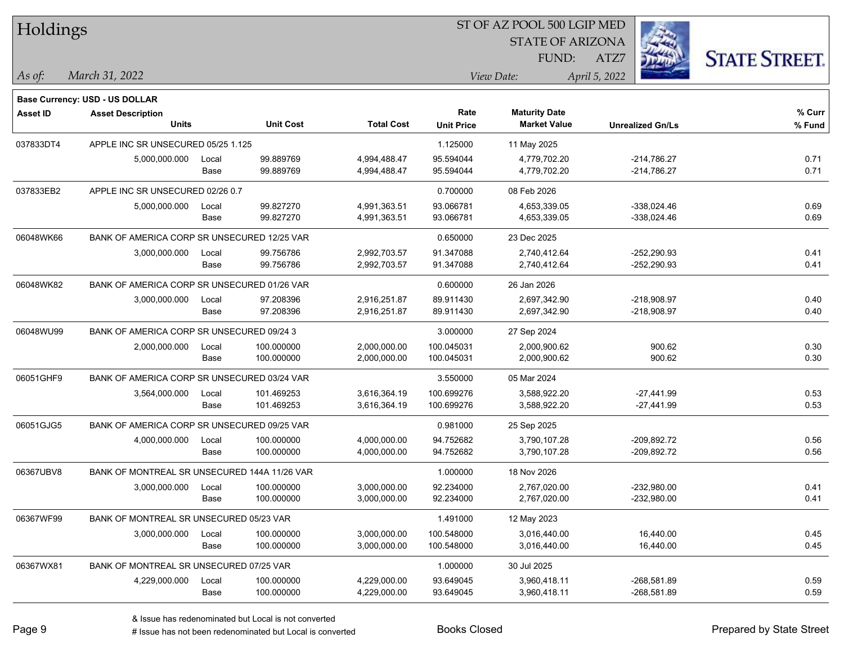| Holdings        |                                              |       |                  |                   | 51 OF AZ POOL 500 LGIP MED |                         |                         |                      |  |
|-----------------|----------------------------------------------|-------|------------------|-------------------|----------------------------|-------------------------|-------------------------|----------------------|--|
|                 |                                              |       |                  |                   |                            | <b>STATE OF ARIZONA</b> |                         |                      |  |
|                 |                                              |       |                  |                   |                            | FUND:                   | ATZ7                    | <b>STATE STREET.</b> |  |
| $As$ of:        | March 31, 2022                               |       |                  |                   |                            | View Date:              | April 5, 2022           |                      |  |
|                 |                                              |       |                  |                   |                            |                         |                         |                      |  |
|                 | Base Currency: USD - US DOLLAR               |       |                  |                   |                            |                         |                         |                      |  |
| <b>Asset ID</b> | <b>Asset Description</b>                     |       |                  |                   | Rate                       | <b>Maturity Date</b>    |                         | % Curr               |  |
|                 | <b>Units</b>                                 |       | <b>Unit Cost</b> | <b>Total Cost</b> | <b>Unit Price</b>          | <b>Market Value</b>     | <b>Unrealized Gn/Ls</b> | % Fund               |  |
| 037833DT4       | APPLE INC SR UNSECURED 05/25 1.125           |       |                  |                   | 1.125000                   | 11 May 2025             |                         |                      |  |
|                 | 5,000,000.000                                | Local | 99.889769        | 4,994,488.47      | 95.594044                  | 4,779,702.20            | $-214,786.27$           | 0.71                 |  |
|                 |                                              | Base  | 99.889769        | 4,994,488.47      | 95.594044                  | 4,779,702.20            | $-214,786.27$           | 0.71                 |  |
| 037833EB2       | APPLE INC SR UNSECURED 02/26 0.7             |       |                  |                   | 0.700000                   | 08 Feb 2026             |                         |                      |  |
|                 | 5,000,000.000                                | Local | 99.827270        | 4,991,363.51      | 93.066781                  | 4,653,339.05            | $-338,024.46$           | 0.69                 |  |
|                 |                                              | Base  | 99.827270        | 4,991,363.51      | 93.066781                  | 4,653,339.05            | $-338,024.46$           | 0.69                 |  |
| 06048WK66       | BANK OF AMERICA CORP SR UNSECURED 12/25 VAR  |       |                  |                   | 0.650000                   | 23 Dec 2025             |                         |                      |  |
|                 | 3,000,000.000                                | Local | 99.756786        | 2,992,703.57      | 91.347088                  | 2,740,412.64            | $-252,290.93$           | 0.41                 |  |
|                 |                                              | Base  | 99.756786        | 2,992,703.57      | 91.347088                  | 2,740,412.64            | $-252,290.93$           | 0.41                 |  |
| 06048WK82       | BANK OF AMERICA CORP SR UNSECURED 01/26 VAR  |       |                  |                   | 0.600000                   | 26 Jan 2026             |                         |                      |  |
|                 | 3,000,000.000                                | Local | 97.208396        | 2,916,251.87      | 89.911430                  | 2,697,342.90            | $-218,908.97$           | 0.40                 |  |
|                 |                                              | Base  | 97.208396        | 2,916,251.87      | 89.911430                  | 2,697,342.90            | $-218,908.97$           | 0.40                 |  |
| 06048WU99       | BANK OF AMERICA CORP SR UNSECURED 09/24 3    |       |                  |                   | 3.000000                   | 27 Sep 2024             |                         |                      |  |
|                 | 2,000,000.000                                | Local | 100.000000       | 2,000,000.00      | 100.045031                 | 2,000,900.62            | 900.62                  | 0.30                 |  |
|                 |                                              | Base  | 100.000000       | 2,000,000.00      | 100.045031                 | 2,000,900.62            | 900.62                  | 0.30                 |  |
| 06051GHF9       | BANK OF AMERICA CORP SR UNSECURED 03/24 VAR  |       |                  |                   | 3.550000                   | 05 Mar 2024             |                         |                      |  |
|                 | 3,564,000.000                                | Local | 101.469253       | 3,616,364.19      | 100.699276                 | 3,588,922.20            | $-27,441.99$            | 0.53                 |  |
|                 |                                              | Base  | 101.469253       | 3,616,364.19      | 100.699276                 | 3,588,922.20            | -27,441.99              | 0.53                 |  |
| 06051GJG5       | BANK OF AMERICA CORP SR UNSECURED 09/25 VAR  |       |                  |                   | 0.981000                   | 25 Sep 2025             |                         |                      |  |
|                 | 4,000,000.000                                | Local | 100.000000       | 4,000,000.00      | 94.752682                  | 3,790,107.28            | -209,892.72             | 0.56                 |  |
|                 |                                              | Base  | 100.000000       | 4,000,000.00      | 94.752682                  | 3,790,107.28            | -209,892.72             | 0.56                 |  |
| 06367UBV8       | BANK OF MONTREAL SR UNSECURED 144A 11/26 VAR |       |                  |                   | 1.000000                   | 18 Nov 2026             |                         |                      |  |
|                 | 3,000,000.000                                | Local | 100.000000       | 3,000,000.00      | 92.234000                  | 2,767,020.00            | $-232,980.00$           | 0.41                 |  |
|                 |                                              | Base  | 100.000000       | 3,000,000.00      | 92.234000                  | 2,767,020.00            | $-232,980.00$           | 0.41                 |  |
| 06367WF99       | BANK OF MONTREAL SR UNSECURED 05/23 VAR      |       |                  |                   | 1.491000                   | 12 May 2023             |                         |                      |  |
|                 | 3,000,000.000                                | Local | 100.000000       | 3,000,000.00      | 100.548000                 | 3,016,440.00            | 16,440.00               | 0.45                 |  |
|                 |                                              | Base  | 100.000000       | 3,000,000.00      | 100.548000                 | 3,016,440.00            | 16,440.00               | 0.45                 |  |
| 06367WX81       | BANK OF MONTREAL SR UNSECURED 07/25 VAR      |       |                  |                   | 1.000000                   | 30 Jul 2025             |                         |                      |  |
|                 | 4,229,000.000                                | Local | 100.000000       | 4,229,000.00      | 93.649045                  | 3,960,418.11            | $-268,581.89$           | 0.59                 |  |
|                 |                                              | Base  | 100.000000       | 4,229,000.00      | 93.649045                  | 3,960,418.11            | -268,581.89             | 0.59                 |  |

 $STOT$   $BT A Z DOQI$  500 LGIP MED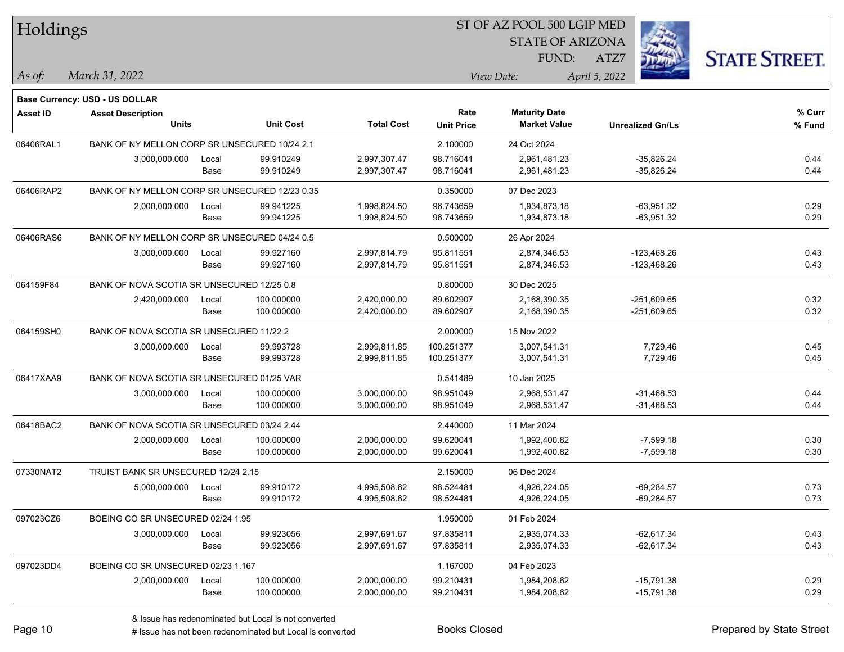| Holdings  |                                                |       |                  |                   | ST OF AZ POOL 500 LGIP MED |                         |                         |                      |  |  |
|-----------|------------------------------------------------|-------|------------------|-------------------|----------------------------|-------------------------|-------------------------|----------------------|--|--|
|           |                                                |       |                  |                   |                            | <b>STATE OF ARIZONA</b> |                         |                      |  |  |
|           |                                                |       |                  |                   |                            | FUND:                   | ATZ7                    | <b>STATE STREET.</b> |  |  |
| As of:    | March 31, 2022                                 |       |                  |                   |                            | View Date:              | April 5, 2022           |                      |  |  |
|           |                                                |       |                  |                   |                            |                         |                         |                      |  |  |
|           | <b>Base Currency: USD - US DOLLAR</b>          |       |                  |                   |                            |                         |                         |                      |  |  |
| Asset ID  | <b>Asset Description</b>                       |       |                  |                   | Rate                       | <b>Maturity Date</b>    |                         | % Curr               |  |  |
|           | <b>Units</b>                                   |       | <b>Unit Cost</b> | <b>Total Cost</b> | <b>Unit Price</b>          | <b>Market Value</b>     | <b>Unrealized Gn/Ls</b> | % Fund               |  |  |
| 06406RAL1 | BANK OF NY MELLON CORP SR UNSECURED 10/24 2.1  |       |                  |                   | 2.100000                   | 24 Oct 2024             |                         |                      |  |  |
|           | 3,000,000.000                                  | Local | 99.910249        | 2,997,307.47      | 98.716041                  | 2,961,481.23            | $-35,826.24$            | 0.44                 |  |  |
|           |                                                | Base  | 99.910249        | 2,997,307.47      | 98.716041                  | 2,961,481.23            | $-35,826.24$            | 0.44                 |  |  |
| 06406RAP2 | BANK OF NY MELLON CORP SR UNSECURED 12/23 0.35 |       |                  |                   | 0.350000                   | 07 Dec 2023             |                         |                      |  |  |
|           | 2,000,000.000                                  | Local | 99.941225        | 1,998,824.50      | 96.743659                  | 1,934,873.18            | -63,951.32              | 0.29                 |  |  |
|           |                                                | Base  | 99.941225        | 1,998,824.50      | 96.743659                  | 1,934,873.18            | $-63,951.32$            | 0.29                 |  |  |
| 06406RAS6 | BANK OF NY MELLON CORP SR UNSECURED 04/24 0.5  |       |                  |                   | 0.500000                   | 26 Apr 2024             |                         |                      |  |  |
|           | 3,000,000.000                                  | Local | 99.927160        | 2,997,814.79      | 95.811551                  | 2,874,346.53            | $-123,468.26$           | 0.43                 |  |  |
|           |                                                | Base  | 99.927160        | 2,997,814.79      | 95.811551                  | 2,874,346.53            | $-123,468.26$           | 0.43                 |  |  |
| 064159F84 | BANK OF NOVA SCOTIA SR UNSECURED 12/25 0.8     |       |                  |                   | 0.800000                   | 30 Dec 2025             |                         |                      |  |  |
|           | 2,420,000.000                                  | Local | 100.000000       | 2,420,000.00      | 89.602907                  | 2,168,390.35            | $-251,609.65$           | 0.32                 |  |  |
|           |                                                | Base  | 100.000000       | 2,420,000.00      | 89.602907                  | 2,168,390.35            | $-251,609.65$           | 0.32                 |  |  |
| 064159SH0 | BANK OF NOVA SCOTIA SR UNSECURED 11/22 2       |       |                  |                   | 2.000000                   | 15 Nov 2022             |                         |                      |  |  |
|           | 3,000,000.000                                  | Local | 99.993728        | 2,999,811.85      | 100.251377                 | 3,007,541.31            | 7,729.46                | 0.45                 |  |  |
|           |                                                | Base  | 99.993728        | 2,999,811.85      | 100.251377                 | 3,007,541.31            | 7,729.46                | 0.45                 |  |  |
| 06417XAA9 | BANK OF NOVA SCOTIA SR UNSECURED 01/25 VAR     |       |                  |                   | 0.541489                   | 10 Jan 2025             |                         |                      |  |  |
|           | 3,000,000.000                                  | Local | 100.000000       | 3,000,000.00      | 98.951049                  | 2,968,531.47            | $-31,468.53$            | 0.44                 |  |  |
|           |                                                | Base  | 100.000000       | 3,000,000.00      | 98.951049                  | 2,968,531.47            | $-31,468.53$            | 0.44                 |  |  |
| 06418BAC2 | BANK OF NOVA SCOTIA SR UNSECURED 03/24 2.44    |       |                  |                   | 2.440000                   | 11 Mar 2024             |                         |                      |  |  |
|           | 2,000,000.000                                  | Local | 100.000000       | 2,000,000.00      | 99.620041                  | 1,992,400.82            | $-7,599.18$             | 0.30                 |  |  |
|           |                                                | Base  | 100.000000       | 2,000,000.00      | 99.620041                  | 1,992,400.82            | $-7,599.18$             | 0.30                 |  |  |
| 07330NAT2 | TRUIST BANK SR UNSECURED 12/24 2.15            |       |                  |                   | 2.150000                   | 06 Dec 2024             |                         |                      |  |  |
|           | 5,000,000.000                                  | Local | 99.910172        | 4,995,508.62      | 98.524481                  | 4,926,224.05            | $-69.284.57$            | 0.73                 |  |  |
|           |                                                | Base  | 99.910172        | 4,995,508.62      | 98.524481                  | 4,926,224.05            | $-69,284.57$            | 0.73                 |  |  |
| 097023CZ6 | BOEING CO SR UNSECURED 02/24 1.95              |       |                  |                   | 1.950000                   | 01 Feb 2024             |                         |                      |  |  |
|           | 3,000,000.000                                  | Local | 99.923056        | 2,997,691.67      | 97.835811                  | 2,935,074.33            | $-62,617.34$            | 0.43                 |  |  |
|           |                                                | Base  | 99.923056        | 2,997,691.67      | 97.835811                  | 2,935,074.33            | $-62,617.34$            | 0.43                 |  |  |
| 097023DD4 | BOEING CO SR UNSECURED 02/23 1.167             |       |                  |                   | 1.167000                   | 04 Feb 2023             |                         |                      |  |  |
|           | 2,000,000.000                                  | Local | 100.000000       | 2,000,000.00      | 99.210431                  | 1,984,208.62            | $-15,791.38$            | 0.29                 |  |  |
|           |                                                | Base  | 100.000000       | 2,000,000.00      | 99.210431                  | 1,984,208.62            | $-15,791.38$            | 0.29                 |  |  |
|           |                                                |       |                  |                   |                            |                         |                         |                      |  |  |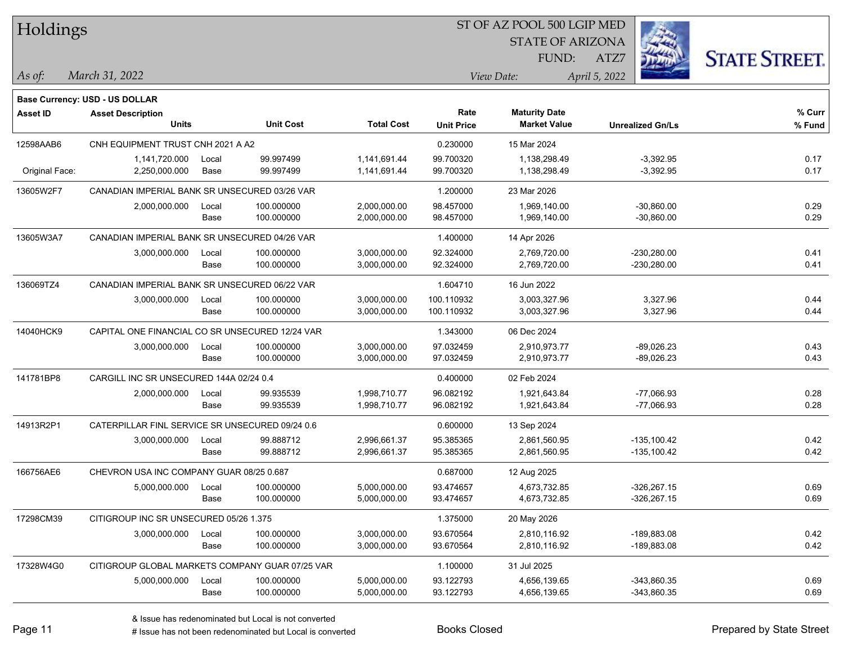| Holdings        |                                                 |       |                  |                   | ST OF AZ POOL 500 LGIP MED |                         |                         |                      |  |  |
|-----------------|-------------------------------------------------|-------|------------------|-------------------|----------------------------|-------------------------|-------------------------|----------------------|--|--|
|                 |                                                 |       |                  |                   |                            | <b>STATE OF ARIZONA</b> |                         |                      |  |  |
|                 |                                                 |       |                  |                   |                            | FUND:                   | ATZ7                    | <b>STATE STREET.</b> |  |  |
| As of:          | March 31, 2022                                  |       |                  |                   |                            | View Date:              | April 5, 2022           |                      |  |  |
|                 |                                                 |       |                  |                   |                            |                         |                         |                      |  |  |
|                 | Base Currency: USD - US DOLLAR                  |       |                  |                   |                            |                         |                         |                      |  |  |
| <b>Asset ID</b> | <b>Asset Description</b>                        |       |                  |                   | Rate                       | <b>Maturity Date</b>    |                         | % Curr               |  |  |
|                 | <b>Units</b>                                    |       | <b>Unit Cost</b> | <b>Total Cost</b> | <b>Unit Price</b>          | <b>Market Value</b>     | <b>Unrealized Gn/Ls</b> | % Fund               |  |  |
| 12598AAB6       | CNH EQUIPMENT TRUST CNH 2021 A A2               |       |                  |                   | 0.230000                   | 15 Mar 2024             |                         |                      |  |  |
|                 | 1,141,720.000                                   | Local | 99.997499        | 1,141,691.44      | 99.700320                  | 1,138,298.49            | $-3,392.95$             | 0.17                 |  |  |
| Original Face:  | 2,250,000.000                                   | Base  | 99.997499        | 1,141,691.44      | 99.700320                  | 1,138,298.49            | $-3,392.95$             | 0.17                 |  |  |
| 13605W2F7       | CANADIAN IMPERIAL BANK SR UNSECURED 03/26 VAR   |       |                  |                   | 1.200000                   | 23 Mar 2026             |                         |                      |  |  |
|                 | 2,000,000.000                                   | Local | 100.000000       | 2,000,000.00      | 98.457000                  | 1,969,140.00            | $-30,860.00$            | 0.29                 |  |  |
|                 |                                                 | Base  | 100.000000       | 2,000,000.00      | 98.457000                  | 1,969,140.00            | $-30,860.00$            | 0.29                 |  |  |
| 13605W3A7       | CANADIAN IMPERIAL BANK SR UNSECURED 04/26 VAR   |       |                  |                   | 1.400000                   | 14 Apr 2026             |                         |                      |  |  |
|                 | 3,000,000.000                                   | Local | 100.000000       | 3,000,000.00      | 92.324000                  | 2,769,720.00            | $-230,280.00$           | 0.41                 |  |  |
|                 |                                                 | Base  | 100.000000       | 3,000,000.00      | 92.324000                  | 2,769,720.00            | $-230,280.00$           | 0.41                 |  |  |
| 136069TZ4       | CANADIAN IMPERIAL BANK SR UNSECURED 06/22 VAR   |       |                  |                   | 1.604710                   | 16 Jun 2022             |                         |                      |  |  |
|                 | 3,000,000.000                                   | Local | 100.000000       | 3,000,000.00      | 100.110932                 | 3,003,327.96            | 3,327.96                | 0.44                 |  |  |
|                 |                                                 | Base  | 100.000000       | 3,000,000.00      | 100.110932                 | 3,003,327.96            | 3,327.96                | 0.44                 |  |  |
| 14040HCK9       | CAPITAL ONE FINANCIAL CO SR UNSECURED 12/24 VAR |       |                  |                   | 1.343000                   | 06 Dec 2024             |                         |                      |  |  |
|                 | 3,000,000.000                                   | Local | 100.000000       | 3,000,000.00      | 97.032459                  | 2,910,973.77            | $-89,026.23$            | 0.43                 |  |  |
|                 |                                                 | Base  | 100.000000       | 3,000,000.00      | 97.032459                  | 2,910,973.77            | $-89,026.23$            | 0.43                 |  |  |
| 141781BP8       | CARGILL INC SR UNSECURED 144A 02/24 0.4         |       |                  |                   | 0.400000                   | 02 Feb 2024             |                         |                      |  |  |
|                 | 2,000,000.000                                   | Local | 99.935539        | 1,998,710.77      | 96.082192                  | 1,921,643.84            | $-77,066.93$            | 0.28                 |  |  |
|                 |                                                 | Base  | 99.935539        | 1,998,710.77      | 96.082192                  | 1,921,643.84            | $-77,066.93$            | 0.28                 |  |  |
| 14913R2P1       | CATERPILLAR FINL SERVICE SR UNSECURED 09/24 0.6 |       |                  |                   | 0.600000                   | 13 Sep 2024             |                         |                      |  |  |
|                 | 3,000,000.000                                   | Local | 99.888712        | 2,996,661.37      | 95.385365                  | 2,861,560.95            | $-135,100.42$           | 0.42                 |  |  |
|                 |                                                 | Base  | 99.888712        | 2,996,661.37      | 95.385365                  | 2,861,560.95            | $-135,100.42$           | 0.42                 |  |  |
| 166756AE6       | CHEVRON USA INC COMPANY GUAR 08/25 0.687        |       |                  |                   | 0.687000                   | 12 Aug 2025             |                         |                      |  |  |
|                 | 5,000,000.000                                   | Local | 100.000000       | 5,000,000.00      | 93.474657                  | 4,673,732.85            | $-326.267.15$           | 0.69                 |  |  |
|                 |                                                 | Base  | 100.000000       | 5,000,000.00      | 93.474657                  | 4,673,732.85            | $-326,267.15$           | 0.69                 |  |  |
| 17298CM39       | CITIGROUP INC SR UNSECURED 05/26 1.375          |       |                  |                   | 1.375000                   | 20 May 2026             |                         |                      |  |  |
|                 | 3,000,000.000                                   | Local | 100.000000       | 3,000,000.00      | 93.670564                  | 2,810,116.92            | -189,883.08             | 0.42                 |  |  |
|                 |                                                 | Base  | 100.000000       | 3,000,000.00      | 93.670564                  | 2,810,116.92            | -189,883.08             | 0.42                 |  |  |
| 17328W4G0       | CITIGROUP GLOBAL MARKETS COMPANY GUAR 07/25 VAR |       |                  |                   | 1.100000                   | 31 Jul 2025             |                         |                      |  |  |
|                 | 5,000,000.000                                   | Local | 100.000000       | 5,000,000.00      | 93.122793                  | 4,656,139.65            | $-343,860.35$           | 0.69                 |  |  |
|                 |                                                 | Base  | 100.000000       | 5,000,000.00      | 93.122793                  | 4,656,139.65            | $-343,860.35$           | 0.69                 |  |  |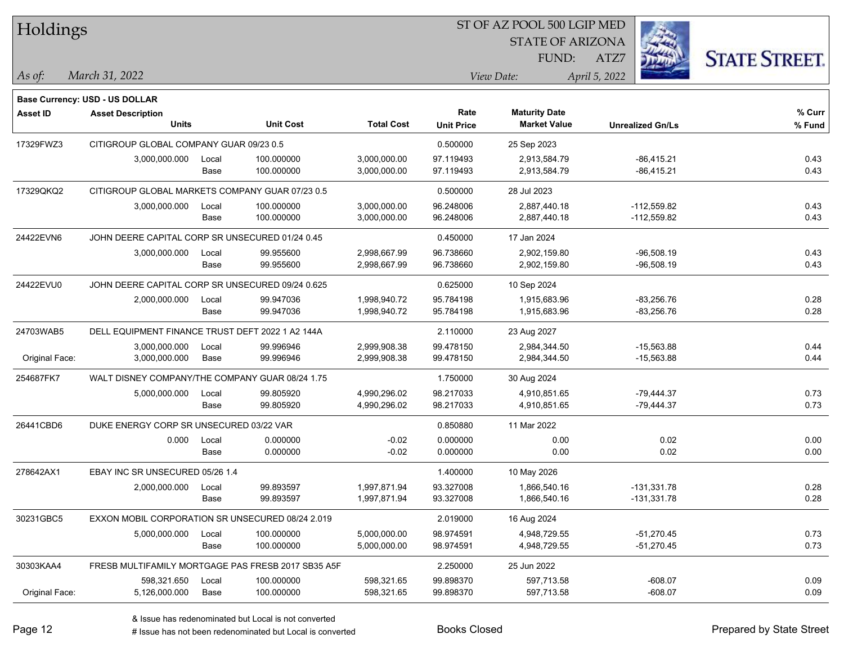| Holdings       |                                                  |       |                                                    |                   | ST OF AZ POOL 500 LGIP MED |                         |                         |                      |  |  |
|----------------|--------------------------------------------------|-------|----------------------------------------------------|-------------------|----------------------------|-------------------------|-------------------------|----------------------|--|--|
|                |                                                  |       |                                                    |                   |                            | <b>STATE OF ARIZONA</b> |                         |                      |  |  |
|                |                                                  |       |                                                    |                   |                            | FUND:                   | ATZ7                    | <b>STATE STREET.</b> |  |  |
| As of:         | March 31, 2022                                   |       |                                                    |                   |                            | View Date:              | April 5, 2022           |                      |  |  |
|                |                                                  |       |                                                    |                   |                            |                         |                         |                      |  |  |
|                | <b>Base Currency: USD - US DOLLAR</b>            |       |                                                    |                   |                            |                         |                         |                      |  |  |
| Asset ID       | <b>Asset Description</b>                         |       |                                                    |                   | Rate                       | <b>Maturity Date</b>    |                         | % Curr               |  |  |
|                | <b>Units</b>                                     |       | <b>Unit Cost</b>                                   | <b>Total Cost</b> | <b>Unit Price</b>          | <b>Market Value</b>     | <b>Unrealized Gn/Ls</b> | % Fund               |  |  |
| 17329FWZ3      | CITIGROUP GLOBAL COMPANY GUAR 09/23 0.5          |       |                                                    |                   | 0.500000                   | 25 Sep 2023             |                         |                      |  |  |
|                | 3,000,000.000                                    | Local | 100.000000                                         | 3,000,000.00      | 97.119493                  | 2,913,584.79            | $-86,415.21$            | 0.43                 |  |  |
|                |                                                  | Base  | 100.000000                                         | 3,000,000.00      | 97.119493                  | 2,913,584.79            | $-86,415.21$            | 0.43                 |  |  |
| 17329QKQ2      | CITIGROUP GLOBAL MARKETS COMPANY GUAR 07/23 0.5  |       |                                                    |                   | 0.500000                   | 28 Jul 2023             |                         |                      |  |  |
|                | 3,000,000.000                                    | Local | 100.000000                                         | 3,000,000.00      | 96.248006                  | 2,887,440.18            | $-112,559.82$           | 0.43                 |  |  |
|                |                                                  | Base  | 100.000000                                         | 3,000,000.00      | 96.248006                  | 2,887,440.18            | $-112,559.82$           | 0.43                 |  |  |
| 24422EVN6      | JOHN DEERE CAPITAL CORP SR UNSECURED 01/24 0.45  |       |                                                    |                   | 0.450000                   | 17 Jan 2024             |                         |                      |  |  |
|                | 3,000,000.000                                    | Local | 99.955600                                          | 2,998,667.99      | 96.738660                  | 2,902,159.80            | $-96,508.19$            | 0.43                 |  |  |
|                |                                                  | Base  | 99.955600                                          | 2,998,667.99      | 96.738660                  | 2,902,159.80            | $-96,508.19$            | 0.43                 |  |  |
| 24422EVU0      | JOHN DEERE CAPITAL CORP SR UNSECURED 09/24 0.625 |       |                                                    |                   | 0.625000                   | 10 Sep 2024             |                         |                      |  |  |
|                | 2,000,000.000                                    | Local | 99.947036                                          | 1,998,940.72      | 95.784198                  | 1,915,683.96            | $-83,256.76$            | 0.28                 |  |  |
|                |                                                  | Base  | 99.947036                                          | 1,998,940.72      | 95.784198                  | 1,915,683.96            | $-83,256.76$            | 0.28                 |  |  |
| 24703WAB5      | DELL EQUIPMENT FINANCE TRUST DEFT 2022 1 A2 144A |       |                                                    |                   | 2.110000                   | 23 Aug 2027             |                         |                      |  |  |
|                | 3,000,000.000                                    | Local | 99.996946                                          | 2,999,908.38      | 99.478150                  | 2,984,344.50            | $-15,563.88$            | 0.44                 |  |  |
| Original Face: | 3,000,000.000                                    | Base  | 99.996946                                          | 2,999,908.38      | 99.478150                  | 2,984,344.50            | $-15,563.88$            | 0.44                 |  |  |
| 254687FK7      | WALT DISNEY COMPANY/THE COMPANY GUAR 08/24 1.75  |       |                                                    |                   | 1.750000                   | 30 Aug 2024             |                         |                      |  |  |
|                | 5,000,000.000                                    | Local | 99.805920                                          | 4,990,296.02      | 98.217033                  | 4,910,851.65            | $-79,444.37$            | 0.73                 |  |  |
|                |                                                  | Base  | 99.805920                                          | 4,990,296.02      | 98.217033                  | 4,910,851.65            | $-79,444.37$            | 0.73                 |  |  |
| 26441CBD6      | DUKE ENERGY CORP SR UNSECURED 03/22 VAR          |       |                                                    |                   | 0.850880                   | 11 Mar 2022             |                         |                      |  |  |
|                | 0.000                                            | Local | 0.000000                                           | $-0.02$           | 0.000000                   | 0.00                    | 0.02                    | 0.00                 |  |  |
|                |                                                  | Base  | 0.000000                                           | $-0.02$           | 0.000000                   | 0.00                    | 0.02                    | 0.00                 |  |  |
| 278642AX1      | EBAY INC SR UNSECURED 05/26 1.4                  |       |                                                    |                   | 1.400000                   | 10 May 2026             |                         |                      |  |  |
|                | 2,000,000.000                                    | Local | 99.893597                                          | 1,997,871.94      | 93.327008                  | 1,866,540.16            | -131,331.78             | 0.28                 |  |  |
|                |                                                  | Base  | 99.893597                                          | 1,997,871.94      | 93.327008                  | 1,866,540.16            | $-131,331.78$           | 0.28                 |  |  |
| 30231GBC5      | EXXON MOBIL CORPORATION SR UNSECURED 08/24 2.019 |       |                                                    |                   | 2.019000                   | 16 Aug 2024             |                         |                      |  |  |
|                | 5,000,000.000                                    | Local | 100.000000                                         | 5,000,000.00      | 98.974591                  | 4,948,729.55            | $-51,270.45$            | 0.73                 |  |  |
|                |                                                  | Base  | 100.000000                                         | 5,000,000.00      | 98.974591                  | 4,948,729.55            | -51,270.45              | 0.73                 |  |  |
| 30303KAA4      |                                                  |       | FRESB MULTIFAMILY MORTGAGE PAS FRESB 2017 SB35 A5F |                   | 2.250000                   | 25 Jun 2022             |                         |                      |  |  |
|                | 598,321.650                                      | Local | 100.000000                                         | 598,321.65        | 99.898370                  | 597,713.58              | $-608.07$               | 0.09                 |  |  |
| Original Face: | 5,126,000.000                                    | Base  | 100.000000                                         | 598,321.65        | 99.898370                  | 597,713.58              | $-608.07$               | 0.09                 |  |  |
|                |                                                  |       |                                                    |                   |                            |                         |                         |                      |  |  |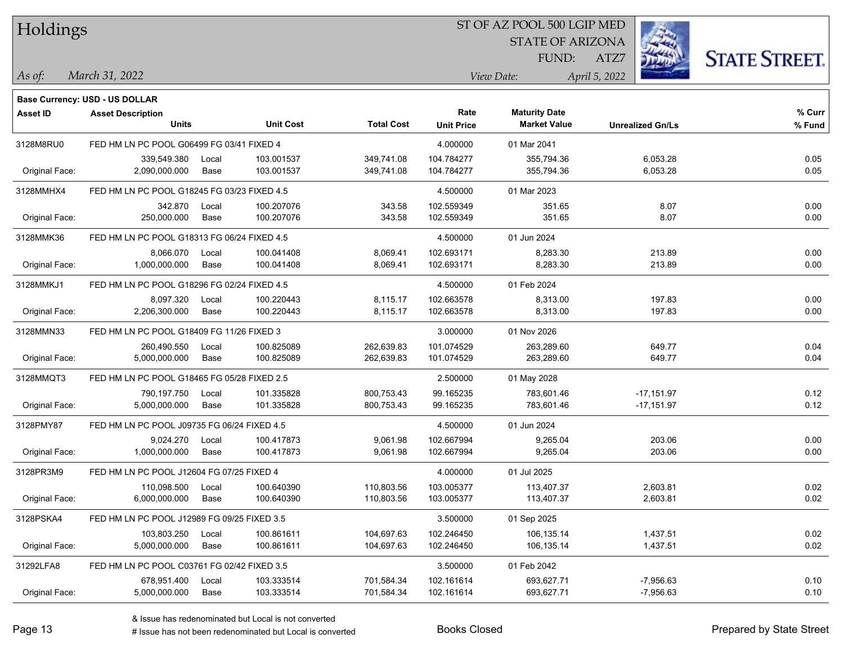| Holdings        |                                             |               |                          |                          |                           | ST OF AZ POOL 500 LGIP MED                  |                         |                      |
|-----------------|---------------------------------------------|---------------|--------------------------|--------------------------|---------------------------|---------------------------------------------|-------------------------|----------------------|
|                 |                                             |               |                          |                          |                           | <b>STATE OF ARIZONA</b>                     |                         |                      |
|                 |                                             |               |                          |                          |                           | FUND:                                       | ATZ7                    | <b>STATE STREET.</b> |
| As of:          | March 31, 2022                              |               |                          |                          |                           | View Date:                                  | April 5, 2022           |                      |
|                 |                                             |               |                          |                          |                           |                                             |                         |                      |
|                 | <b>Base Currency: USD - US DOLLAR</b>       |               |                          |                          |                           |                                             |                         |                      |
| <b>Asset ID</b> | <b>Asset Description</b><br><b>Units</b>    |               | <b>Unit Cost</b>         | <b>Total Cost</b>        | Rate<br><b>Unit Price</b> | <b>Maturity Date</b><br><b>Market Value</b> | <b>Unrealized Gn/Ls</b> | % Curr<br>% Fund     |
|                 |                                             |               |                          |                          |                           |                                             |                         |                      |
| 3128M8RU0       | FED HM LN PC POOL G06499 FG 03/41 FIXED 4   |               |                          |                          | 4.000000                  | 01 Mar 2041                                 |                         |                      |
| Original Face:  | 339,549.380<br>2,090,000.000                | Local<br>Base | 103.001537<br>103.001537 | 349,741.08<br>349,741.08 | 104.784277<br>104.784277  | 355,794.36<br>355,794.36                    | 6,053.28<br>6,053.28    | 0.05<br>0.05         |
|                 |                                             |               |                          |                          |                           |                                             |                         |                      |
| 3128MMHX4       | FED HM LN PC POOL G18245 FG 03/23 FIXED 4.5 |               |                          |                          | 4.500000                  | 01 Mar 2023                                 |                         |                      |
| Original Face:  | 342.870<br>250,000.000                      | Local<br>Base | 100.207076<br>100.207076 | 343.58<br>343.58         | 102.559349<br>102.559349  | 351.65<br>351.65                            | 8.07<br>8.07            | 0.00<br>0.00         |
|                 |                                             |               |                          |                          |                           |                                             |                         |                      |
| 3128MMK36       | FED HM LN PC POOL G18313 FG 06/24 FIXED 4.5 |               |                          |                          | 4.500000                  | 01 Jun 2024                                 |                         |                      |
| Original Face:  | 8,066.070<br>1,000,000.000                  | Local<br>Base | 100.041408<br>100.041408 | 8,069.41<br>8,069.41     | 102.693171<br>102.693171  | 8,283.30<br>8,283.30                        | 213.89<br>213.89        | 0.00<br>0.00         |
|                 |                                             |               |                          |                          |                           |                                             |                         |                      |
| 3128MMKJ1       | FED HM LN PC POOL G18296 FG 02/24 FIXED 4.5 |               |                          |                          | 4.500000                  | 01 Feb 2024                                 |                         |                      |
|                 | 8,097.320                                   | Local         | 100.220443<br>100.220443 | 8,115.17                 | 102.663578                | 8,313.00                                    | 197.83                  | 0.00                 |
| Original Face:  | 2,206,300.000                               | Base          |                          | 8,115.17                 | 102.663578                | 8,313.00                                    | 197.83                  | 0.00                 |
| 3128MMN33       | FED HM LN PC POOL G18409 FG 11/26 FIXED 3   |               |                          |                          | 3.000000                  | 01 Nov 2026                                 |                         |                      |
|                 | 260,490.550                                 | Local         | 100.825089               | 262,639.83               | 101.074529                | 263,289.60                                  | 649.77                  | 0.04                 |
| Original Face:  | 5,000,000.000                               | Base          | 100.825089               | 262,639.83               | 101.074529                | 263,289.60                                  | 649.77                  | 0.04                 |
| 3128MMQT3       | FED HM LN PC POOL G18465 FG 05/28 FIXED 2.5 |               |                          |                          | 2.500000                  | 01 May 2028                                 |                         |                      |
|                 | 790,197.750                                 | Local         | 101.335828               | 800,753.43               | 99.165235                 | 783,601.46                                  | $-17,151.97$            | 0.12                 |
| Original Face:  | 5,000,000.000                               | Base          | 101.335828               | 800,753.43               | 99.165235                 | 783,601.46                                  | $-17,151.97$            | 0.12                 |
| 3128PMY87       | FED HM LN PC POOL J09735 FG 06/24 FIXED 4.5 |               |                          |                          | 4.500000                  | 01 Jun 2024                                 |                         |                      |
|                 | 9,024.270                                   | Local         | 100.417873               | 9,061.98                 | 102.667994                | 9,265.04                                    | 203.06                  | 0.00                 |
| Original Face:  | 1,000,000.000                               | Base          | 100.417873               | 9,061.98                 | 102.667994                | 9,265.04                                    | 203.06                  | 0.00                 |
| 3128PR3M9       | FED HM LN PC POOL J12604 FG 07/25 FIXED 4   |               |                          |                          | 4.000000                  | 01 Jul 2025                                 |                         |                      |
|                 | 110,098.500 Local                           |               | 100.640390               | 110,803.56               | 103.005377                | 113,407.37                                  | 2,603.81                | 0.02                 |
| Original Face:  | 6,000,000.000                               | Base          | 100.640390               | 110,803.56               | 103.005377                | 113,407.37                                  | 2,603.81                | 0.02                 |
| 3128PSKA4       | FED HM LN PC POOL J12989 FG 09/25 FIXED 3.5 |               |                          |                          | 3.500000                  | 01 Sep 2025                                 |                         |                      |
|                 | 103,803.250                                 | Local         | 100.861611               | 104,697.63               | 102.246450                | 106,135.14                                  | 1,437.51                | 0.02                 |
| Original Face:  | 5,000,000.000                               | Base          | 100.861611               | 104,697.63               | 102.246450                | 106,135.14                                  | 1,437.51                | 0.02                 |
| 31292LFA8       | FED HM LN PC POOL C03761 FG 02/42 FIXED 3.5 |               |                          |                          | 3.500000                  | 01 Feb 2042                                 |                         |                      |
|                 | 678,951.400                                 | Local         | 103.333514               | 701,584.34               | 102.161614                | 693,627.71                                  | $-7,956.63$             | 0.10                 |
| Original Face:  | 5,000,000.000                               | Base          | 103.333514               | 701,584.34               | 102.161614                | 693,627.71                                  | $-7,956.63$             | 0.10                 |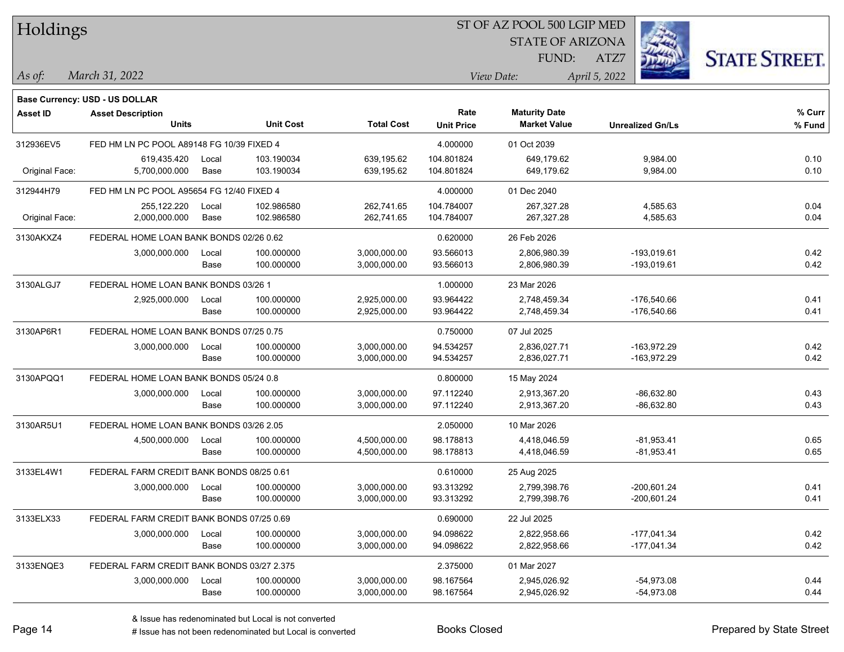| Holdings        |                                            |       |                          |                   |                           | ST OF AZ POOL 500 LGIP MED                  |                         |                      |
|-----------------|--------------------------------------------|-------|--------------------------|-------------------|---------------------------|---------------------------------------------|-------------------------|----------------------|
|                 |                                            |       |                          |                   |                           | <b>STATE OF ARIZONA</b>                     |                         |                      |
|                 |                                            |       |                          |                   |                           | FUND:                                       | ATZ7                    | <b>STATE STREET.</b> |
| $\vert$ As of:  | March 31, 2022                             |       |                          |                   |                           | View Date:                                  | April 5, 2022           |                      |
|                 |                                            |       |                          |                   |                           |                                             |                         |                      |
|                 | <b>Base Currency: USD - US DOLLAR</b>      |       |                          |                   |                           |                                             |                         |                      |
| <b>Asset ID</b> | <b>Asset Description</b><br><b>Units</b>   |       | <b>Unit Cost</b>         | <b>Total Cost</b> | Rate<br><b>Unit Price</b> | <b>Maturity Date</b><br><b>Market Value</b> | <b>Unrealized Gn/Ls</b> | $%$ Curr<br>% Fund   |
|                 |                                            |       |                          |                   |                           |                                             |                         |                      |
| 312936EV5       | FED HM LN PC POOL A89148 FG 10/39 FIXED 4  |       |                          |                   | 4.000000                  | 01 Oct 2039                                 |                         |                      |
|                 | 619,435.420                                | Local | 103.190034<br>103.190034 | 639,195.62        | 104.801824                | 649,179.62                                  | 9,984.00                | 0.10                 |
| Original Face:  | 5,700,000.000                              | Base  |                          | 639,195.62        | 104.801824                | 649,179.62                                  | 9,984.00                | 0.10                 |
| 312944H79       | FED HM LN PC POOL A95654 FG 12/40 FIXED 4  |       |                          |                   | 4.000000                  | 01 Dec 2040                                 |                         |                      |
|                 | 255,122.220                                | Local | 102.986580               | 262,741.65        | 104.784007                | 267,327.28                                  | 4,585.63                | 0.04                 |
| Original Face:  | 2,000,000.000                              | Base  | 102.986580               | 262,741.65        | 104.784007                | 267,327.28                                  | 4,585.63                | 0.04                 |
| 3130AKXZ4       | FEDERAL HOME LOAN BANK BONDS 02/26 0.62    |       |                          |                   | 0.620000                  | 26 Feb 2026                                 |                         |                      |
|                 | 3,000,000.000                              | Local | 100.000000               | 3,000,000.00      | 93.566013                 | 2,806,980.39                                | -193,019.61             | 0.42                 |
|                 |                                            | Base  | 100.000000               | 3,000,000.00      | 93.566013                 | 2,806,980.39                                | $-193,019.61$           | 0.42                 |
| 3130ALGJ7       | FEDERAL HOME LOAN BANK BONDS 03/26 1       |       |                          |                   | 1.000000                  | 23 Mar 2026                                 |                         |                      |
|                 | 2,925,000.000                              | Local | 100.000000               | 2,925,000.00      | 93.964422                 | 2,748,459.34                                | $-176,540.66$           | 0.41                 |
|                 |                                            | Base  | 100.000000               | 2,925,000.00      | 93.964422                 | 2,748,459.34                                | $-176,540.66$           | 0.41                 |
| 3130AP6R1       | FEDERAL HOME LOAN BANK BONDS 07/25 0.75    |       |                          |                   | 0.750000                  | 07 Jul 2025                                 |                         |                      |
|                 | 3,000,000.000                              | Local | 100.000000               | 3,000,000.00      | 94.534257                 | 2,836,027.71                                | $-163,972.29$           | 0.42                 |
|                 |                                            | Base  | 100.000000               | 3,000,000.00      | 94.534257                 | 2,836,027.71                                | -163,972.29             | 0.42                 |
| 3130APQQ1       | FEDERAL HOME LOAN BANK BONDS 05/24 0.8     |       |                          |                   | 0.800000                  | 15 May 2024                                 |                         |                      |
|                 | 3,000,000.000                              | Local | 100.000000               | 3,000,000.00      | 97.112240                 | 2,913,367.20                                | $-86,632.80$            | 0.43                 |
|                 |                                            | Base  | 100.000000               | 3,000,000.00      | 97.112240                 | 2,913,367.20                                | $-86,632.80$            | 0.43                 |
| 3130AR5U1       | FEDERAL HOME LOAN BANK BONDS 03/26 2.05    |       |                          |                   | 2.050000                  | 10 Mar 2026                                 |                         |                      |
|                 | 4,500,000.000                              | Local | 100.000000               | 4,500,000.00      | 98.178813                 | 4,418,046.59                                | $-81,953.41$            | 0.65                 |
|                 |                                            | Base  | 100.000000               | 4,500,000.00      | 98.178813                 | 4,418,046.59                                | $-81,953.41$            | 0.65                 |
| 3133EL4W1       | FEDERAL FARM CREDIT BANK BONDS 08/25 0.61  |       |                          |                   | 0.610000                  | 25 Aug 2025                                 |                         |                      |
|                 | 3,000,000.000                              | Local | 100.000000               | 3,000,000.00      | 93.313292                 | 2,799,398.76                                | $-200.601.24$           | 0.41                 |
|                 |                                            | Base  | 100.000000               | 3,000,000.00      | 93.313292                 | 2,799,398.76                                | $-200,601.24$           | 0.41                 |
| 3133ELX33       | FEDERAL FARM CREDIT BANK BONDS 07/25 0.69  |       |                          |                   | 0.690000                  | 22 Jul 2025                                 |                         |                      |
|                 | 3,000,000.000                              | Local | 100.000000               | 3,000,000.00      | 94.098622                 | 2,822,958.66                                | $-177,041.34$           | 0.42                 |
|                 |                                            | Base  | 100.000000               | 3,000,000.00      | 94.098622                 | 2,822,958.66                                | $-177,041.34$           | 0.42                 |
| 3133ENQE3       | FEDERAL FARM CREDIT BANK BONDS 03/27 2.375 |       |                          |                   | 2.375000                  | 01 Mar 2027                                 |                         |                      |
|                 | 3,000,000.000                              | Local | 100.000000               | 3,000,000.00      | 98.167564                 | 2,945,026.92                                | $-54,973.08$            | 0.44                 |
|                 |                                            | Base  | 100.000000               | 3,000,000.00      | 98.167564                 | 2,945,026.92                                | $-54,973.08$            | 0.44                 |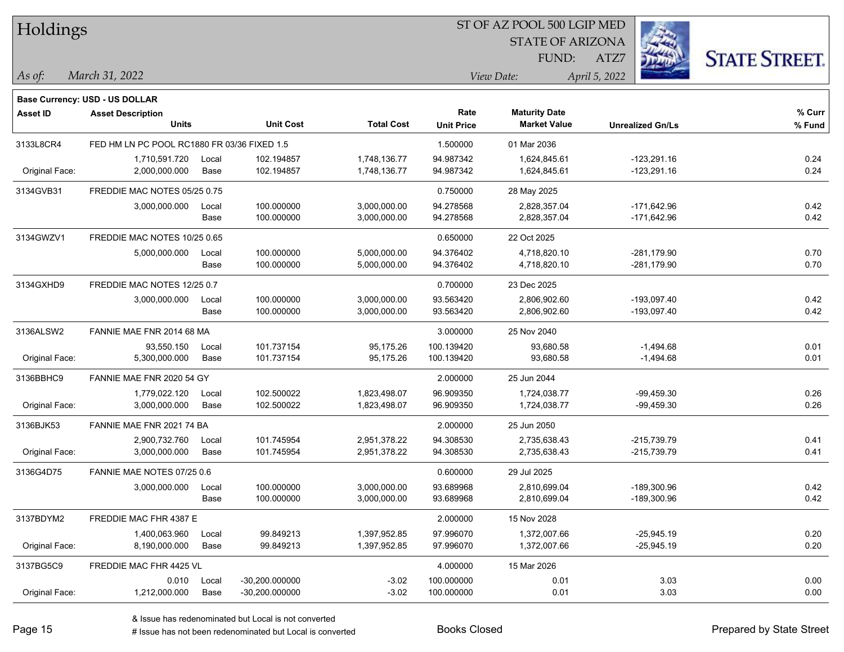| Holdings        |                                             |       |                          | ST OF AZ POOL 500 LGIP MED   |                           |                                             |                                |                      |  |  |  |
|-----------------|---------------------------------------------|-------|--------------------------|------------------------------|---------------------------|---------------------------------------------|--------------------------------|----------------------|--|--|--|
|                 |                                             |       |                          |                              |                           | <b>STATE OF ARIZONA</b>                     |                                |                      |  |  |  |
|                 |                                             |       |                          |                              |                           | FUND:                                       | ATZ7                           | <b>STATE STREET.</b> |  |  |  |
| $\vert$ As of:  | March 31, 2022                              |       |                          |                              |                           | View Date:                                  | April 5, 2022                  |                      |  |  |  |
|                 |                                             |       |                          |                              |                           |                                             |                                |                      |  |  |  |
|                 | Base Currency: USD - US DOLLAR              |       |                          |                              |                           |                                             |                                |                      |  |  |  |
| <b>Asset ID</b> | <b>Asset Description</b><br><b>Units</b>    |       | <b>Unit Cost</b>         | <b>Total Cost</b>            | Rate<br><b>Unit Price</b> | <b>Maturity Date</b><br><b>Market Value</b> | <b>Unrealized Gn/Ls</b>        | % Curr<br>% Fund     |  |  |  |
|                 |                                             |       |                          |                              |                           |                                             |                                |                      |  |  |  |
| 3133L8CR4       | FED HM LN PC POOL RC1880 FR 03/36 FIXED 1.5 |       |                          |                              | 1.500000                  | 01 Mar 2036                                 |                                |                      |  |  |  |
|                 | 1,710,591.720<br>2,000,000.000              | Local | 102.194857<br>102.194857 | 1,748,136.77<br>1,748,136.77 | 94.987342<br>94.987342    | 1,624,845.61<br>1,624,845.61                | $-123,291.16$<br>$-123,291.16$ | 0.24<br>0.24         |  |  |  |
| Original Face:  |                                             | Base  |                          |                              |                           |                                             |                                |                      |  |  |  |
| 3134GVB31       | FREDDIE MAC NOTES 05/25 0.75                |       |                          |                              | 0.750000                  | 28 May 2025                                 |                                |                      |  |  |  |
|                 | 3,000,000.000                               | Local | 100.000000               | 3,000,000.00                 | 94.278568                 | 2,828,357.04                                | $-171,642.96$                  | 0.42                 |  |  |  |
|                 |                                             | Base  | 100.000000               | 3,000,000.00                 | 94.278568                 | 2,828,357.04                                | $-171,642.96$                  | 0.42                 |  |  |  |
| 3134GWZV1       | FREDDIE MAC NOTES 10/25 0.65                |       |                          |                              | 0.650000                  | 22 Oct 2025                                 |                                |                      |  |  |  |
|                 | 5,000,000.000                               | Local | 100.000000               | 5,000,000.00                 | 94.376402                 | 4,718,820.10                                | $-281,179.90$                  | 0.70                 |  |  |  |
|                 |                                             | Base  | 100.000000               | 5,000,000.00                 | 94.376402                 | 4,718,820.10                                | $-281,179.90$                  | 0.70                 |  |  |  |
| 3134GXHD9       | FREDDIE MAC NOTES 12/25 0.7                 |       |                          |                              | 0.700000                  | 23 Dec 2025                                 |                                |                      |  |  |  |
|                 | 3,000,000.000                               | Local | 100.000000               | 3,000,000.00                 | 93.563420                 | 2,806,902.60                                | $-193,097.40$                  | 0.42                 |  |  |  |
|                 |                                             | Base  | 100.000000               | 3,000,000.00                 | 93.563420                 | 2,806,902.60                                | $-193,097.40$                  | 0.42                 |  |  |  |
| 3136ALSW2       | FANNIE MAE FNR 2014 68 MA                   |       |                          |                              | 3.000000                  | 25 Nov 2040                                 |                                |                      |  |  |  |
|                 | 93,550.150                                  | Local | 101.737154               | 95,175.26                    | 100.139420                | 93,680.58                                   | $-1,494.68$                    | 0.01                 |  |  |  |
| Original Face:  | 5,300,000.000                               | Base  | 101.737154               | 95,175.26                    | 100.139420                | 93,680.58                                   | $-1,494.68$                    | 0.01                 |  |  |  |
| 3136BBHC9       | FANNIE MAE FNR 2020 54 GY                   |       |                          |                              | 2.000000                  | 25 Jun 2044                                 |                                |                      |  |  |  |
|                 | 1,779,022.120                               | Local | 102.500022               | 1,823,498.07                 | 96.909350                 | 1,724,038.77                                | $-99,459.30$                   | 0.26                 |  |  |  |
| Original Face:  | 3,000,000.000                               | Base  | 102.500022               | 1,823,498.07                 | 96.909350                 | 1,724,038.77                                | $-99,459.30$                   | 0.26                 |  |  |  |
| 3136BJK53       | FANNIE MAE FNR 2021 74 BA                   |       |                          |                              | 2.000000                  | 25 Jun 2050                                 |                                |                      |  |  |  |
|                 | 2,900,732.760                               | Local | 101.745954               | 2,951,378.22                 | 94.308530                 | 2,735,638.43                                | $-215,739.79$                  | 0.41                 |  |  |  |
| Original Face:  | 3,000,000.000                               | Base  | 101.745954               | 2,951,378.22                 | 94.308530                 | 2,735,638.43                                | $-215,739.79$                  | 0.41                 |  |  |  |
| 3136G4D75       | FANNIE MAE NOTES 07/25 0.6                  |       |                          |                              | 0.600000                  | 29 Jul 2025                                 |                                |                      |  |  |  |
|                 | 3,000,000.000                               | Local | 100.000000               | 3,000,000.00                 | 93.689968                 | 2,810,699.04                                | -189,300.96                    | 0.42                 |  |  |  |
|                 |                                             | Base  | 100.000000               | 3,000,000.00                 | 93.689968                 | 2,810,699.04                                | -189,300.96                    | 0.42                 |  |  |  |
| 3137BDYM2       | FREDDIE MAC FHR 4387 E                      |       |                          |                              | 2.000000                  | 15 Nov 2028                                 |                                |                      |  |  |  |
|                 | 1,400,063.960                               | Local | 99.849213                | 1,397,952.85                 | 97.996070                 | 1,372,007.66                                | $-25,945.19$                   | 0.20                 |  |  |  |
| Original Face:  | 8,190,000.000                               | Base  | 99.849213                | 1,397,952.85                 | 97.996070                 | 1,372,007.66                                | $-25,945.19$                   | 0.20                 |  |  |  |
| 3137BG5C9       | FREDDIE MAC FHR 4425 VL                     |       |                          |                              | 4.000000                  | 15 Mar 2026                                 |                                |                      |  |  |  |
|                 | 0.010                                       | Local | -30,200.000000           | $-3.02$                      | 100.000000                | 0.01                                        | 3.03                           | 0.00                 |  |  |  |
| Original Face:  | 1,212,000.000                               | Base  | -30,200.000000           | $-3.02$                      | 100.000000                | 0.01                                        | 3.03                           | 0.00                 |  |  |  |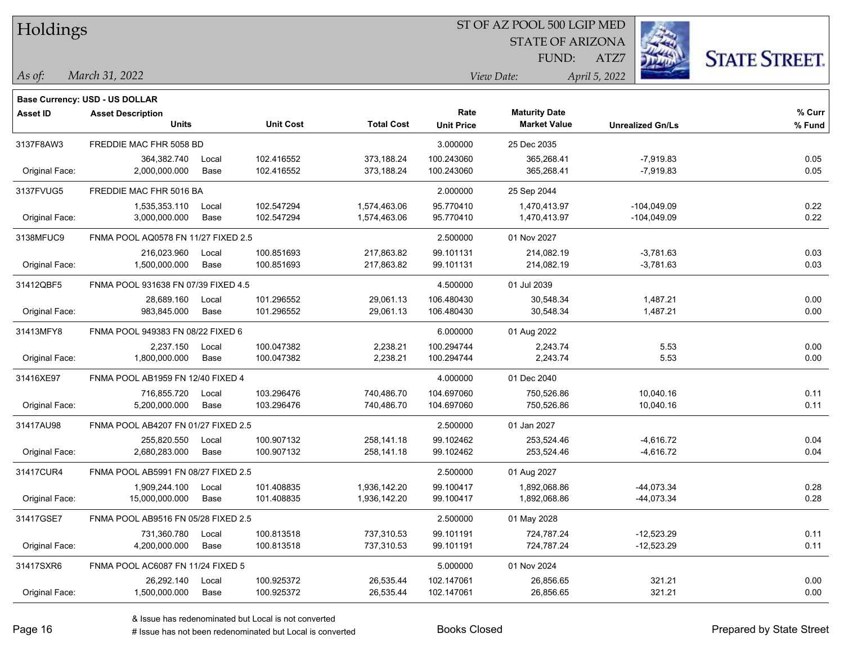| Holdings        |                                          |       |                  |                   | ST OF AZ POOL 500 LGIP MED |                                             |                         |                      |  |  |  |
|-----------------|------------------------------------------|-------|------------------|-------------------|----------------------------|---------------------------------------------|-------------------------|----------------------|--|--|--|
|                 |                                          |       |                  |                   |                            | <b>STATE OF ARIZONA</b>                     |                         |                      |  |  |  |
|                 |                                          |       |                  |                   |                            | FUND:                                       | ATZ7                    | <b>STATE STREET.</b> |  |  |  |
| As of:          | March 31, 2022                           |       |                  |                   |                            | View Date:                                  | April 5, 2022           |                      |  |  |  |
|                 |                                          |       |                  |                   |                            |                                             |                         |                      |  |  |  |
|                 | <b>Base Currency: USD - US DOLLAR</b>    |       |                  |                   | Rate                       |                                             |                         | % Curr               |  |  |  |
| <b>Asset ID</b> | <b>Asset Description</b><br><b>Units</b> |       | <b>Unit Cost</b> | <b>Total Cost</b> | <b>Unit Price</b>          | <b>Maturity Date</b><br><b>Market Value</b> | <b>Unrealized Gn/Ls</b> | % Fund               |  |  |  |
| 3137F8AW3       | FREDDIE MAC FHR 5058 BD                  |       |                  |                   | 3.000000                   | 25 Dec 2035                                 |                         |                      |  |  |  |
|                 | 364,382.740                              | Local | 102.416552       | 373.188.24        | 100.243060                 | 365,268.41                                  | $-7,919.83$             | 0.05                 |  |  |  |
| Original Face:  | 2,000,000.000                            | Base  | 102.416552       | 373,188.24        | 100.243060                 | 365,268.41                                  | $-7,919.83$             | 0.05                 |  |  |  |
| 3137FVUG5       | FREDDIE MAC FHR 5016 BA                  |       |                  |                   | 2.000000                   | 25 Sep 2044                                 |                         |                      |  |  |  |
|                 | 1,535,353.110                            | Local | 102.547294       | 1,574,463.06      | 95.770410                  | 1,470,413.97                                | $-104,049.09$           | 0.22                 |  |  |  |
| Original Face:  | 3,000,000.000                            | Base  | 102.547294       | 1,574,463.06      | 95.770410                  | 1,470,413.97                                | $-104,049.09$           | 0.22                 |  |  |  |
| 3138MFUC9       | FNMA POOL AQ0578 FN 11/27 FIXED 2.5      |       |                  |                   | 2.500000                   | 01 Nov 2027                                 |                         |                      |  |  |  |
|                 | 216,023.960                              | Local | 100.851693       | 217,863.82        | 99.101131                  | 214,082.19                                  | $-3,781.63$             | 0.03                 |  |  |  |
| Original Face:  | 1,500,000.000                            | Base  | 100.851693       | 217,863.82        | 99.101131                  | 214,082.19                                  | $-3,781.63$             | 0.03                 |  |  |  |
| 31412QBF5       | FNMA POOL 931638 FN 07/39 FIXED 4.5      |       |                  |                   | 4.500000                   | 01 Jul 2039                                 |                         |                      |  |  |  |
|                 | 28,689.160                               | Local | 101.296552       | 29,061.13         | 106.480430                 | 30,548.34                                   | 1,487.21                | 0.00                 |  |  |  |
| Original Face:  | 983,845.000                              | Base  | 101.296552       | 29,061.13         | 106.480430                 | 30,548.34                                   | 1,487.21                | 0.00                 |  |  |  |
| 31413MFY8       | FNMA POOL 949383 FN 08/22 FIXED 6        |       |                  |                   | 6.000000                   | 01 Aug 2022                                 |                         |                      |  |  |  |
|                 | 2,237.150                                | Local | 100.047382       | 2,238.21          | 100.294744                 | 2,243.74                                    | 5.53                    | 0.00                 |  |  |  |
| Original Face:  | 1,800,000.000                            | Base  | 100.047382       | 2,238.21          | 100.294744                 | 2,243.74                                    | 5.53                    | 0.00                 |  |  |  |
| 31416XE97       | FNMA POOL AB1959 FN 12/40 FIXED 4        |       |                  |                   | 4.000000                   | 01 Dec 2040                                 |                         |                      |  |  |  |
|                 | 716,855.720                              | Local | 103.296476       | 740,486.70        | 104.697060                 | 750,526.86                                  | 10,040.16               | 0.11                 |  |  |  |
| Original Face:  | 5,200,000.000                            | Base  | 103.296476       | 740,486.70        | 104.697060                 | 750,526.86                                  | 10,040.16               | 0.11                 |  |  |  |
| 31417AU98       | FNMA POOL AB4207 FN 01/27 FIXED 2.5      |       |                  |                   | 2.500000                   | 01 Jan 2027                                 |                         |                      |  |  |  |
|                 | 255,820.550                              | Local | 100.907132       | 258,141.18        | 99.102462                  | 253,524.46                                  | $-4,616.72$             | 0.04                 |  |  |  |
| Original Face:  | 2,680,283.000                            | Base  | 100.907132       | 258,141.18        | 99.102462                  | 253,524.46                                  | -4,616.72               | 0.04                 |  |  |  |
| 31417CUR4       | FNMA POOL AB5991 FN 08/27 FIXED 2.5      |       |                  |                   | 2.500000                   | 01 Aug 2027                                 |                         |                      |  |  |  |
|                 | 1,909,244.100                            | Local | 101.408835       | 1,936,142.20      | 99.100417                  | 1,892,068.86                                | -44,073.34              | 0.28                 |  |  |  |
| Original Face:  | 15,000,000.000                           | Base  | 101.408835       | 1,936,142.20      | 99.100417                  | 1,892,068.86                                | -44,073.34              | 0.28                 |  |  |  |
| 31417GSE7       | FNMA POOL AB9516 FN 05/28 FIXED 2.5      |       |                  |                   | 2.500000                   | 01 May 2028                                 |                         |                      |  |  |  |
|                 | 731,360.780                              | Local | 100.813518       | 737,310.53        | 99.101191                  | 724,787.24                                  | $-12,523.29$            | 0.11                 |  |  |  |
| Original Face:  | 4,200,000.000                            | Base  | 100.813518       | 737,310.53        | 99.101191                  | 724,787.24                                  | $-12,523.29$            | 0.11                 |  |  |  |
| 31417SXR6       | FNMA POOL AC6087 FN 11/24 FIXED 5        |       |                  |                   | 5.000000                   | 01 Nov 2024                                 |                         |                      |  |  |  |
|                 | 26,292.140                               | Local | 100.925372       | 26,535.44         | 102.147061                 | 26,856.65                                   | 321.21                  | 0.00                 |  |  |  |
| Original Face:  | 1,500,000.000                            | Base  | 100.925372       | 26,535.44         | 102.147061                 | 26,856.65                                   | 321.21                  | 0.00                 |  |  |  |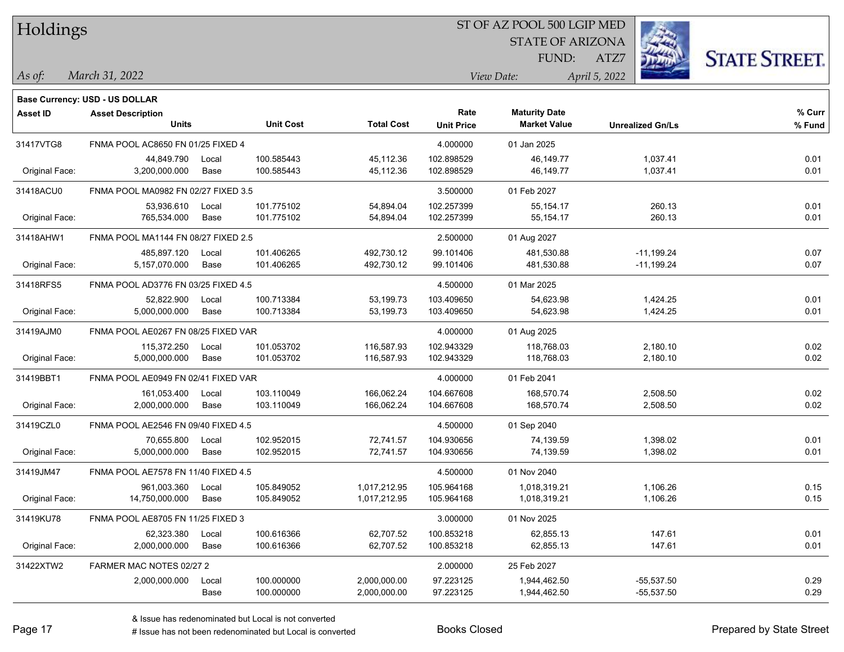| Holdings |
|----------|
|----------|

## ST OF AZ POOL 500 LGIP MED

**Maturity Date**

STATE OF ARIZONA FUND:



**% Curr**

*March 31, 2022 As of: View Date: April 5, 2022*

**Base Currency: USD - US DOLLAR**

ATZ7

|                | <b>Units</b>                        |       | <b>Unit Cost</b> | <b>Total Cost</b> | <b>Unit Price</b> | <b>Market Value</b> | <b>Unrealized Gn/Ls</b> | % Fund |
|----------------|-------------------------------------|-------|------------------|-------------------|-------------------|---------------------|-------------------------|--------|
| 31417VTG8      | FNMA POOL AC8650 FN 01/25 FIXED 4   |       |                  |                   | 4.000000          | 01 Jan 2025         |                         |        |
|                | 44,849.790                          | Local | 100.585443       | 45,112.36         | 102.898529        | 46,149.77           | 1,037.41                | 0.01   |
| Original Face: | 3,200,000.000                       | Base  | 100.585443       | 45,112.36         | 102.898529        | 46,149.77           | 1,037.41                | 0.01   |
| 31418ACU0      | FNMA POOL MA0982 FN 02/27 FIXED 3.5 |       |                  |                   | 3.500000          | 01 Feb 2027         |                         |        |
|                | 53.936.610                          | Local | 101.775102       | 54,894.04         | 102.257399        | 55.154.17           | 260.13                  | 0.01   |
| Original Face: | 765,534.000                         | Base  | 101.775102       | 54,894.04         | 102.257399        | 55,154.17           | 260.13                  | 0.01   |
| 31418AHW1      | FNMA POOL MA1144 FN 08/27 FIXED 2.5 |       |                  |                   | 2.500000          | 01 Aug 2027         |                         |        |
|                | 485,897.120                         | Local | 101.406265       | 492,730.12        | 99.101406         | 481,530.88          | $-11,199.24$            | 0.07   |
| Original Face: | 5,157,070.000                       | Base  | 101.406265       | 492,730.12        | 99.101406         | 481,530.88          | $-11,199.24$            | 0.07   |
| 31418RFS5      | FNMA POOL AD3776 FN 03/25 FIXED 4.5 |       |                  |                   | 4.500000          | 01 Mar 2025         |                         |        |
|                | 52,822.900                          | Local | 100.713384       | 53,199.73         | 103.409650        | 54,623.98           | 1,424.25                | 0.01   |
| Original Face: | 5,000,000.000                       | Base  | 100.713384       | 53,199.73         | 103.409650        | 54,623.98           | 1,424.25                | 0.01   |
| 31419AJM0      | FNMA POOL AE0267 FN 08/25 FIXED VAR |       |                  |                   | 4.000000          | 01 Aug 2025         |                         |        |
|                | 115,372.250                         | Local | 101.053702       | 116,587.93        | 102.943329        | 118,768.03          | 2,180.10                | 0.02   |
| Original Face: | 5,000,000.000                       | Base  | 101.053702       | 116,587.93        | 102.943329        | 118,768.03          | 2,180.10                | 0.02   |
| 31419BBT1      | FNMA POOL AE0949 FN 02/41 FIXED VAR |       |                  |                   | 4.000000          | 01 Feb 2041         |                         |        |
|                | 161,053.400                         | Local | 103.110049       | 166,062.24        | 104.667608        | 168,570.74          | 2,508.50                | 0.02   |
| Original Face: | 2,000,000.000                       | Base  | 103.110049       | 166,062.24        | 104.667608        | 168,570.74          | 2,508.50                | 0.02   |
| 31419CZL0      | FNMA POOL AE2546 FN 09/40 FIXED 4.5 |       |                  |                   | 4.500000          | 01 Sep 2040         |                         |        |
|                | 70,655.800                          | Local | 102.952015       | 72,741.57         | 104.930656        | 74,139.59           | 1,398.02                | 0.01   |
| Original Face: | 5,000,000.000                       | Base  | 102.952015       | 72,741.57         | 104.930656        | 74,139.59           | 1,398.02                | 0.01   |
| 31419JM47      | FNMA POOL AE7578 FN 11/40 FIXED 4.5 |       |                  |                   | 4.500000          | 01 Nov 2040         |                         |        |
|                | 961,003.360                         | Local | 105.849052       | 1,017,212.95      | 105.964168        | 1,018,319.21        | 1,106.26                | 0.15   |
| Original Face: | 14,750,000.000                      | Base  | 105.849052       | 1,017,212.95      | 105.964168        | 1,018,319.21        | 1,106.26                | 0.15   |
| 31419KU78      | FNMA POOL AE8705 FN 11/25 FIXED 3   |       |                  |                   | 3.000000          | 01 Nov 2025         |                         |        |
|                | 62,323.380                          | Local | 100.616366       | 62,707.52         | 100.853218        | 62,855.13           | 147.61                  | 0.01   |
| Original Face: | 2,000,000.000                       | Base  | 100.616366       | 62,707.52         | 100.853218        | 62,855.13           | 147.61                  | 0.01   |
| 31422XTW2      | FARMER MAC NOTES 02/27 2            |       |                  |                   | 2.000000          | 25 Feb 2027         |                         |        |
|                | 2,000,000.000                       | Local | 100.000000       | 2,000,000.00      | 97.223125         | 1,944,462.50        | $-55,537.50$            | 0.29   |
|                |                                     | Base  | 100.000000       | 2,000,000.00      | 97.223125         | 1,944,462.50        | $-55,537.50$            | 0.29   |

**Asset ID Asset Description Rate**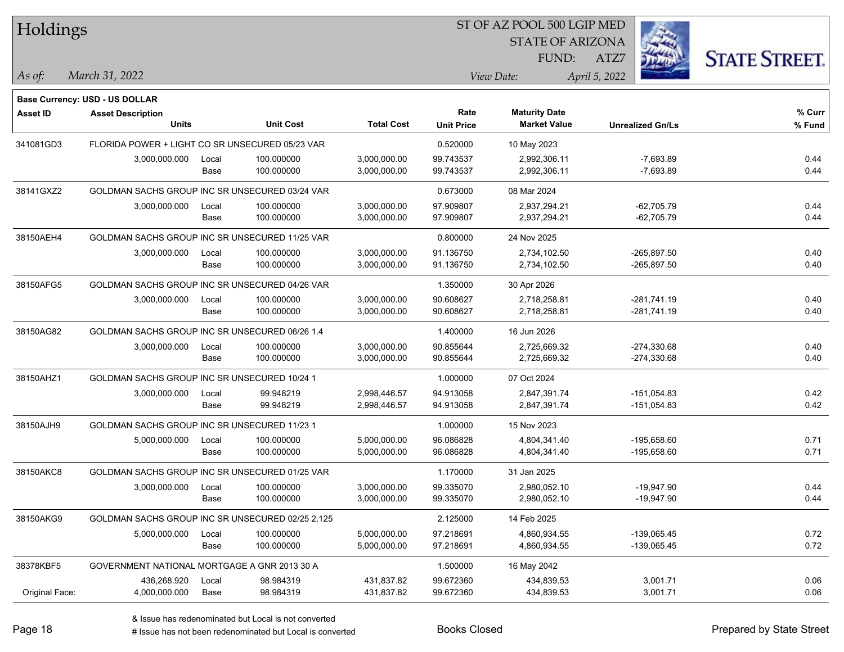| <b>Holdings</b> |                                                  |       |                  |                   | 51 OF AZ POOL 500 LGIP MED |                         |                         |                      |  |  |  |
|-----------------|--------------------------------------------------|-------|------------------|-------------------|----------------------------|-------------------------|-------------------------|----------------------|--|--|--|
|                 |                                                  |       |                  |                   |                            | <b>STATE OF ARIZONA</b> |                         |                      |  |  |  |
|                 |                                                  |       |                  |                   |                            | FUND:                   | ATZ7                    | <b>STATE STREET.</b> |  |  |  |
| As of:          | March 31, 2022                                   |       |                  |                   |                            | View Date:              | April 5, 2022           |                      |  |  |  |
|                 | Base Currency: USD - US DOLLAR                   |       |                  |                   |                            |                         |                         |                      |  |  |  |
| <b>Asset ID</b> | <b>Asset Description</b>                         |       |                  |                   | Rate                       | <b>Maturity Date</b>    |                         | % Curr               |  |  |  |
|                 | <b>Units</b>                                     |       | <b>Unit Cost</b> | <b>Total Cost</b> | <b>Unit Price</b>          | <b>Market Value</b>     | <b>Unrealized Gn/Ls</b> | % Fund               |  |  |  |
| 341081GD3       | FLORIDA POWER + LIGHT CO SR UNSECURED 05/23 VAR  |       |                  |                   | 0.520000                   | 10 May 2023             |                         |                      |  |  |  |
|                 | 3,000,000.000                                    | Local | 100.000000       | 3,000,000.00      | 99.743537                  | 2,992,306.11            | $-7,693.89$             | 0.44                 |  |  |  |
|                 |                                                  | Base  | 100.000000       | 3,000,000.00      | 99.743537                  | 2,992,306.11            | $-7,693.89$             | 0.44                 |  |  |  |
| 38141GXZ2       | GOLDMAN SACHS GROUP INC SR UNSECURED 03/24 VAR   |       |                  |                   | 0.673000                   | 08 Mar 2024             |                         |                      |  |  |  |
|                 | 3,000,000.000                                    | Local | 100.000000       | 3,000,000.00      | 97.909807                  | 2,937,294.21            | $-62,705.79$            | 0.44                 |  |  |  |
|                 |                                                  | Base  | 100.000000       | 3,000,000.00      | 97.909807                  | 2,937,294.21            | $-62,705.79$            | 0.44                 |  |  |  |
| 38150AEH4       | GOLDMAN SACHS GROUP INC SR UNSECURED 11/25 VAR   |       |                  |                   | 0.800000                   | 24 Nov 2025             |                         |                      |  |  |  |
|                 | 3,000,000.000                                    | Local | 100.000000       | 3,000,000.00      | 91.136750                  | 2,734,102.50            | $-265,897.50$           | 0.40                 |  |  |  |
|                 |                                                  | Base  | 100.000000       | 3,000,000.00      | 91.136750                  | 2,734,102.50            | $-265,897.50$           | 0.40                 |  |  |  |
| 38150AFG5       | GOLDMAN SACHS GROUP INC SR UNSECURED 04/26 VAR   |       |                  |                   | 1.350000                   | 30 Apr 2026             |                         |                      |  |  |  |
|                 | 3,000,000.000                                    | Local | 100.000000       | 3,000,000.00      | 90.608627                  | 2,718,258.81            | $-281,741.19$           | 0.40                 |  |  |  |
|                 |                                                  | Base  | 100.000000       | 3,000,000.00      | 90.608627                  | 2,718,258.81            | $-281,741.19$           | 0.40                 |  |  |  |
| 38150AG82       | GOLDMAN SACHS GROUP INC SR UNSECURED 06/26 1.4   |       |                  |                   | 1.400000                   | 16 Jun 2026             |                         |                      |  |  |  |
|                 | 3,000,000.000                                    | Local | 100.000000       | 3,000,000.00      | 90.855644                  | 2,725,669.32            | $-274,330.68$           | 0.40                 |  |  |  |
|                 |                                                  | Base  | 100.000000       | 3,000,000.00      | 90.855644                  | 2,725,669.32            | $-274,330.68$           | 0.40                 |  |  |  |
| 38150AHZ1       | GOLDMAN SACHS GROUP INC SR UNSECURED 10/24 1     |       |                  |                   | 1.000000                   | 07 Oct 2024             |                         |                      |  |  |  |
|                 | 3,000,000.000                                    | Local | 99.948219        | 2,998,446.57      | 94.913058                  | 2,847,391.74            | $-151,054.83$           | 0.42                 |  |  |  |
|                 |                                                  | Base  | 99.948219        | 2,998,446.57      | 94.913058                  | 2,847,391.74            | $-151,054.83$           | 0.42                 |  |  |  |
| 38150AJH9       | GOLDMAN SACHS GROUP INC SR UNSECURED 11/23 1     |       |                  |                   | 1.000000                   | 15 Nov 2023             |                         |                      |  |  |  |
|                 | 5,000,000.000                                    | Local | 100.000000       | 5,000,000.00      | 96.086828                  | 4,804,341.40            | -195,658.60             | 0.71                 |  |  |  |
|                 |                                                  | Base  | 100.000000       | 5,000,000.00      | 96.086828                  | 4,804,341.40            | $-195,658.60$           | 0.71                 |  |  |  |
| 38150AKC8       | GOLDMAN SACHS GROUP INC SR UNSECURED 01/25 VAR   |       |                  |                   | 1.170000                   | 31 Jan 2025             |                         |                      |  |  |  |
|                 | 3,000,000.000                                    | Local | 100.000000       | 3,000,000.00      | 99.335070                  | 2,980,052.10            | $-19,947.90$            | 0.44                 |  |  |  |
|                 |                                                  | Base  | 100.000000       | 3,000,000.00      | 99.335070                  | 2,980,052.10            | $-19,947.90$            | 0.44                 |  |  |  |
| 38150AKG9       | GOLDMAN SACHS GROUP INC SR UNSECURED 02/25 2.125 |       |                  |                   | 2.125000                   | 14 Feb 2025             |                         |                      |  |  |  |
|                 | 5,000,000.000                                    | Local | 100.000000       | 5,000,000.00      | 97.218691                  | 4,860,934.55            | $-139,065.45$           | 0.72                 |  |  |  |
|                 |                                                  | Base  | 100.000000       | 5,000,000.00      | 97.218691                  | 4,860,934.55            | -139,065.45             | 0.72                 |  |  |  |
| 38378KBF5       | GOVERNMENT NATIONAL MORTGAGE A GNR 2013 30 A     |       |                  |                   | 1.500000                   | 16 May 2042             |                         |                      |  |  |  |
|                 | 436,268.920                                      | Local | 98.984319        | 431,837.82        | 99.672360                  | 434,839.53              | 3,001.71                | 0.06                 |  |  |  |
| Original Face:  | 4,000,000.000                                    | Base  | 98.984319        | 431,837.82        | 99.672360                  | 434,839.53              | 3,001.71                | 0.06                 |  |  |  |

 $\overline{B}$   $\overline{B}$   $\overline{B}$   $\overline{B}$   $\overline{C}$   $\overline{D}$   $\overline{D}$   $\overline{D}$   $\overline{D}$   $\overline{D}$   $\overline{D}$   $\overline{D}$   $\overline{D}$   $\overline{D}$   $\overline{D}$   $\overline{D}$   $\overline{D}$   $\overline{D}$   $\overline{D}$   $\overline{D}$   $\overline{D}$   $\overline{D}$   $\overline{D}$   $\overline{D}$   $\overline{$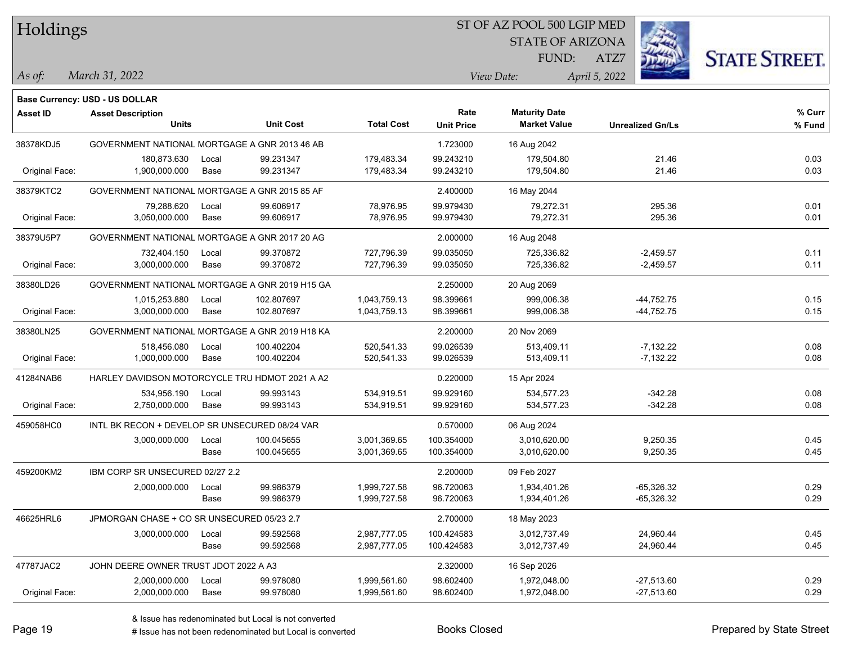| Holdings        |                                                |       |                  |                   | ST OF AZ POOL 500 LGIP MED |                         |                         |                      |
|-----------------|------------------------------------------------|-------|------------------|-------------------|----------------------------|-------------------------|-------------------------|----------------------|
|                 |                                                |       |                  |                   |                            | <b>STATE OF ARIZONA</b> |                         |                      |
|                 |                                                |       |                  |                   |                            | FUND:                   | ATZ7                    | <b>STATE STREET.</b> |
| As of:          | March 31, 2022                                 |       |                  |                   |                            | View Date:              | April 5, 2022           |                      |
|                 | Base Currency: USD - US DOLLAR                 |       |                  |                   |                            |                         |                         |                      |
| <b>Asset ID</b> | <b>Asset Description</b>                       |       |                  |                   | Rate                       | <b>Maturity Date</b>    |                         | % Curr               |
|                 | <b>Units</b>                                   |       | <b>Unit Cost</b> | <b>Total Cost</b> | <b>Unit Price</b>          | <b>Market Value</b>     | <b>Unrealized Gn/Ls</b> | % Fund               |
| 38378KDJ5       | GOVERNMENT NATIONAL MORTGAGE A GNR 2013 46 AB  |       |                  |                   | 1.723000                   | 16 Aug 2042             |                         |                      |
|                 | 180,873.630                                    | Local | 99.231347        | 179,483.34        | 99.243210                  | 179.504.80              | 21.46                   | 0.03                 |
| Original Face:  | 1,900,000.000                                  | Base  | 99.231347        | 179,483.34        | 99.243210                  | 179,504.80              | 21.46                   | 0.03                 |
| 38379KTC2       | GOVERNMENT NATIONAL MORTGAGE A GNR 2015 85 AF  |       |                  |                   | 2.400000                   | 16 May 2044             |                         |                      |
|                 | 79,288.620                                     | Local | 99.606917        | 78,976.95         | 99.979430                  | 79,272.31               | 295.36                  | 0.01                 |
| Original Face:  | 3,050,000.000                                  | Base  | 99.606917        | 78,976.95         | 99.979430                  | 79,272.31               | 295.36                  | 0.01                 |
| 38379U5P7       | GOVERNMENT NATIONAL MORTGAGE A GNR 2017 20 AG  |       |                  |                   | 2.000000                   | 16 Aug 2048             |                         |                      |
|                 | 732,404.150                                    | Local | 99.370872        | 727,796.39        | 99.035050                  | 725,336.82              | $-2,459.57$             | 0.11                 |
| Original Face:  | 3,000,000.000                                  | Base  | 99.370872        | 727,796.39        | 99.035050                  | 725,336.82              | $-2,459.57$             | 0.11                 |
| 38380LD26       | GOVERNMENT NATIONAL MORTGAGE A GNR 2019 H15 GA |       |                  |                   | 2.250000                   | 20 Aug 2069             |                         |                      |
|                 | 1,015,253.880                                  | Local | 102.807697       | 1,043,759.13      | 98.399661                  | 999,006.38              | $-44,752.75$            | 0.15                 |
| Original Face:  | 3,000,000.000                                  | Base  | 102.807697       | 1,043,759.13      | 98.399661                  | 999,006.38              | $-44,752.75$            | 0.15                 |
| 38380LN25       | GOVERNMENT NATIONAL MORTGAGE A GNR 2019 H18 KA |       |                  |                   | 2.200000                   | 20 Nov 2069             |                         |                      |
|                 | 518,456.080                                    | Local | 100.402204       | 520,541.33        | 99.026539                  | 513,409.11              | $-7,132.22$             | 0.08                 |
| Original Face:  | 1,000,000.000                                  | Base  | 100.402204       | 520,541.33        | 99.026539                  | 513,409.11              | $-7,132.22$             | 0.08                 |
| 41284NAB6       | HARLEY DAVIDSON MOTORCYCLE TRU HDMOT 2021 A A2 |       |                  |                   | 0.220000                   | 15 Apr 2024             |                         |                      |
|                 | 534,956.190                                    | Local | 99.993143        | 534,919.51        | 99.929160                  | 534,577.23              | $-342.28$               | 0.08                 |
| Original Face:  | 2,750,000.000                                  | Base  | 99.993143        | 534,919.51        | 99.929160                  | 534,577.23              | $-342.28$               | 0.08                 |
| 459058HC0       | INTL BK RECON + DEVELOP SR UNSECURED 08/24 VAR |       |                  |                   | 0.570000                   | 06 Aug 2024             |                         |                      |
|                 | 3,000,000.000                                  | Local | 100.045655       | 3,001,369.65      | 100.354000                 | 3,010,620.00            | 9,250.35                | 0.45                 |
|                 |                                                | Base  | 100.045655       | 3,001,369.65      | 100.354000                 | 3,010,620.00            | 9,250.35                | 0.45                 |
| 459200KM2       | IBM CORP SR UNSECURED 02/27 2.2                |       |                  |                   | 2.200000                   | 09 Feb 2027             |                         |                      |
|                 | 2,000,000.000                                  | Local | 99.986379        | 1,999,727.58      | 96.720063                  | 1,934,401.26            | $-65,326.32$            | 0.29                 |
|                 |                                                | Base  | 99.986379        | 1,999,727.58      | 96.720063                  | 1,934,401.26            | $-65,326.32$            | 0.29                 |
| 46625HRL6       | JPMORGAN CHASE + CO SR UNSECURED 05/23 2.7     |       |                  |                   | 2.700000                   | 18 May 2023             |                         |                      |
|                 | 3,000,000.000                                  | Local | 99.592568        | 2,987,777.05      | 100.424583                 | 3,012,737.49            | 24,960.44               | 0.45                 |
|                 |                                                | Base  | 99.592568        | 2,987,777.05      | 100.424583                 | 3,012,737.49            | 24,960.44               | 0.45                 |
| 47787JAC2       | JOHN DEERE OWNER TRUST JDOT 2022 A A3          |       |                  |                   | 2.320000                   | 16 Sep 2026             |                         |                      |
|                 | 2,000,000.000                                  | Local | 99.978080        | 1,999,561.60      | 98.602400                  | 1,972,048.00            | $-27,513.60$            | 0.29                 |
| Original Face:  | 2,000,000.000                                  | Base  | 99.978080        | 1,999,561.60      | 98.602400                  | 1,972,048.00            | $-27,513.60$            | 0.29                 |

L

 $\overline{\phantom{a}}$ 

 $\overline{\phantom{a}}$ 

 $\overline{\phantom{a}}$ 

 $\sim$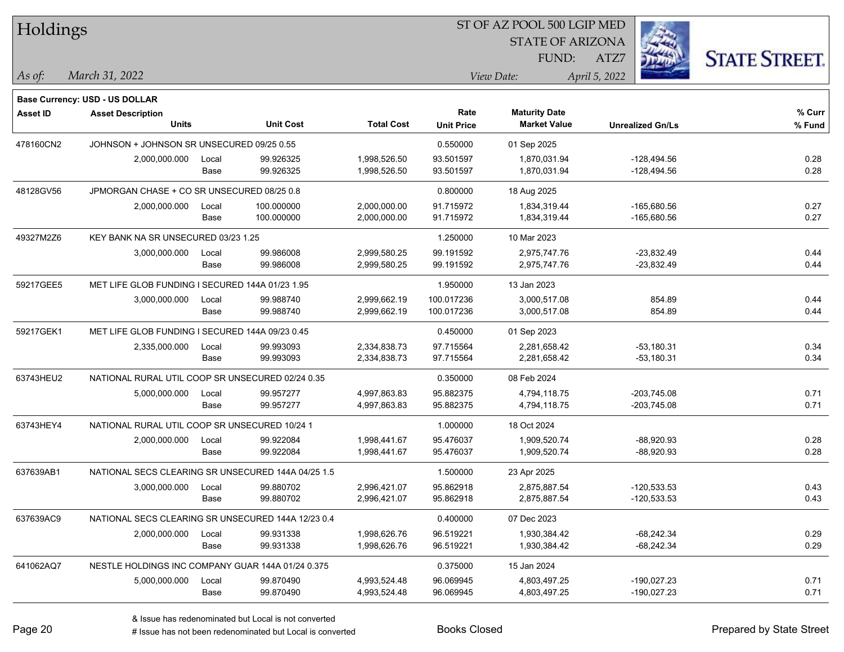| Holdings        |                                                    |       |                  |                   | ST OF AZ POOL 500 LGIP MED |                         |                         |                      |  |  |
|-----------------|----------------------------------------------------|-------|------------------|-------------------|----------------------------|-------------------------|-------------------------|----------------------|--|--|
|                 |                                                    |       |                  |                   |                            | <b>STATE OF ARIZONA</b> |                         |                      |  |  |
|                 |                                                    |       |                  |                   |                            | FUND:                   | ATZ7                    | <b>STATE STREET.</b> |  |  |
| As of:          | March 31, 2022                                     |       |                  |                   |                            | View Date:              | April 5, 2022           |                      |  |  |
|                 | <b>Base Currency: USD - US DOLLAR</b>              |       |                  |                   |                            |                         |                         |                      |  |  |
| <b>Asset ID</b> | <b>Asset Description</b>                           |       |                  |                   | Rate                       | <b>Maturity Date</b>    |                         | % Curr               |  |  |
|                 | <b>Units</b>                                       |       | <b>Unit Cost</b> | <b>Total Cost</b> | <b>Unit Price</b>          | <b>Market Value</b>     | <b>Unrealized Gn/Ls</b> | % Fund               |  |  |
| 478160CN2       | JOHNSON + JOHNSON SR UNSECURED 09/25 0.55          |       |                  |                   | 0.550000                   | 01 Sep 2025             |                         |                      |  |  |
|                 | 2,000,000.000                                      | Local | 99.926325        | 1,998,526.50      | 93.501597                  | 1,870,031.94            | $-128,494.56$           | 0.28                 |  |  |
|                 |                                                    | Base  | 99.926325        | 1,998,526.50      | 93.501597                  | 1,870,031.94            | $-128,494.56$           | 0.28                 |  |  |
| 48128GV56       | JPMORGAN CHASE + CO SR UNSECURED 08/25 0.8         |       |                  |                   | 0.800000                   | 18 Aug 2025             |                         |                      |  |  |
|                 | 2,000,000.000                                      | Local | 100.000000       | 2,000,000.00      | 91.715972                  | 1,834,319.44            | $-165,680.56$           | 0.27                 |  |  |
|                 |                                                    | Base  | 100.000000       | 2,000,000.00      | 91.715972                  | 1,834,319.44            | -165,680.56             | 0.27                 |  |  |
| 49327M2Z6       | KEY BANK NA SR UNSECURED 03/23 1.25                |       |                  |                   | 1.250000                   | 10 Mar 2023             |                         |                      |  |  |
|                 | 3,000,000.000                                      | Local | 99.986008        | 2,999,580.25      | 99.191592                  | 2,975,747.76            | $-23,832.49$            | 0.44                 |  |  |
|                 |                                                    | Base  | 99.986008        | 2,999,580.25      | 99.191592                  | 2,975,747.76            | $-23,832.49$            | 0.44                 |  |  |
| 59217GEE5       | MET LIFE GLOB FUNDING I SECURED 144A 01/23 1.95    |       |                  |                   | 1.950000                   | 13 Jan 2023             |                         |                      |  |  |
|                 | 3,000,000.000                                      | Local | 99.988740        | 2,999,662.19      | 100.017236                 | 3,000,517.08            | 854 89                  | 0.44                 |  |  |
|                 |                                                    | Base  | 99.988740        | 2,999,662.19      | 100.017236                 | 3,000,517.08            | 854.89                  | 0.44                 |  |  |
| 59217GEK1       | MET LIFE GLOB FUNDING I SECURED 144A 09/23 0.45    |       |                  |                   | 0.450000                   | 01 Sep 2023             |                         |                      |  |  |
|                 | 2,335,000.000                                      | Local | 99.993093        | 2,334,838.73      | 97.715564                  | 2,281,658.42            | $-53,180.31$            | 0.34                 |  |  |
|                 |                                                    | Base  | 99.993093        | 2,334,838.73      | 97.715564                  | 2,281,658.42            | $-53,180.31$            | 0.34                 |  |  |
| 63743HEU2       | NATIONAL RURAL UTIL COOP SR UNSECURED 02/24 0.35   |       |                  |                   | 0.350000                   | 08 Feb 2024             |                         |                      |  |  |
|                 | 5,000,000.000                                      | Local | 99.957277        | 4,997,863.83      | 95.882375                  | 4,794,118.75            | -203,745.08             | 0.71                 |  |  |
|                 |                                                    | Base  | 99.957277        | 4,997,863.83      | 95.882375                  | 4,794,118.75            | $-203,745.08$           | 0.71                 |  |  |
| 63743HEY4       | NATIONAL RURAL UTIL COOP SR UNSECURED 10/24 1      |       |                  |                   | 1.000000                   | 18 Oct 2024             |                         |                      |  |  |
|                 | 2,000,000.000                                      | Local | 99.922084        | 1,998,441.67      | 95.476037                  | 1,909,520.74            | $-88,920.93$            | 0.28                 |  |  |
|                 |                                                    | Base  | 99.922084        | 1,998,441.67      | 95.476037                  | 1,909,520.74            | $-88,920.93$            | 0.28                 |  |  |
| 637639AB1       | NATIONAL SECS CLEARING SR UNSECURED 144A 04/25 1.5 |       |                  |                   | 1.500000                   | 23 Apr 2025             |                         |                      |  |  |
|                 | 3,000,000.000                                      | Local | 99.880702        | 2.996.421.07      | 95.862918                  | 2,875,887.54            | $-120,533.53$           | 0.43                 |  |  |
|                 |                                                    | Base  | 99.880702        | 2,996,421.07      | 95.862918                  | 2,875,887.54            | -120,533.53             | 0.43                 |  |  |
| 637639AC9       | NATIONAL SECS CLEARING SR UNSECURED 144A 12/23 0.4 |       |                  |                   | 0.400000                   | 07 Dec 2023             |                         |                      |  |  |
|                 | 2,000,000.000                                      | Local | 99.931338        | 1,998,626.76      | 96.519221                  | 1,930,384.42            | $-68,242.34$            | 0.29                 |  |  |
|                 |                                                    | Base  | 99.931338        | 1,998,626.76      | 96.519221                  | 1,930,384.42            | -68,242.34              | 0.29                 |  |  |
| 641062AQ7       | NESTLE HOLDINGS INC COMPANY GUAR 144A 01/24 0.375  |       |                  |                   | 0.375000                   | 15 Jan 2024             |                         |                      |  |  |
|                 | 5,000,000.000                                      | Local | 99.870490        | 4,993,524.48      | 96.069945                  | 4,803,497.25            | -190,027.23             | 0.71                 |  |  |
|                 |                                                    | Base  | 99.870490        | 4,993,524.48      | 96.069945                  | 4,803,497.25            | -190,027.23             | 0.71                 |  |  |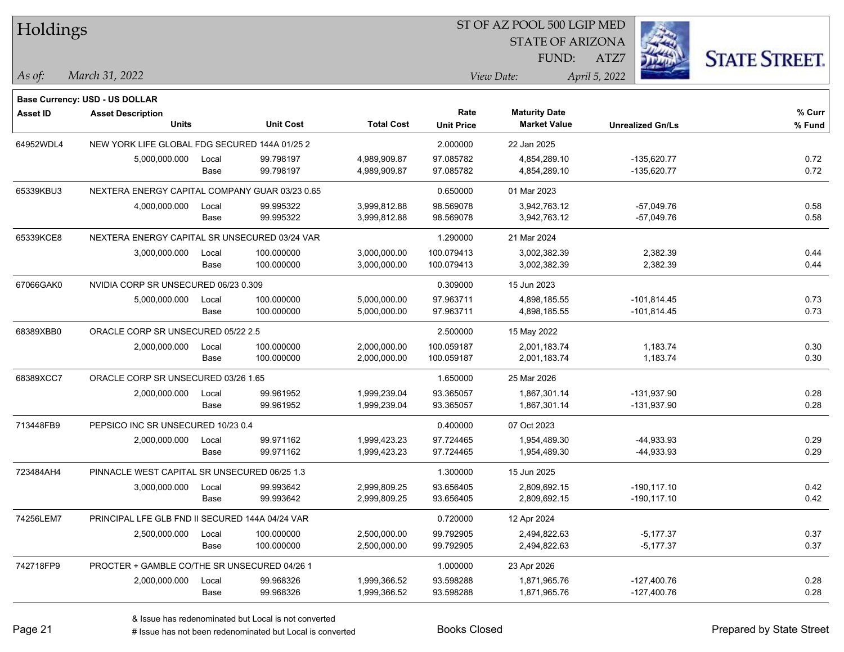| Holdings        |                                                 |       |                  |                   | ST OF AZ POOL 500 LGIP MED |                         |                         |                      |
|-----------------|-------------------------------------------------|-------|------------------|-------------------|----------------------------|-------------------------|-------------------------|----------------------|
|                 |                                                 |       |                  |                   |                            | <b>STATE OF ARIZONA</b> |                         |                      |
|                 |                                                 |       |                  |                   |                            | FUND:                   | ATZ7                    | <b>STATE STREET.</b> |
| As of:          | March 31, 2022                                  |       |                  |                   |                            | View Date:              | April 5, 2022           |                      |
|                 | <b>Base Currency: USD - US DOLLAR</b>           |       |                  |                   |                            |                         |                         |                      |
| <b>Asset ID</b> | <b>Asset Description</b>                        |       |                  |                   | Rate                       | <b>Maturity Date</b>    |                         | % Curr               |
|                 | <b>Units</b>                                    |       | <b>Unit Cost</b> | <b>Total Cost</b> | <b>Unit Price</b>          | <b>Market Value</b>     | <b>Unrealized Gn/Ls</b> | % Fund               |
| 64952WDL4       | NEW YORK LIFE GLOBAL FDG SECURED 144A 01/25 2   |       |                  |                   | 2.000000                   | 22 Jan 2025             |                         |                      |
|                 | 5,000,000.000                                   | Local | 99.798197        | 4,989,909.87      | 97.085782                  | 4,854,289.10            | $-135,620.77$           | 0.72                 |
|                 |                                                 | Base  | 99.798197        | 4,989,909.87      | 97.085782                  | 4,854,289.10            | $-135,620.77$           | 0.72                 |
| 65339KBU3       | NEXTERA ENERGY CAPITAL COMPANY GUAR 03/23 0.65  |       |                  |                   | 0.650000                   | 01 Mar 2023             |                         |                      |
|                 | 4,000,000.000                                   | Local | 99.995322        | 3,999,812.88      | 98.569078                  | 3,942,763.12            | $-57,049.76$            | 0.58                 |
|                 |                                                 | Base  | 99.995322        | 3,999,812.88      | 98.569078                  | 3,942,763.12            | $-57,049.76$            | 0.58                 |
| 65339KCE8       | NEXTERA ENERGY CAPITAL SR UNSECURED 03/24 VAR   |       |                  |                   | 1.290000                   | 21 Mar 2024             |                         |                      |
|                 | 3,000,000.000                                   | Local | 100.000000       | 3,000,000.00      | 100.079413                 | 3,002,382.39            | 2,382.39                | 0.44                 |
|                 |                                                 | Base  | 100.000000       | 3,000,000.00      | 100.079413                 | 3,002,382.39            | 2,382.39                | 0.44                 |
| 67066GAK0       | NVIDIA CORP SR UNSECURED 06/23 0.309            |       |                  |                   | 0.309000                   | 15 Jun 2023             |                         |                      |
|                 | 5,000,000.000                                   | Local | 100.000000       | 5,000,000.00      | 97.963711                  | 4,898,185.55            | $-101,814.45$           | 0.73                 |
|                 |                                                 | Base  | 100.000000       | 5,000,000.00      | 97.963711                  | 4,898,185.55            | $-101,814.45$           | 0.73                 |
| 68389XBB0       | ORACLE CORP SR UNSECURED 05/22 2.5              |       |                  |                   | 2.500000                   | 15 May 2022             |                         |                      |
|                 | 2,000,000.000                                   | Local | 100.000000       | 2,000,000.00      | 100.059187                 | 2,001,183.74            | 1,183.74                | 0.30                 |
|                 |                                                 | Base  | 100.000000       | 2,000,000.00      | 100.059187                 | 2,001,183.74            | 1,183.74                | 0.30                 |
| 68389XCC7       | ORACLE CORP SR UNSECURED 03/26 1.65             |       |                  |                   | 1.650000                   | 25 Mar 2026             |                         |                      |
|                 | 2,000,000.000                                   | Local | 99.961952        | 1,999,239.04      | 93.365057                  | 1,867,301.14            | -131,937.90             | 0.28                 |
|                 |                                                 | Base  | 99.961952        | 1,999,239.04      | 93.365057                  | 1,867,301.14            | $-131,937.90$           | 0.28                 |
| 713448FB9       | PEPSICO INC SR UNSECURED 10/23 0.4              |       |                  |                   | 0.400000                   | 07 Oct 2023             |                         |                      |
|                 | 2,000,000.000                                   | Local | 99.971162        | 1,999,423.23      | 97.724465                  | 1,954,489.30            | $-44,933.93$            | 0.29                 |
|                 |                                                 | Base  | 99.971162        | 1,999,423.23      | 97.724465                  | 1,954,489.30            | $-44,933.93$            | 0.29                 |
| 723484AH4       | PINNACLE WEST CAPITAL SR UNSECURED 06/25 1.3    |       |                  |                   | 1.300000                   | 15 Jun 2025             |                         |                      |
|                 | 3,000,000.000                                   | Local | 99.993642        | 2,999,809.25      | 93.656405                  | 2,809,692.15            | $-190, 117.10$          | 0.42                 |
|                 |                                                 | Base  | 99.993642        | 2,999,809.25      | 93.656405                  | 2,809,692.15            | $-190, 117.10$          | 0.42                 |
| 74256LEM7       | PRINCIPAL LFE GLB FND II SECURED 144A 04/24 VAR |       |                  |                   | 0.720000                   | 12 Apr 2024             |                         |                      |
|                 | 2,500,000.000                                   | Local | 100.000000       | 2,500,000.00      | 99.792905                  | 2,494,822.63            | $-5,177.37$             | 0.37                 |
|                 |                                                 | Base  | 100.000000       | 2,500,000.00      | 99.792905                  | 2,494,822.63            | $-5,177.37$             | 0.37                 |
| 742718FP9       | PROCTER + GAMBLE CO/THE SR UNSECURED 04/26 1    |       |                  |                   | 1.000000                   | 23 Apr 2026             |                         |                      |
|                 | 2,000,000.000                                   | Local | 99.968326        | 1,999,366.52      | 93.598288                  | 1,871,965.76            | $-127,400.76$           | 0.28                 |
|                 |                                                 | Base  | 99.968326        | 1,999,366.52      | 93.598288                  | 1,871,965.76            | -127,400.76             | 0.28                 |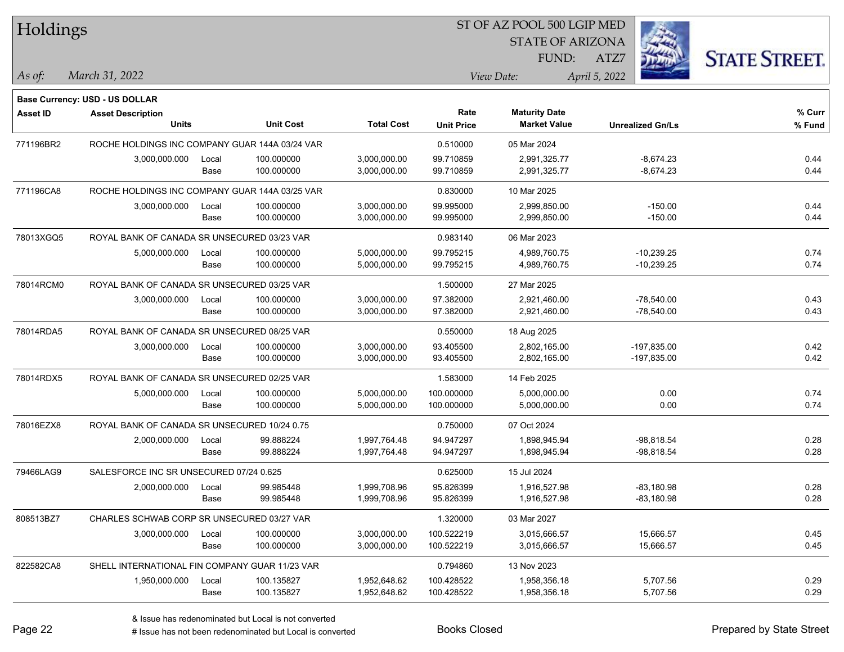| Holdings        |                                                |       |                  |                   |                   | ST OF AZ POOL 500 LGIP MED |                         |                      |
|-----------------|------------------------------------------------|-------|------------------|-------------------|-------------------|----------------------------|-------------------------|----------------------|
|                 |                                                |       |                  |                   |                   | <b>STATE OF ARIZONA</b>    |                         |                      |
|                 |                                                |       |                  |                   |                   | FUND:                      | ATZ7                    | <b>STATE STREET.</b> |
| As of:          | March 31, 2022                                 |       |                  |                   |                   | View Date:                 | April 5, 2022           |                      |
|                 | <b>Base Currency: USD - US DOLLAR</b>          |       |                  |                   |                   |                            |                         |                      |
| <b>Asset ID</b> | <b>Asset Description</b>                       |       |                  |                   | Rate              | <b>Maturity Date</b>       |                         | % Curr               |
|                 | <b>Units</b>                                   |       | <b>Unit Cost</b> | <b>Total Cost</b> | <b>Unit Price</b> | <b>Market Value</b>        | <b>Unrealized Gn/Ls</b> | % Fund               |
| 771196BR2       | ROCHE HOLDINGS INC COMPANY GUAR 144A 03/24 VAR |       |                  |                   | 0.510000          | 05 Mar 2024                |                         |                      |
|                 | 3,000,000.000                                  | Local | 100.000000       | 3,000,000.00      | 99.710859         | 2,991,325.77               | $-8,674.23$             | 0.44                 |
|                 |                                                | Base  | 100.000000       | 3,000,000.00      | 99.710859         | 2,991,325.77               | $-8,674.23$             | 0.44                 |
| 771196CA8       | ROCHE HOLDINGS INC COMPANY GUAR 144A 03/25 VAR |       |                  |                   | 0.830000          | 10 Mar 2025                |                         |                      |
|                 | 3,000,000.000                                  | Local | 100.000000       | 3,000,000.00      | 99.995000         | 2,999,850.00               | $-150.00$               | 0.44                 |
|                 |                                                | Base  | 100.000000       | 3,000,000.00      | 99.995000         | 2,999,850.00               | $-150.00$               | 0.44                 |
| 78013XGQ5       | ROYAL BANK OF CANADA SR UNSECURED 03/23 VAR    |       |                  |                   | 0.983140          | 06 Mar 2023                |                         |                      |
|                 | 5,000,000.000                                  | Local | 100.000000       | 5,000,000.00      | 99.795215         | 4,989,760.75               | $-10,239.25$            | 0.74                 |
|                 |                                                | Base  | 100.000000       | 5,000,000.00      | 99.795215         | 4,989,760.75               | $-10,239.25$            | 0.74                 |
| 78014RCM0       | ROYAL BANK OF CANADA SR UNSECURED 03/25 VAR    |       |                  |                   | 1.500000          | 27 Mar 2025                |                         |                      |
|                 | 3,000,000.000                                  | Local | 100.000000       | 3,000,000.00      | 97.382000         | 2,921,460.00               | $-78,540.00$            | 0.43                 |
|                 |                                                | Base  | 100.000000       | 3,000,000.00      | 97.382000         | 2,921,460.00               | $-78,540.00$            | 0.43                 |
| 78014RDA5       | ROYAL BANK OF CANADA SR UNSECURED 08/25 VAR    |       |                  |                   | 0.550000          | 18 Aug 2025                |                         |                      |
|                 | 3,000,000.000                                  | Local | 100.000000       | 3,000,000.00      | 93.405500         | 2,802,165.00               | $-197,835.00$           | 0.42                 |
|                 |                                                | Base  | 100.000000       | 3,000,000.00      | 93.405500         | 2,802,165.00               | -197,835.00             | 0.42                 |
| 78014RDX5       | ROYAL BANK OF CANADA SR UNSECURED 02/25 VAR    |       |                  |                   | 1.583000          | 14 Feb 2025                |                         |                      |
|                 | 5,000,000.000                                  | Local | 100.000000       | 5,000,000.00      | 100.000000        | 5,000,000.00               | 0.00                    | 0.74                 |
|                 |                                                | Base  | 100.000000       | 5,000,000.00      | 100.000000        | 5,000,000.00               | 0.00                    | 0.74                 |
| 78016EZX8       | ROYAL BANK OF CANADA SR UNSECURED 10/24 0.75   |       |                  |                   | 0.750000          | 07 Oct 2024                |                         |                      |
|                 | 2,000,000.000                                  | Local | 99.888224        | 1,997,764.48      | 94.947297         | 1,898,945.94               | $-98,818.54$            | 0.28                 |
|                 |                                                | Base  | 99.888224        | 1,997,764.48      | 94.947297         | 1,898,945.94               | -98,818.54              | 0.28                 |
| 79466LAG9       | SALESFORCE INC SR UNSECURED 07/24 0.625        |       |                  |                   | 0.625000          | 15 Jul 2024                |                         |                      |
|                 | 2,000,000.000                                  | Local | 99.985448        | 1,999,708.96      | 95.826399         | 1,916,527.98               | $-83,180.98$            | 0.28                 |
|                 |                                                | Base  | 99.985448        | 1,999,708.96      | 95.826399         | 1,916,527.98               | $-83,180.98$            | 0.28                 |
| 808513BZ7       | CHARLES SCHWAB CORP SR UNSECURED 03/27 VAR     |       |                  |                   | 1.320000          | 03 Mar 2027                |                         |                      |
|                 | 3,000,000.000                                  | Local | 100.000000       | 3,000,000.00      | 100.522219        | 3,015,666.57               | 15,666.57               | 0.45                 |
|                 |                                                | Base  | 100.000000       | 3,000,000.00      | 100.522219        | 3,015,666.57               | 15,666.57               | 0.45                 |
| 822582CA8       | SHELL INTERNATIONAL FIN COMPANY GUAR 11/23 VAR |       |                  |                   | 0.794860          | 13 Nov 2023                |                         |                      |
|                 | 1,950,000.000                                  | Local | 100.135827       | 1,952,648.62      | 100.428522        | 1,958,356.18               | 5,707.56                | 0.29                 |
|                 |                                                | Base  | 100.135827       | 1,952,648.62      | 100.428522        | 1,958,356.18               | 5,707.56                | 0.29                 |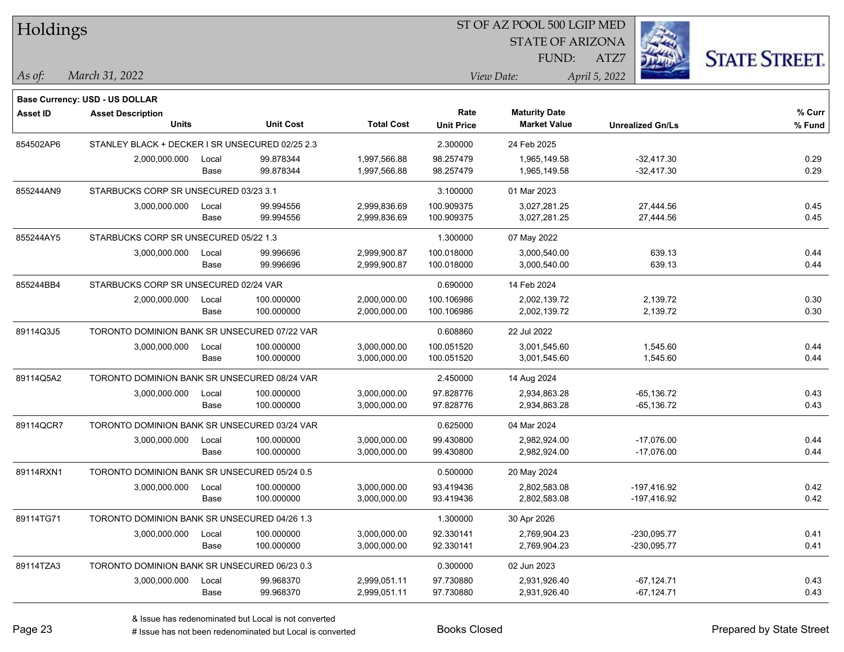| Holdings        |                                                 |       |                  |                   | ST OF AZ POOL 500 LGIP MED |                         |                         |                      |
|-----------------|-------------------------------------------------|-------|------------------|-------------------|----------------------------|-------------------------|-------------------------|----------------------|
|                 |                                                 |       |                  |                   |                            | <b>STATE OF ARIZONA</b> |                         |                      |
|                 |                                                 |       |                  |                   |                            | FUND:                   | ATZ7                    | <b>STATE STREET.</b> |
| As of:          | March 31, 2022                                  |       |                  |                   |                            | View Date:              | April 5, 2022           |                      |
|                 | <b>Base Currency: USD - US DOLLAR</b>           |       |                  |                   |                            |                         |                         |                      |
| <b>Asset ID</b> | <b>Asset Description</b>                        |       |                  |                   | Rate                       | <b>Maturity Date</b>    |                         | % Curr               |
|                 | <b>Units</b>                                    |       | <b>Unit Cost</b> | <b>Total Cost</b> | <b>Unit Price</b>          | <b>Market Value</b>     | <b>Unrealized Gn/Ls</b> | % Fund               |
| 854502AP6       | STANLEY BLACK + DECKER I SR UNSECURED 02/25 2.3 |       |                  |                   | 2.300000                   | 24 Feb 2025             |                         |                      |
|                 | 2,000,000.000                                   | Local | 99.878344        | 1,997,566.88      | 98.257479                  | 1,965,149.58            | $-32,417.30$            | 0.29                 |
|                 |                                                 | Base  | 99.878344        | 1,997,566.88      | 98.257479                  | 1,965,149.58            | $-32,417.30$            | 0.29                 |
| 855244AN9       | STARBUCKS CORP SR UNSECURED 03/23 3.1           |       |                  |                   | 3.100000                   | 01 Mar 2023             |                         |                      |
|                 | 3,000,000.000                                   | Local | 99.994556        | 2,999,836.69      | 100.909375                 | 3,027,281.25            | 27,444.56               | 0.45                 |
|                 |                                                 | Base  | 99.994556        | 2,999,836.69      | 100.909375                 | 3,027,281.25            | 27,444.56               | 0.45                 |
| 855244AY5       | STARBUCKS CORP SR UNSECURED 05/22 1.3           |       |                  |                   | 1.300000                   | 07 May 2022             |                         |                      |
|                 | 3,000,000.000                                   | Local | 99.996696        | 2,999,900.87      | 100.018000                 | 3,000,540.00            | 639.13                  | 0.44                 |
|                 |                                                 | Base  | 99.996696        | 2,999,900.87      | 100.018000                 | 3,000,540.00            | 639.13                  | 0.44                 |
| 855244BB4       | STARBUCKS CORP SR UNSECURED 02/24 VAR           |       |                  |                   | 0.690000                   | 14 Feb 2024             |                         |                      |
|                 | 2,000,000.000                                   | Local | 100.000000       | 2,000,000.00      | 100.106986                 | 2,002,139.72            | 2,139.72                | 0.30                 |
|                 |                                                 | Base  | 100.000000       | 2,000,000.00      | 100.106986                 | 2,002,139.72            | 2,139.72                | 0.30                 |
| 89114Q3J5       | TORONTO DOMINION BANK SR UNSECURED 07/22 VAR    |       |                  |                   | 0.608860                   | 22 Jul 2022             |                         |                      |
|                 | 3,000,000.000                                   | Local | 100.000000       | 3,000,000.00      | 100.051520                 | 3,001,545.60            | 1,545.60                | 0.44                 |
|                 |                                                 | Base  | 100.000000       | 3,000,000.00      | 100.051520                 | 3,001,545.60            | 1,545.60                | 0.44                 |
| 89114Q5A2       | TORONTO DOMINION BANK SR UNSECURED 08/24 VAR    |       |                  |                   | 2.450000                   | 14 Aug 2024             |                         |                      |
|                 | 3,000,000.000                                   | Local | 100.000000       | 3,000,000.00      | 97.828776                  | 2,934,863.28            | $-65, 136.72$           | 0.43                 |
|                 |                                                 | Base  | 100.000000       | 3,000,000.00      | 97.828776                  | 2,934,863.28            | $-65, 136.72$           | 0.43                 |
| 89114QCR7       | TORONTO DOMINION BANK SR UNSECURED 03/24 VAR    |       |                  |                   | 0.625000                   | 04 Mar 2024             |                         |                      |
|                 | 3,000,000.000                                   | Local | 100.000000       | 3,000,000.00      | 99.430800                  | 2,982,924.00            | $-17,076.00$            | 0.44                 |
|                 |                                                 | Base  | 100.000000       | 3,000,000.00      | 99.430800                  | 2,982,924.00            | $-17,076.00$            | 0.44                 |
| 89114RXN1       | TORONTO DOMINION BANK SR UNSECURED 05/24 0.5    |       |                  |                   | 0.500000                   | 20 May 2024             |                         |                      |
|                 | 3,000,000.000                                   | Local | 100.000000       | 3,000,000.00      | 93.419436                  | 2,802,583.08            | $-197,416.92$           | 0.42                 |
|                 |                                                 | Base  | 100.000000       | 3,000,000.00      | 93.419436                  | 2,802,583.08            | -197,416.92             | 0.42                 |
| 89114TG71       | TORONTO DOMINION BANK SR UNSECURED 04/26 1.3    |       |                  |                   | 1.300000                   | 30 Apr 2026             |                         |                      |
|                 | 3,000,000.000                                   | Local | 100.000000       | 3,000,000.00      | 92.330141                  | 2,769,904.23            | -230,095.77             | 0.41                 |
|                 |                                                 | Base  | 100.000000       | 3,000,000.00      | 92.330141                  | 2,769,904.23            | -230,095.77             | 0.41                 |
| 89114TZA3       | TORONTO DOMINION BANK SR UNSECURED 06/23 0.3    |       |                  |                   | 0.300000                   | 02 Jun 2023             |                         |                      |
|                 | 3,000,000.000                                   | Local | 99.968370        | 2,999,051.11      | 97.730880                  | 2,931,926.40            | $-67,124.71$            | 0.43                 |
|                 |                                                 | Base  | 99.968370        | 2,999,051.11      | 97.730880                  | 2,931,926.40            | $-67,124.71$            | 0.43                 |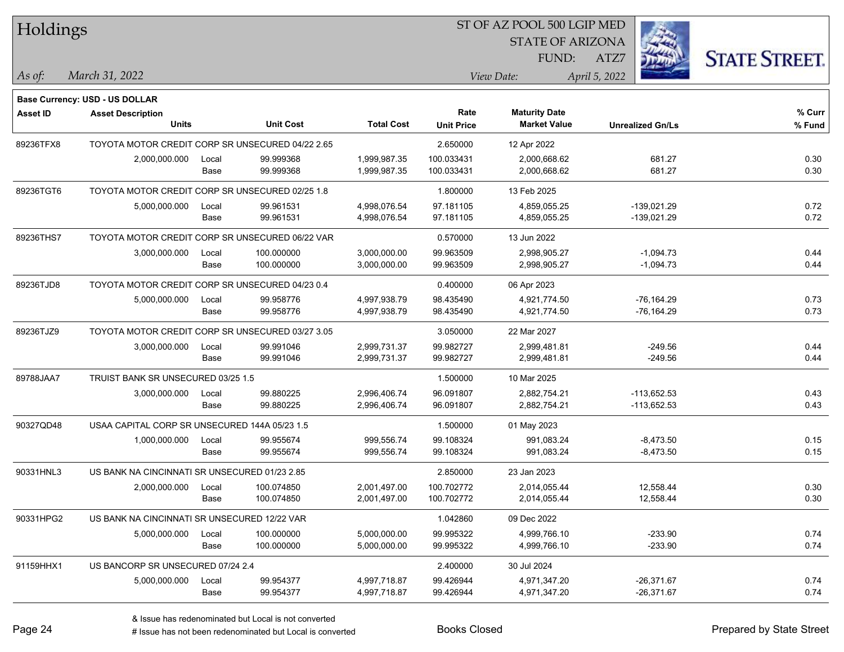|                 | Holdings                                                          |       |                  |                   |                   | ST OF AZ POOL 500 LGIP MED |                         |                      |
|-----------------|-------------------------------------------------------------------|-------|------------------|-------------------|-------------------|----------------------------|-------------------------|----------------------|
|                 |                                                                   |       |                  |                   |                   | <b>STATE OF ARIZONA</b>    |                         |                      |
|                 |                                                                   |       |                  |                   |                   | FUND:                      | ATZ7                    | <b>STATE STREET.</b> |
| As of:          | March 31, 2022                                                    |       |                  |                   |                   | View Date:                 | April 5, 2022           |                      |
|                 |                                                                   |       |                  |                   |                   |                            |                         |                      |
| <b>Asset ID</b> | <b>Base Currency: USD - US DOLLAR</b><br><b>Asset Description</b> |       |                  |                   | Rate              | <b>Maturity Date</b>       |                         | % Curr               |
|                 | <b>Units</b>                                                      |       | <b>Unit Cost</b> | <b>Total Cost</b> | <b>Unit Price</b> | <b>Market Value</b>        | <b>Unrealized Gn/Ls</b> | % Fund               |
| 89236TFX8       | TOYOTA MOTOR CREDIT CORP SR UNSECURED 04/22 2.65                  |       |                  |                   | 2.650000          | 12 Apr 2022                |                         |                      |
|                 | 2,000,000.000                                                     | Local | 99.999368        | 1,999,987.35      | 100.033431        | 2,000,668.62               | 681.27                  | 0.30                 |
|                 |                                                                   | Base  | 99.999368        | 1,999,987.35      | 100.033431        | 2,000,668.62               | 681.27                  | 0.30                 |
| 89236TGT6       | TOYOTA MOTOR CREDIT CORP SR UNSECURED 02/25 1.8                   |       |                  |                   | 1.800000          | 13 Feb 2025                |                         |                      |
|                 | 5,000,000.000                                                     | Local | 99.961531        | 4,998,076.54      | 97.181105         | 4,859,055.25               | -139,021.29             | 0.72                 |
|                 |                                                                   | Base  | 99.961531        | 4,998,076.54      | 97.181105         | 4,859,055.25               | -139,021.29             | 0.72                 |
| 89236THS7       | TOYOTA MOTOR CREDIT CORP SR UNSECURED 06/22 VAR                   |       |                  |                   | 0.570000          | 13 Jun 2022                |                         |                      |
|                 | 3,000,000.000                                                     | Local | 100.000000       | 3,000,000.00      | 99.963509         | 2,998,905.27               | $-1,094.73$             | 0.44                 |
|                 |                                                                   | Base  | 100.000000       | 3,000,000.00      | 99.963509         | 2,998,905.27               | $-1,094.73$             | 0.44                 |
| 89236TJD8       | TOYOTA MOTOR CREDIT CORP SR UNSECURED 04/23 0.4                   |       |                  |                   | 0.400000          | 06 Apr 2023                |                         |                      |
|                 | 5,000,000.000                                                     | Local | 99.958776        | 4,997,938.79      | 98.435490         | 4,921,774.50               | $-76, 164.29$           | 0.73                 |
|                 |                                                                   | Base  | 99.958776        | 4,997,938.79      | 98.435490         | 4,921,774.50               | $-76, 164.29$           | 0.73                 |
| 89236TJZ9       | TOYOTA MOTOR CREDIT CORP SR UNSECURED 03/27 3.05                  |       |                  |                   | 3.050000          | 22 Mar 2027                |                         |                      |
|                 | 3,000,000.000                                                     | Local | 99.991046        | 2,999,731.37      | 99.982727         | 2,999,481.81               | -249.56                 | 0.44                 |
|                 |                                                                   | Base  | 99.991046        | 2,999,731.37      | 99.982727         | 2,999,481.81               | $-249.56$               | 0.44                 |
| 89788JAA7       | TRUIST BANK SR UNSECURED 03/25 1.5                                |       |                  |                   | 1.500000          | 10 Mar 2025                |                         |                      |
|                 | 3,000,000.000                                                     | Local | 99.880225        | 2,996,406.74      | 96.091807         | 2,882,754.21               | $-113,652.53$           | 0.43                 |
|                 |                                                                   | Base  | 99.880225        | 2,996,406.74      | 96.091807         | 2,882,754.21               | $-113,652.53$           | 0.43                 |
| 90327QD48       | USAA CAPITAL CORP SR UNSECURED 144A 05/23 1.5                     |       |                  |                   | 1.500000          | 01 May 2023                |                         |                      |
|                 | 1,000,000.000                                                     | Local | 99.955674        | 999,556.74        | 99.108324         | 991.083.24                 | $-8,473.50$             | 0.15                 |
|                 |                                                                   | Base  | 99.955674        | 999,556.74        | 99.108324         | 991,083.24                 | $-8,473.50$             | 0.15                 |
| 90331HNL3       | US BANK NA CINCINNATI SR UNSECURED 01/23 2.85                     |       |                  |                   | 2.850000          | 23 Jan 2023                |                         |                      |
|                 | 2,000,000.000                                                     | Local | 100.074850       | 2,001,497.00      | 100.702772        | 2,014,055.44               | 12,558.44               | 0.30                 |
|                 |                                                                   | Base  | 100.074850       | 2,001,497.00      | 100.702772        | 2,014,055.44               | 12,558.44               | 0.30                 |
| 90331HPG2       | US BANK NA CINCINNATI SR UNSECURED 12/22 VAR                      |       |                  |                   | 1.042860          | 09 Dec 2022                |                         |                      |
|                 | 5,000,000.000                                                     | Local | 100.000000       | 5,000,000.00      | 99.995322         | 4,999,766.10               | $-233.90$               | 0.74                 |
|                 |                                                                   | Base  | 100.000000       | 5,000,000.00      | 99.995322         | 4,999,766.10               | $-233.90$               | 0.74                 |
| 91159HHX1       | US BANCORP SR UNSECURED 07/24 2.4                                 |       |                  |                   | 2.400000          | 30 Jul 2024                |                         |                      |
|                 | 5,000,000.000                                                     | Local | 99.954377        | 4,997,718.87      | 99.426944         | 4,971,347.20               | $-26,371.67$            | 0.74                 |
|                 |                                                                   | Base  | 99.954377        | 4,997,718.87      | 99.426944         | 4,971,347.20               | -26,371.67              | 0.74                 |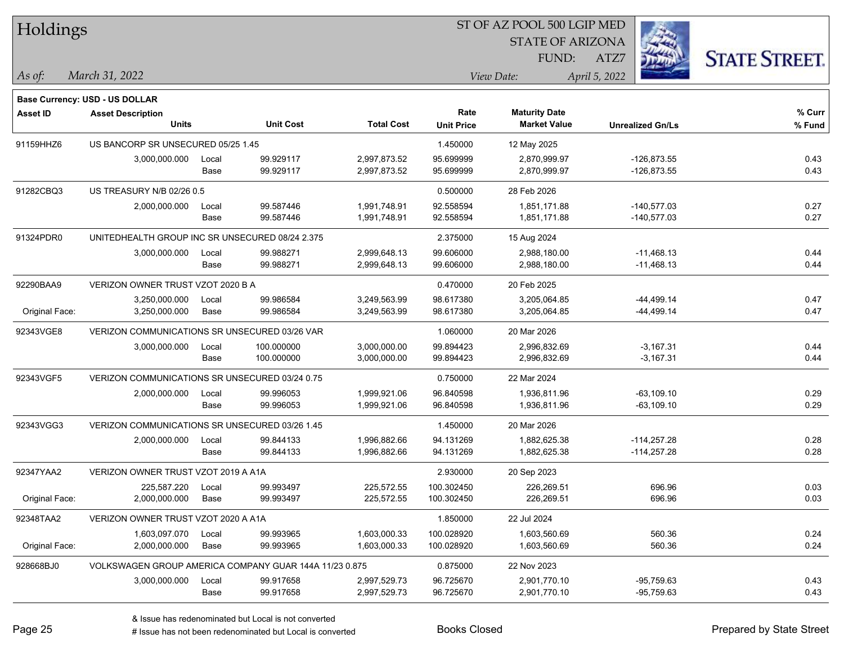| Holdings        |                                                        |       |                  |                   |                           | ST OF AZ POOL 500 LGIP MED                  |                         |                      |  |
|-----------------|--------------------------------------------------------|-------|------------------|-------------------|---------------------------|---------------------------------------------|-------------------------|----------------------|--|
|                 |                                                        |       |                  |                   |                           | <b>STATE OF ARIZONA</b>                     |                         |                      |  |
|                 |                                                        |       |                  |                   |                           | FUND:                                       | ATZ7                    | <b>STATE STREET.</b> |  |
| $\vert$ As of:  | March 31, 2022                                         |       |                  |                   |                           | View Date:                                  | April 5, 2022           |                      |  |
|                 |                                                        |       |                  |                   |                           |                                             |                         |                      |  |
|                 | <b>Base Currency: USD - US DOLLAR</b>                  |       |                  |                   |                           |                                             |                         |                      |  |
| <b>Asset ID</b> | <b>Asset Description</b><br><b>Units</b>               |       | <b>Unit Cost</b> | <b>Total Cost</b> | Rate<br><b>Unit Price</b> | <b>Maturity Date</b><br><b>Market Value</b> | <b>Unrealized Gn/Ls</b> | % Curr<br>% Fund     |  |
|                 |                                                        |       |                  |                   |                           |                                             |                         |                      |  |
| 91159HHZ6       | US BANCORP SR UNSECURED 05/25 1.45                     |       |                  |                   | 1.450000                  | 12 May 2025                                 |                         |                      |  |
|                 | 3,000,000.000                                          | Local | 99.929117        | 2,997,873.52      | 95.699999                 | 2,870,999.97                                | $-126,873.55$           | 0.43                 |  |
|                 |                                                        | Base  | 99.929117        | 2,997,873.52      | 95.699999                 | 2,870,999.97                                | $-126,873.55$           | 0.43                 |  |
| 91282CBQ3       | US TREASURY N/B 02/26 0.5                              |       |                  |                   | 0.500000                  | 28 Feb 2026                                 |                         |                      |  |
|                 | 2,000,000.000                                          | Local | 99.587446        | 1,991,748.91      | 92.558594                 | 1,851,171.88                                | $-140,577.03$           | 0.27                 |  |
|                 |                                                        | Base  | 99.587446        | 1,991,748.91      | 92.558594                 | 1,851,171.88                                | $-140,577.03$           | 0.27                 |  |
| 91324PDR0       | UNITEDHEALTH GROUP INC SR UNSECURED 08/24 2.375        |       |                  |                   | 2.375000                  | 15 Aug 2024                                 |                         |                      |  |
|                 | 3,000,000.000                                          | Local | 99.988271        | 2,999,648.13      | 99.606000                 | 2,988,180.00                                | $-11,468.13$            | 0.44                 |  |
|                 |                                                        | Base  | 99.988271        | 2,999,648.13      | 99.606000                 | 2,988,180.00                                | $-11,468.13$            | 0.44                 |  |
| 92290BAA9       | VERIZON OWNER TRUST VZOT 2020 B A                      |       |                  |                   | 0.470000                  | 20 Feb 2025                                 |                         |                      |  |
|                 | 3,250,000.000                                          | Local | 99.986584        | 3,249,563.99      | 98.617380                 | 3,205,064.85                                | $-44,499.14$            | 0.47                 |  |
| Original Face:  | 3,250,000.000                                          | Base  | 99.986584        | 3,249,563.99      | 98.617380                 | 3,205,064.85                                | $-44,499.14$            | 0.47                 |  |
| 92343VGE8       | VERIZON COMMUNICATIONS SR UNSECURED 03/26 VAR          |       |                  |                   | 1.060000                  | 20 Mar 2026                                 |                         |                      |  |
|                 | 3,000,000.000                                          | Local | 100.000000       | 3,000,000.00      | 99.894423                 | 2,996,832.69                                | $-3,167.31$             | 0.44                 |  |
|                 |                                                        | Base  | 100.000000       | 3,000,000.00      | 99.894423                 | 2,996,832.69                                | $-3,167.31$             | 0.44                 |  |
| 92343VGF5       | VERIZON COMMUNICATIONS SR UNSECURED 03/24 0.75         |       |                  |                   | 0.750000                  | 22 Mar 2024                                 |                         |                      |  |
|                 | 2,000,000.000                                          | Local | 99.996053        | 1,999,921.06      | 96.840598                 | 1,936,811.96                                | $-63,109.10$            | 0.29                 |  |
|                 |                                                        | Base  | 99.996053        | 1,999,921.06      | 96.840598                 | 1,936,811.96                                | $-63,109.10$            | 0.29                 |  |
| 92343VGG3       | VERIZON COMMUNICATIONS SR UNSECURED 03/26 1.45         |       |                  |                   | 1.450000                  | 20 Mar 2026                                 |                         |                      |  |
|                 | 2,000,000.000                                          | Local | 99.844133        | 1,996,882.66      | 94.131269                 | 1,882,625.38                                | $-114,257.28$           | 0.28                 |  |
|                 |                                                        | Base  | 99.844133        | 1,996,882.66      | 94.131269                 | 1,882,625.38                                | $-114,257.28$           | 0.28                 |  |
| 92347YAA2       | VERIZON OWNER TRUST VZOT 2019 A A1A                    |       |                  |                   | 2.930000                  | 20 Sep 2023                                 |                         |                      |  |
|                 | 225,587.220                                            | Local | 99.993497        | 225.572.55        | 100.302450                | 226.269.51                                  | 696.96                  | 0.03                 |  |
| Original Face:  | 2,000,000.000                                          | Base  | 99.993497        | 225,572.55        | 100.302450                | 226,269.51                                  | 696.96                  | 0.03                 |  |
| 92348TAA2       | VERIZON OWNER TRUST VZOT 2020 A A1A                    |       |                  |                   | 1.850000                  | 22 Jul 2024                                 |                         |                      |  |
|                 | 1,603,097.070                                          | Local | 99.993965        | 1,603,000.33      | 100.028920                | 1,603,560.69                                | 560.36                  | 0.24                 |  |
| Original Face:  | 2,000,000.000                                          | Base  | 99.993965        | 1,603,000.33      | 100.028920                | 1,603,560.69                                | 560.36                  | 0.24                 |  |
| 928668BJ0       | VOLKSWAGEN GROUP AMERICA COMPANY GUAR 144A 11/23 0.875 |       |                  |                   | 0.875000                  | 22 Nov 2023                                 |                         |                      |  |
|                 | 3,000,000.000                                          | Local | 99.917658        | 2,997,529.73      | 96.725670                 | 2,901,770.10                                | $-95,759.63$            | 0.43                 |  |
|                 |                                                        | Base  | 99.917658        | 2,997,529.73      | 96.725670                 | 2,901,770.10                                | -95,759.63              | 0.43                 |  |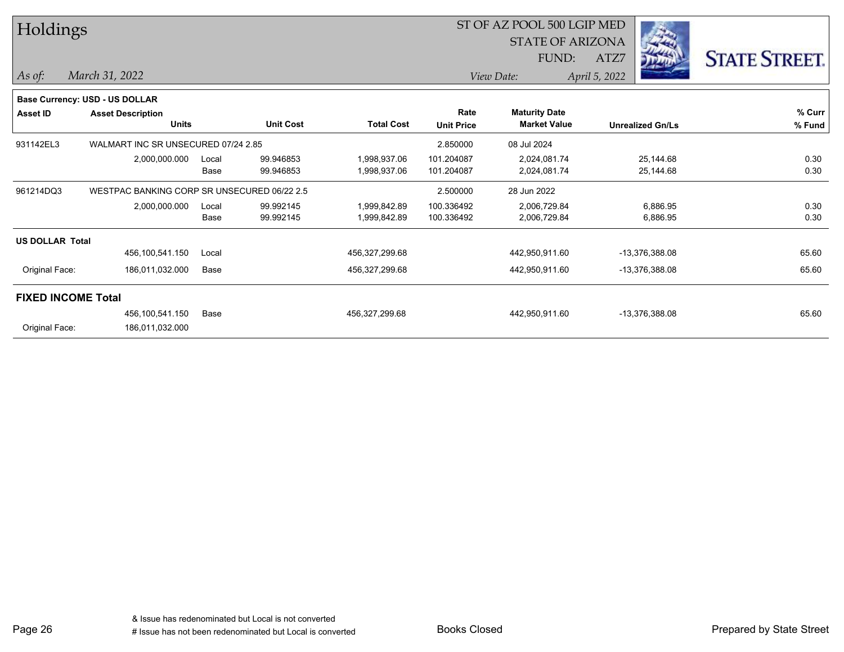|                 |                                                                                                                                                                                |                  |                                                                                    |                   | FUND:               | ATZ7                               | <b>STATE STREET.</b>                                                   |  |  |
|-----------------|--------------------------------------------------------------------------------------------------------------------------------------------------------------------------------|------------------|------------------------------------------------------------------------------------|-------------------|---------------------|------------------------------------|------------------------------------------------------------------------|--|--|
| March 31, 2022  |                                                                                                                                                                                |                  |                                                                                    |                   |                     |                                    |                                                                        |  |  |
|                 |                                                                                                                                                                                |                  |                                                                                    |                   |                     |                                    |                                                                        |  |  |
|                 |                                                                                                                                                                                |                  |                                                                                    | Rate              |                     |                                    | % Curr                                                                 |  |  |
| <b>Units</b>    |                                                                                                                                                                                | <b>Unit Cost</b> | <b>Total Cost</b>                                                                  | <b>Unit Price</b> | <b>Market Value</b> | <b>Unrealized Gn/Ls</b>            | % Fund                                                                 |  |  |
|                 |                                                                                                                                                                                |                  |                                                                                    | 2.850000          | 08 Jul 2024         |                                    |                                                                        |  |  |
| 2,000,000.000   | Local                                                                                                                                                                          | 99.946853        | 1,998,937.06                                                                       | 101.204087        | 2,024,081.74        | 25,144.68                          | 0.30                                                                   |  |  |
|                 | Base                                                                                                                                                                           | 99.946853        | 1,998,937.06                                                                       | 101.204087        | 2,024,081.74        | 25,144.68                          | 0.30                                                                   |  |  |
|                 |                                                                                                                                                                                |                  |                                                                                    | 2.500000          | 28 Jun 2022         |                                    |                                                                        |  |  |
| 2,000,000.000   | Local                                                                                                                                                                          | 99.992145        | 1,999,842.89                                                                       | 100.336492        | 2,006,729.84        | 6,886.95                           | 0.30                                                                   |  |  |
|                 | Base                                                                                                                                                                           | 99.992145        | 1,999,842.89                                                                       | 100.336492        | 2,006,729.84        | 6,886.95                           | 0.30                                                                   |  |  |
|                 |                                                                                                                                                                                |                  |                                                                                    |                   |                     |                                    |                                                                        |  |  |
| 456,100,541.150 | Local                                                                                                                                                                          |                  | 456,327,299.68                                                                     |                   | 442,950,911.60      | -13,376,388.08                     | 65.60                                                                  |  |  |
| 186,011,032.000 | Base                                                                                                                                                                           |                  | 456,327,299.68                                                                     |                   | 442,950,911.60      | -13,376,388.08                     | 65.60                                                                  |  |  |
|                 |                                                                                                                                                                                |                  |                                                                                    |                   |                     |                                    |                                                                        |  |  |
| 456,100,541.150 | Base                                                                                                                                                                           |                  | 456,327,299.68                                                                     |                   | 442,950,911.60      | -13,376,388.08                     | 65.60                                                                  |  |  |
| 186,011,032.000 |                                                                                                                                                                                |                  |                                                                                    |                   |                     |                                    |                                                                        |  |  |
| 931142EL3       | Holdings<br>Base Currency: USD - US DOLLAR<br><b>Asset Description</b><br>961214DQ3<br><b>US DOLLAR Total</b><br>Original Face:<br><b>FIXED INCOME Total</b><br>Original Face: |                  | WALMART INC SR UNSECURED 07/24 2.85<br>WESTPAC BANKING CORP SR UNSECURED 06/22 2.5 |                   |                     | View Date:<br><b>Maturity Date</b> | ST OF AZ POOL 500 LGIP MED<br><b>STATE OF ARIZONA</b><br>April 5, 2022 |  |  |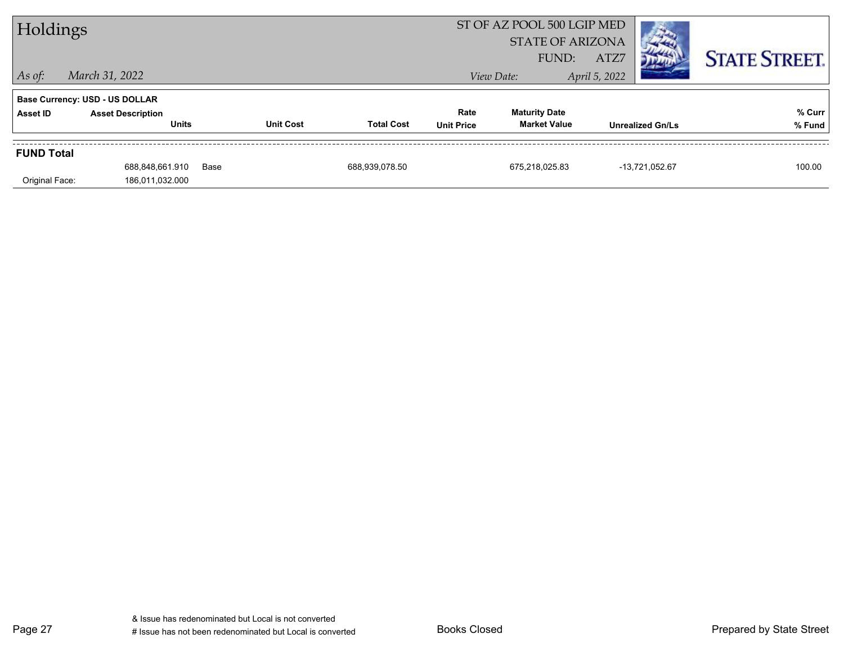| Holdings          |                                          |      |                  |                   |                           | ST OF AZ POOL 500 LGIP MED<br><b>STATE OF ARIZONA</b><br>FUND: | ATZ7          |                         | <b>STATE STREET.</b> |
|-------------------|------------------------------------------|------|------------------|-------------------|---------------------------|----------------------------------------------------------------|---------------|-------------------------|----------------------|
| $ $ As of:        | March 31, 2022                           |      |                  |                   |                           | View Date:                                                     | April 5, 2022 |                         |                      |
|                   | <b>Base Currency: USD - US DOLLAR</b>    |      |                  |                   |                           |                                                                |               |                         |                      |
| Asset ID          | <b>Asset Description</b><br><b>Units</b> |      | <b>Unit Cost</b> | <b>Total Cost</b> | Rate<br><b>Unit Price</b> | <b>Maturity Date</b><br><b>Market Value</b>                    |               | <b>Unrealized Gn/Ls</b> | % Curr<br>% Fund     |
| <b>FUND Total</b> |                                          |      |                  |                   |                           |                                                                |               |                         |                      |
| Original Face:    | 688.848.661.910<br>186,011,032.000       | Base |                  | 688.939.078.50    |                           | 675.218.025.83                                                 |               | -13,721,052.67          | 100.00               |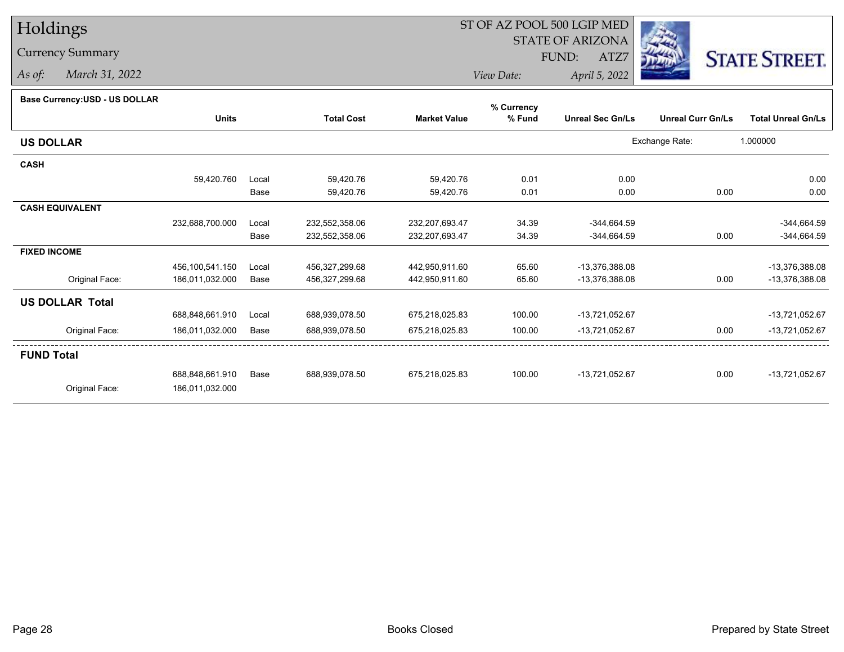## Holdings

## Currency Summary

*As of: March 31, 2022*

## ST OF AZ POOL 500 LGIP MED

 STATE OF ARIZONAFUND:

ATZ7



*View Date:April 5, 2022*

| Base Currency: USD - US DOLLAR |  |  |
|--------------------------------|--|--|
|                                |  |  |

| Dase Currency: USD - US DULLAR | <b>Units</b>    |       | <b>Total Cost</b> | <b>Market Value</b> | % Currency<br>% Fund | <b>Unreal Sec Gn/Ls</b> | <b>Unreal Curr Gn/Ls</b> | <b>Total Unreal Gn/Ls</b> |
|--------------------------------|-----------------|-------|-------------------|---------------------|----------------------|-------------------------|--------------------------|---------------------------|
| <b>US DOLLAR</b>               |                 |       |                   |                     |                      |                         | Exchange Rate:           | 1.000000                  |
| <b>CASH</b>                    |                 |       |                   |                     |                      |                         |                          |                           |
|                                | 59,420.760      | Local | 59,420.76         | 59,420.76           | 0.01                 | 0.00                    |                          | 0.00                      |
|                                |                 | Base  | 59,420.76         | 59,420.76           | 0.01                 | 0.00                    | 0.00                     | 0.00                      |
| <b>CASH EQUIVALENT</b>         |                 |       |                   |                     |                      |                         |                          |                           |
|                                | 232,688,700.000 | Local | 232,552,358.06    | 232,207,693.47      | 34.39                | $-344,664.59$           |                          | $-344,664.59$             |
|                                |                 | Base  | 232,552,358.06    | 232,207,693.47      | 34.39                | $-344,664.59$           | 0.00                     | $-344,664.59$             |
| <b>FIXED INCOME</b>            |                 |       |                   |                     |                      |                         |                          |                           |
|                                | 456,100,541.150 | Local | 456,327,299.68    | 442,950,911.60      | 65.60                | -13,376,388.08          |                          | -13,376,388.08            |
| Original Face:                 | 186,011,032.000 | Base  | 456,327,299.68    | 442,950,911.60      | 65.60                | -13,376,388.08          | 0.00                     | -13,376,388.08            |
| <b>US DOLLAR Total</b>         |                 |       |                   |                     |                      |                         |                          |                           |
|                                | 688,848,661.910 | Local | 688,939,078.50    | 675,218,025.83      | 100.00               | -13,721,052.67          |                          | -13,721,052.67            |
| Original Face:                 | 186,011,032.000 | Base  | 688,939,078.50    | 675,218,025.83      | 100.00               | $-13,721,052.67$        | 0.00                     | -13,721,052.67            |
| <b>FUND Total</b>              |                 |       |                   |                     |                      |                         |                          |                           |
|                                | 688,848,661.910 | Base  | 688,939,078.50    | 675,218,025.83      | 100.00               | -13,721,052.67          | 0.00                     | -13,721,052.67            |
| Original Face:                 | 186,011,032.000 |       |                   |                     |                      |                         |                          |                           |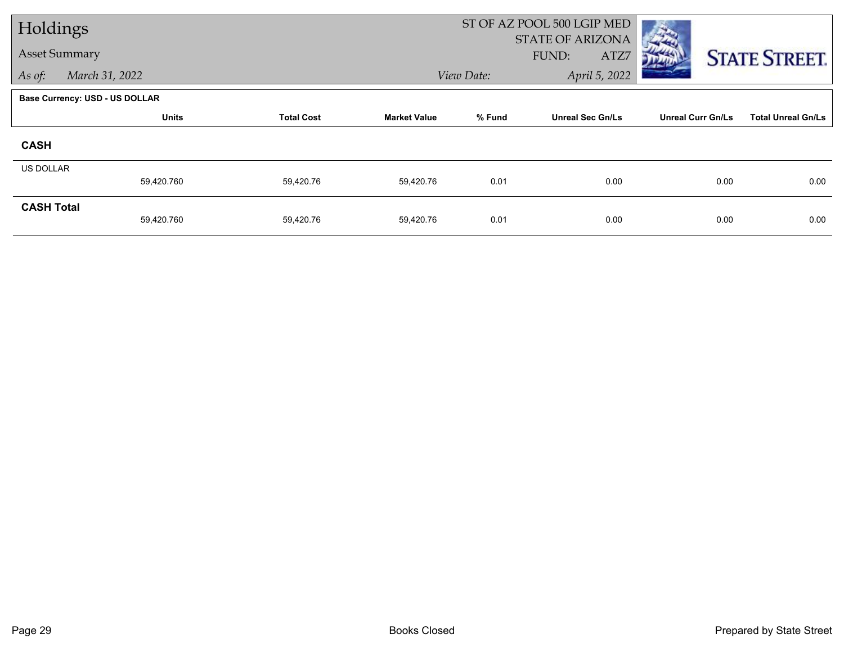| Holdings             |                                       |                   |                     |            | ST OF AZ POOL 500 LGIP MED               |                          |                           |
|----------------------|---------------------------------------|-------------------|---------------------|------------|------------------------------------------|--------------------------|---------------------------|
| <b>Asset Summary</b> |                                       |                   |                     |            | <b>STATE OF ARIZONA</b><br>FUND:<br>ATZ7 |                          | <b>STATE STREET.</b>      |
| As of:               | March 31, 2022                        |                   |                     | View Date: | April 5, 2022                            |                          |                           |
|                      | <b>Base Currency: USD - US DOLLAR</b> |                   |                     |            |                                          |                          |                           |
|                      | <b>Units</b>                          | <b>Total Cost</b> | <b>Market Value</b> | % Fund     | <b>Unreal Sec Gn/Ls</b>                  | <b>Unreal Curr Gn/Ls</b> | <b>Total Unreal Gn/Ls</b> |
| <b>CASH</b>          |                                       |                   |                     |            |                                          |                          |                           |
| <b>US DOLLAR</b>     |                                       |                   |                     |            |                                          |                          |                           |
|                      | 59,420.760                            | 59,420.76         | 59,420.76           | 0.01       | 0.00                                     | 0.00                     | 0.00                      |
| <b>CASH Total</b>    | 59,420.760                            | 59,420.76         | 59,420.76           | 0.01       | 0.00                                     | 0.00                     | 0.00                      |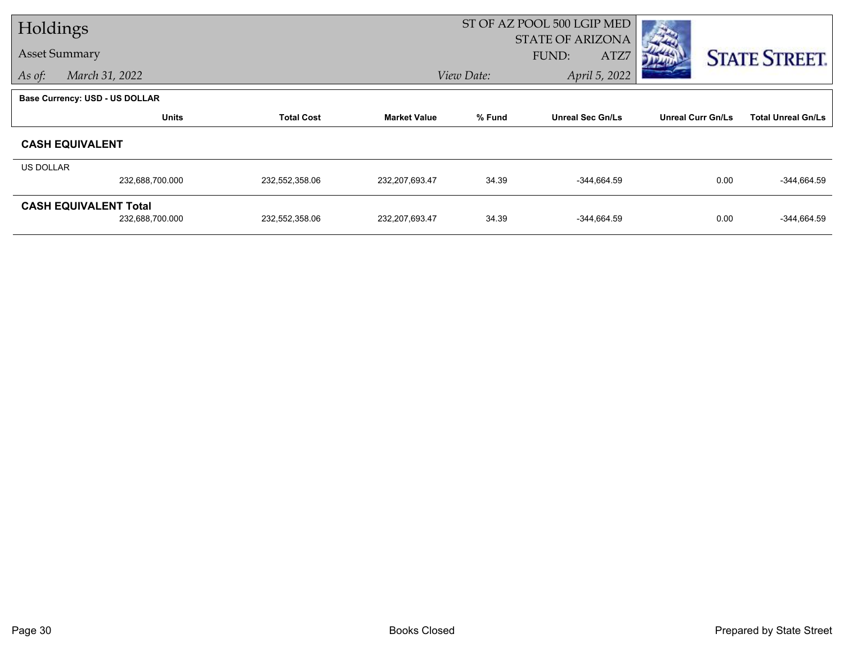| Holdings  |                                       |                   |                                                          | ST OF AZ POOL 500 LGIP MED |                          |                           |                      |
|-----------|---------------------------------------|-------------------|----------------------------------------------------------|----------------------------|--------------------------|---------------------------|----------------------|
|           | <b>Asset Summary</b>                  |                   |                                                          |                            | <b>STATE OF ARIZONA</b>  |                           |                      |
|           |                                       |                   |                                                          |                            | FUND:<br>ATZ7            |                           | <b>STATE STREET.</b> |
| As of:    | March 31, 2022                        |                   |                                                          | View Date:                 | April 5, 2022            |                           |                      |
|           | <b>Base Currency: USD - US DOLLAR</b> |                   |                                                          |                            |                          |                           |                      |
|           | <b>Units</b>                          | <b>Total Cost</b> | % Fund<br><b>Unreal Sec Gn/Ls</b><br><b>Market Value</b> |                            | <b>Unreal Curr Gn/Ls</b> | <b>Total Unreal Gn/Ls</b> |                      |
|           | <b>CASH EQUIVALENT</b>                |                   |                                                          |                            |                          |                           |                      |
| US DOLLAR |                                       |                   |                                                          |                            |                          |                           |                      |
|           | 232,688,700.000                       | 232,552,358.06    | 232,207,693.47                                           | 34.39                      | $-344,664.59$            | 0.00                      | $-344,664.59$        |
|           | <b>CASH EQUIVALENT Total</b>          |                   |                                                          |                            |                          |                           |                      |
|           | 232,688,700.000                       | 232,552,358.06    | 232,207,693.47                                           | 34.39                      | $-344,664.59$            | 0.00                      | $-344,664.59$        |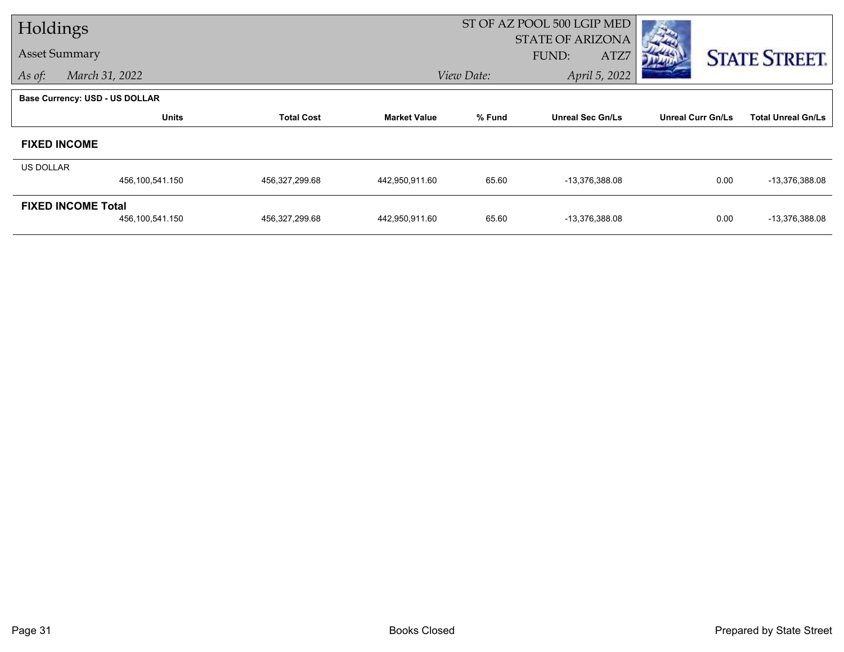| Holdings  |                                       |                   |                     | ST OF AZ POOL 500 LGIP MED |                         |                          |                           |
|-----------|---------------------------------------|-------------------|---------------------|----------------------------|-------------------------|--------------------------|---------------------------|
|           | <b>Asset Summary</b>                  |                   |                     |                            | <b>STATE OF ARIZONA</b> |                          |                           |
|           |                                       |                   |                     |                            | FUND:<br>ATZ7           |                          | <b>STATE STREET.</b>      |
| As of:    | March 31, 2022                        |                   |                     | View Date:                 | April 5, 2022           |                          |                           |
|           | <b>Base Currency: USD - US DOLLAR</b> |                   |                     |                            |                         |                          |                           |
|           | <b>Units</b>                          | <b>Total Cost</b> | <b>Market Value</b> | % Fund                     | <b>Unreal Sec Gn/Ls</b> | <b>Unreal Curr Gn/Ls</b> | <b>Total Unreal Gn/Ls</b> |
|           | <b>FIXED INCOME</b>                   |                   |                     |                            |                         |                          |                           |
| US DOLLAR |                                       |                   |                     |                            |                         |                          |                           |
|           | 456,100,541.150                       | 456,327,299.68    | 442,950,911.60      | 65.60                      | -13,376,388.08          | 0.00                     | -13,376,388.08            |
|           | <b>FIXED INCOME Total</b>             |                   |                     |                            |                         |                          |                           |
|           | 456,100,541.150                       | 456,327,299.68    | 442,950,911.60      | 65.60                      | -13,376,388.08          | 0.00                     | -13,376,388.08            |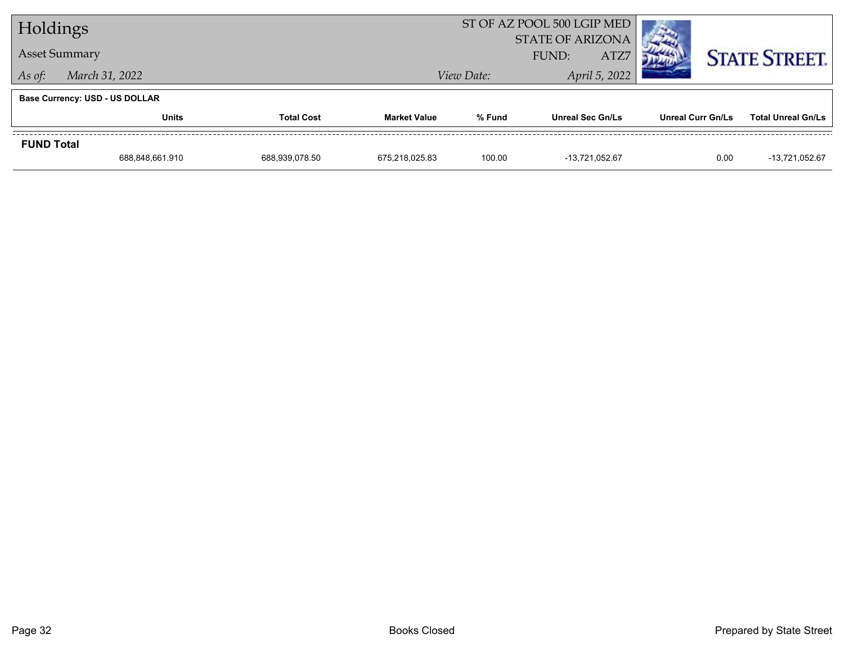| Holdings             |                                       |                   |                     |                                          | ST OF AZ POOL 500 LGIP MED |                   |                           |
|----------------------|---------------------------------------|-------------------|---------------------|------------------------------------------|----------------------------|-------------------|---------------------------|
| <b>Asset Summary</b> |                                       |                   |                     | <b>STATE OF ARIZONA</b><br>ATZ7<br>FUND: |                            |                   | <b>STATE STREET.</b>      |
| As of:               | March 31, 2022                        |                   |                     | View Date:                               | April 5, 2022              |                   |                           |
|                      | <b>Base Currency: USD - US DOLLAR</b> |                   |                     |                                          |                            |                   |                           |
|                      | <b>Units</b>                          | <b>Total Cost</b> | <b>Market Value</b> | % Fund                                   | <b>Unreal Sec Gn/Ls</b>    | Unreal Curr Gn/Ls | <b>Total Unreal Gn/Ls</b> |
| <b>FUND Total</b>    |                                       |                   |                     |                                          |                            |                   |                           |
|                      | 688,848,661.910                       | 688,939,078.50    | 675.218.025.83      | 100.00                                   | -13,721,052.67             | 0.00              | -13,721,052.67            |